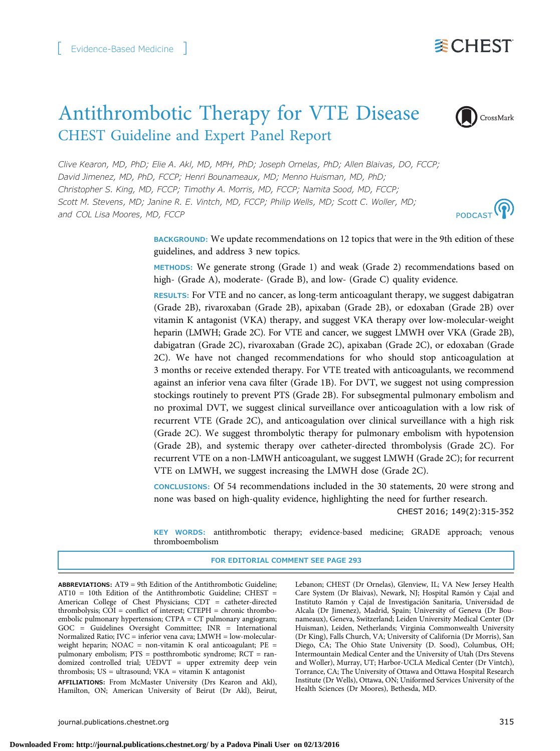# Antithrombotic Therapy for VTE Disease CHEST Guideline and Expert Panel Report

CrossMark

PODCAST<sup>(?)</sup>

**委CHEST** 

Clive Kearon, MD, PhD; Elie A. Akl, MD, MPH, PhD; Joseph Ornelas, PhD; Allen Blaivas, DO, FCCP; David Jimenez, MD, PhD, FCCP; Henri Bounameaux, MD; Menno Huisman, MD, PhD; Christopher S. King, MD, FCCP; Timothy A. Morris, MD, FCCP; Namita Sood, MD, FCCP; Scott M. Stevens, MD; Janine R. E. Vintch, MD, FCCP; Philip Wells, MD; Scott C. Woller, MD; and COL Lisa Moores, MD, FCCP

> BACKGROUND: We update recommendations on 12 topics that were in the 9th edition of these guidelines, and address 3 new topics.

> METHODS: We generate strong (Grade 1) and weak (Grade 2) recommendations based on high- (Grade A), moderate- (Grade B), and low- (Grade C) quality evidence.

> RESULTS: For VTE and no cancer, as long-term anticoagulant therapy, we suggest dabigatran (Grade 2B), rivaroxaban (Grade 2B), apixaban (Grade 2B), or edoxaban (Grade 2B) over vitamin K antagonist (VKA) therapy, and suggest VKA therapy over low-molecular-weight heparin (LMWH; Grade 2C). For VTE and cancer, we suggest LMWH over VKA (Grade 2B), dabigatran (Grade 2C), rivaroxaban (Grade 2C), apixaban (Grade 2C), or edoxaban (Grade 2C). We have not changed recommendations for who should stop anticoagulation at 3 months or receive extended therapy. For VTE treated with anticoagulants, we recommend against an inferior vena cava filter (Grade 1B). For DVT, we suggest not using compression stockings routinely to prevent PTS (Grade 2B). For subsegmental pulmonary embolism and no proximal DVT, we suggest clinical surveillance over anticoagulation with a low risk of recurrent VTE (Grade 2C), and anticoagulation over clinical surveillance with a high risk (Grade 2C). We suggest thrombolytic therapy for pulmonary embolism with hypotension (Grade 2B), and systemic therapy over catheter-directed thrombolysis (Grade 2C). For recurrent VTE on a non-LMWH anticoagulant, we suggest LMWH (Grade 2C); for recurrent VTE on LMWH, we suggest increasing the LMWH dose (Grade 2C).

> CONCLUSIONS: Of 54 recommendations included in the 30 statements, 20 were strong and none was based on high-quality evidence, highlighting the need for further research.

> > CHEST 2016; 149(2):315-352

KEY WORDS: antithrombotic therapy; evidence-based medicine; GRADE approach; venous thromboembolism

#### FOR EDITORIAL COMMENT SEE PAGE 293

ABBREVIATIONS: AT9 = 9th Edition of the Antithrombotic Guideline; AT10 = 10th Edition of the Antithrombotic Guideline; CHEST = American College of Chest Physicians; CDT = catheter-directed thrombolysis; COI = conflict of interest; CTEPH = chronic thromboembolic pulmonary hypertension; CTPA = CT pulmonary angiogram; GOC = Guidelines Oversight Committee; INR = International Normalized Ratio; IVC = inferior vena cava; LMWH = low-molecularweight heparin;  $NOAC = non-vitamin K$  oral anticoagulant;  $PE =$ pulmonary embolism; PTS = postthrombotic syndrome; RCT = randomized controlled trial; UEDVT = upper extremity deep vein thrombosis;  $US =$  ultrasound;  $VKA =$  vitamin K antagonist

AFFILIATIONS: From McMaster University (Drs Kearon and Akl), Hamilton, ON; American University of Beirut (Dr Akl), Beirut, Lebanon; CHEST (Dr Ornelas), Glenview, IL; VA New Jersey Health Care System (Dr Blaivas), Newark, NJ; Hospital Ramón y Cajal and Instituto Ramón y Cajal de Investigación Sanitaria, Universidad de Alcala (Dr Jimenez), Madrid, Spain; University of Geneva (Dr Bounameaux), Geneva, Switzerland; Leiden University Medical Center (Dr Huisman), Leiden, Netherlands; Virginia Commonwealth University (Dr King), Falls Church, VA; University of California (Dr Morris), San Diego, CA; The Ohio State University (D. Sood), Columbus, OH; Intermountain Medical Center and the University of Utah (Drs Stevens and Woller), Murray, UT; Harbor-UCLA Medical Center (Dr Vintch), Torrance, CA; The University of Ottawa and Ottawa Hospital Research Institute (Dr Wells), Ottawa, ON; Uniformed Services University of the Health Sciences (Dr Moores), Bethesda, MD.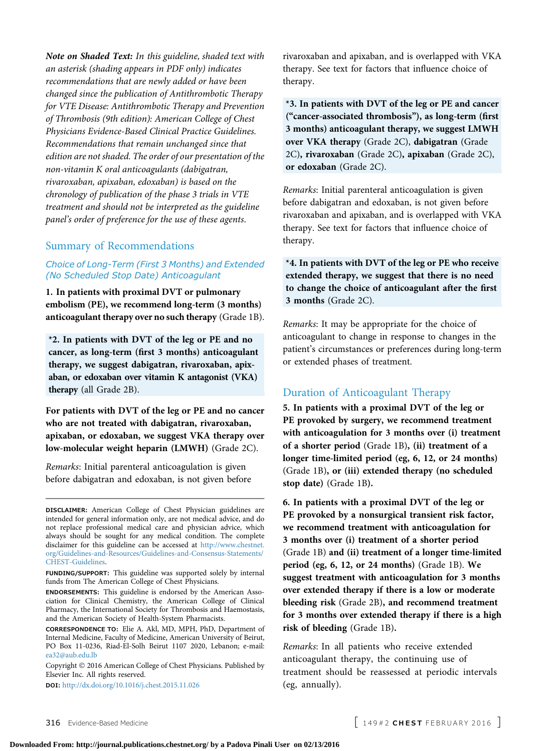Note on Shaded Text: In this guideline, shaded text with an asterisk (shading appears in PDF only) indicates recommendations that are newly added or have been changed since the publication of Antithrombotic Therapy for VTE Disease: Antithrombotic Therapy and Prevention of Thrombosis (9th edition): American College of Chest Physicians Evidence-Based Clinical Practice Guidelines. Recommendations that remain unchanged since that edition are not shaded. The order of our presentation of the non-vitamin K oral anticoagulants (dabigatran, rivaroxaban, apixaban, edoxaban) is based on the chronology of publication of the phase 3 trials in VTE treatment and should not be interpreted as the guideline panel's order of preference for the use of these agents.

### Summary of Recommendations

### Choice of Long-Term (First 3 Months) and Extended (No Scheduled Stop Date) Anticoagulant

1. In patients with proximal DVT or pulmonary embolism (PE), we recommend long-term (3 months) anticoagulant therapy over no such therapy (Grade 1B).

\*2. In patients with DVT of the leg or PE and no cancer, as long-term (first 3 months) anticoagulant therapy, we suggest dabigatran, rivaroxaban, apixaban, or edoxaban over vitamin K antagonist (VKA) therapy (all Grade 2B).

For patients with DVT of the leg or PE and no cancer who are not treated with dabigatran, rivaroxaban, apixaban, or edoxaban, we suggest VKA therapy over low-molecular weight heparin (LMWH) (Grade 2C).

Remarks: Initial parenteral anticoagulation is given before dabigatran and edoxaban, is not given before

ENDORSEMENTS: This guideline is endorsed by the American Association for Clinical Chemistry, the American College of Clinical Pharmacy, the International Society for Thrombosis and Haemostasis, and the American Society of Health-System Pharmacists.

CORRESPONDENCE TO: Elie A. Akl, MD, MPH, PhD, Department of Internal Medicine, Faculty of Medicine, American University of Beirut, PO Box 11-0236, Riad-El-Solh Beirut 1107 2020, Lebanon; e-mail: [ea32@aub.edu.lb](mailto:ea32@aub.edu.lb)

Copyright © 2016 American College of Chest Physicians. Published by Elsevier Inc. All rights reserved.

DOI: <http://dx.doi.org/10.1016/j.chest.2015.11.026>

rivaroxaban and apixaban, and is overlapped with VKA therapy. See text for factors that influence choice of therapy.

\*3. In patients with DVT of the leg or PE and cancer ("cancer-associated thrombosis"), as long-term (first 3 months) anticoagulant therapy, we suggest LMWH over VKA therapy (Grade 2C), dabigatran (Grade 2C), rivaroxaban (Grade 2C), apixaban (Grade 2C), or edoxaban (Grade 2C).

Remarks: Initial parenteral anticoagulation is given before dabigatran and edoxaban, is not given before rivaroxaban and apixaban, and is overlapped with VKA therapy. See text for factors that influence choice of therapy.

\*4. In patients with DVT of the leg or PE who receive extended therapy, we suggest that there is no need to change the choice of anticoagulant after the first 3 months (Grade 2C).

Remarks: It may be appropriate for the choice of anticoagulant to change in response to changes in the patient's circumstances or preferences during long-term or extended phases of treatment.

### Duration of Anticoagulant Therapy

5. In patients with a proximal DVT of the leg or PE provoked by surgery, we recommend treatment with anticoagulation for 3 months over (i) treatment of a shorter period (Grade 1B), (ii) treatment of a longer time-limited period (eg, 6, 12, or 24 months) (Grade 1B), or (iii) extended therapy (no scheduled stop date) (Grade 1B).

6. In patients with a proximal DVT of the leg or PE provoked by a nonsurgical transient risk factor, we recommend treatment with anticoagulation for 3 months over (i) treatment of a shorter period (Grade 1B) and (ii) treatment of a longer time-limited period (eg, 6, 12, or 24 months) (Grade 1B). We suggest treatment with anticoagulation for 3 months over extended therapy if there is a low or moderate bleeding risk (Grade 2B), and recommend treatment for 3 months over extended therapy if there is a high risk of bleeding (Grade 1B).

Remarks: In all patients who receive extended anticoagulant therapy, the continuing use of treatment should be reassessed at periodic intervals (eg, annually).

DISCLAIMER: American College of Chest Physician guidelines are intended for general information only, are not medical advice, and do not replace professional medical care and physician advice, which always should be sought for any medical condition. The complete disclaimer for this guideline can be accessed at [http://www.chestnet.](http://www.chestnet.org/Guidelines-and-Resources/Guidelines-and-Consensus-Statements/CHEST-Guidelines) [org/Guidelines-and-Resources/Guidelines-and-Consensus-Statements/](http://www.chestnet.org/Guidelines-and-Resources/Guidelines-and-Consensus-Statements/CHEST-Guidelines) [CHEST-Guidelines](http://www.chestnet.org/Guidelines-and-Resources/Guidelines-and-Consensus-Statements/CHEST-Guidelines).

FUNDING/SUPPORT: This guideline was supported solely by internal funds from The American College of Chest Physicians.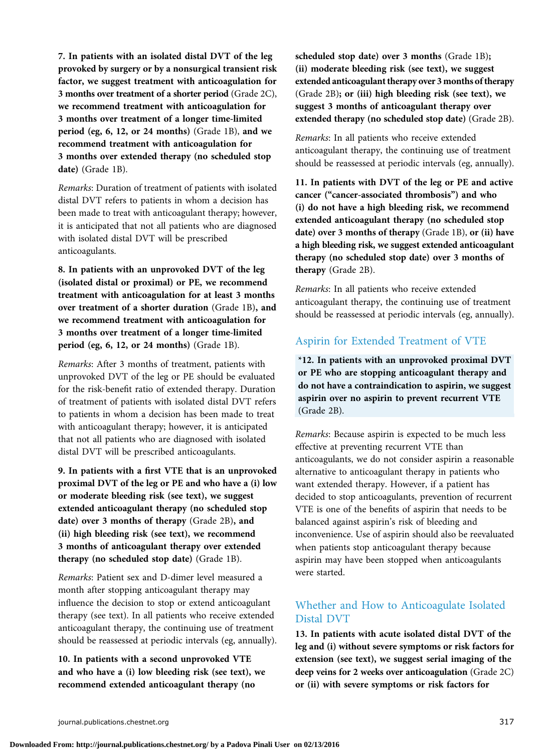7. In patients with an isolated distal DVT of the leg provoked by surgery or by a nonsurgical transient risk factor, we suggest treatment with anticoagulation for 3 months over treatment of a shorter period (Grade 2C), we recommend treatment with anticoagulation for 3 months over treatment of a longer time-limited period (eg, 6, 12, or 24 months) (Grade 1B), and we recommend treatment with anticoagulation for 3 months over extended therapy (no scheduled stop date) (Grade 1B).

Remarks: Duration of treatment of patients with isolated distal DVT refers to patients in whom a decision has been made to treat with anticoagulant therapy; however, it is anticipated that not all patients who are diagnosed with isolated distal DVT will be prescribed anticoagulants.

8. In patients with an unprovoked DVT of the leg (isolated distal or proximal) or PE, we recommend treatment with anticoagulation for at least 3 months over treatment of a shorter duration (Grade 1B), and we recommend treatment with anticoagulation for 3 months over treatment of a longer time-limited period (eg, 6, 12, or 24 months) (Grade 1B).

Remarks: After 3 months of treatment, patients with unprovoked DVT of the leg or PE should be evaluated for the risk-benefit ratio of extended therapy. Duration of treatment of patients with isolated distal DVT refers to patients in whom a decision has been made to treat with anticoagulant therapy; however, it is anticipated that not all patients who are diagnosed with isolated distal DVT will be prescribed anticoagulants.

9. In patients with a first VTE that is an unprovoked proximal DVT of the leg or PE and who have a (i) low or moderate bleeding risk (see text), we suggest extended anticoagulant therapy (no scheduled stop date) over 3 months of therapy (Grade 2B), and (ii) high bleeding risk (see text), we recommend 3 months of anticoagulant therapy over extended therapy (no scheduled stop date) (Grade 1B).

Remarks: Patient sex and D-dimer level measured a month after stopping anticoagulant therapy may influence the decision to stop or extend anticoagulant therapy (see text). In all patients who receive extended anticoagulant therapy, the continuing use of treatment should be reassessed at periodic intervals (eg, annually).

10. In patients with a second unprovoked VTE and who have a (i) low bleeding risk (see text), we recommend extended anticoagulant therapy (no

scheduled stop date) over 3 months (Grade 1B); (ii) moderate bleeding risk (see text), we suggest extended anticoagulant therapy over 3 months of therapy (Grade 2B); or (iii) high bleeding risk (see text), we suggest 3 months of anticoagulant therapy over extended therapy (no scheduled stop date) (Grade 2B).

Remarks: In all patients who receive extended anticoagulant therapy, the continuing use of treatment should be reassessed at periodic intervals (eg, annually).

11. In patients with DVT of the leg or PE and active cancer ("cancer-associated thrombosis") and who (i) do not have a high bleeding risk, we recommend extended anticoagulant therapy (no scheduled stop date) over 3 months of therapy (Grade 1B), or (ii) have a high bleeding risk, we suggest extended anticoagulant therapy (no scheduled stop date) over 3 months of therapy (Grade 2B).

Remarks: In all patients who receive extended anticoagulant therapy, the continuing use of treatment should be reassessed at periodic intervals (eg, annually).

### Aspirin for Extended Treatment of VTE

\*12. In patients with an unprovoked proximal DVT or PE who are stopping anticoagulant therapy and do not have a contraindication to aspirin, we suggest aspirin over no aspirin to prevent recurrent VTE (Grade 2B).

Remarks: Because aspirin is expected to be much less effective at preventing recurrent VTE than anticoagulants, we do not consider aspirin a reasonable alternative to anticoagulant therapy in patients who want extended therapy. However, if a patient has decided to stop anticoagulants, prevention of recurrent VTE is one of the benefits of aspirin that needs to be balanced against aspirin's risk of bleeding and inconvenience. Use of aspirin should also be reevaluated when patients stop anticoagulant therapy because aspirin may have been stopped when anticoagulants were started.

# Whether and How to Anticoagulate Isolated Distal DVT

13. In patients with acute isolated distal DVT of the leg and (i) without severe symptoms or risk factors for extension (see text), we suggest serial imaging of the deep veins for 2 weeks over anticoagulation (Grade 2C) or (ii) with severe symptoms or risk factors for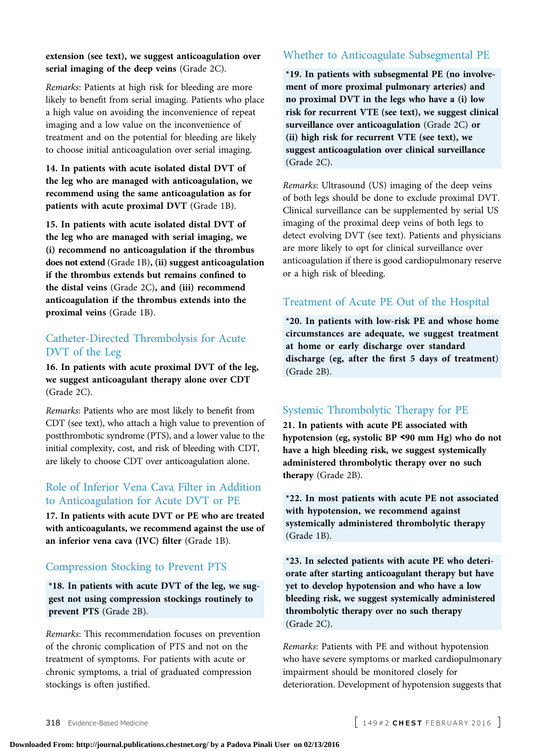### extension (see text), we suggest anticoagulation over serial imaging of the deep veins (Grade 2C).

Remarks: Patients at high risk for bleeding are more likely to benefit from serial imaging. Patients who place a high value on avoiding the inconvenience of repeat imaging and a low value on the inconvenience of treatment and on the potential for bleeding are likely to choose initial anticoagulation over serial imaging.

### 14. In patients with acute isolated distal DVT of the leg who are managed with anticoagulation, we recommend using the same anticoagulation as for patients with acute proximal DVT (Grade 1B).

15. In patients with acute isolated distal DVT of the leg who are managed with serial imaging, we (i) recommend no anticoagulation if the thrombus does not extend (Grade 1B), (ii) suggest anticoagulation if the thrombus extends but remains confined to the distal veins (Grade 2C), and (iii) recommend anticoagulation if the thrombus extends into the proximal veins (Grade 1B).

# Catheter-Directed Thrombolysis for Acute DVT of the Leg

16. In patients with acute proximal DVT of the leg, we suggest anticoagulant therapy alone over CDT (Grade 2C).

Remarks: Patients who are most likely to benefit from CDT (see text), who attach a high value to prevention of postthrombotic syndrome (PTS), and a lower value to the initial complexity, cost, and risk of bleeding with CDT, are likely to choose CDT over anticoagulation alone.

# Role of Inferior Vena Cava Filter in Addition to Anticoagulation for Acute DVT or PE

17. In patients with acute DVT or PE who are treated with anticoagulants, we recommend against the use of an inferior vena cava (IVC) filter (Grade 1B).

# Compression Stocking to Prevent PTS

\*18. In patients with acute DVT of the leg, we suggest not using compression stockings routinely to prevent PTS (Grade 2B).

Remarks: This recommendation focuses on prevention of the chronic complication of PTS and not on the treatment of symptoms. For patients with acute or chronic symptoms, a trial of graduated compression stockings is often justified.

# Whether to Anticoagulate Subsegmental PE

\*19. In patients with subsegmental PE (no involvement of more proximal pulmonary arteries) and no proximal DVT in the legs who have a (i) low risk for recurrent VTE (see text), we suggest clinical surveillance over anticoagulation (Grade 2C) or (ii) high risk for recurrent VTE (see text), we suggest anticoagulation over clinical surveillance (Grade 2C).

Remarks: Ultrasound (US) imaging of the deep veins of both legs should be done to exclude proximal DVT. Clinical surveillance can be supplemented by serial US imaging of the proximal deep veins of both legs to detect evolving DVT (see text). Patients and physicians are more likely to opt for clinical surveillance over anticoagulation if there is good cardiopulmonary reserve or a high risk of bleeding.

# Treatment of Acute PE Out of the Hospital

\*20. In patients with low-risk PE and whose home circumstances are adequate, we suggest treatment at home or early discharge over standard discharge (eg, after the first 5 days of treatment) (Grade 2B).

# Systemic Thrombolytic Therapy for PE

21. In patients with acute PE associated with hypotension (eg, systolic BP <90 mm Hg) who do not have a high bleeding risk, we suggest systemically administered thrombolytic therapy over no such therapy (Grade 2B).

\*22. In most patients with acute PE not associated with hypotension, we recommend against systemically administered thrombolytic therapy (Grade 1B).

\*23. In selected patients with acute PE who deteriorate after starting anticoagulant therapy but have yet to develop hypotension and who have a low bleeding risk, we suggest systemically administered thrombolytic therapy over no such therapy (Grade 2C).

Remarks: Patients with PE and without hypotension who have severe symptoms or marked cardiopulmonary impairment should be monitored closely for deterioration. Development of hypotension suggests that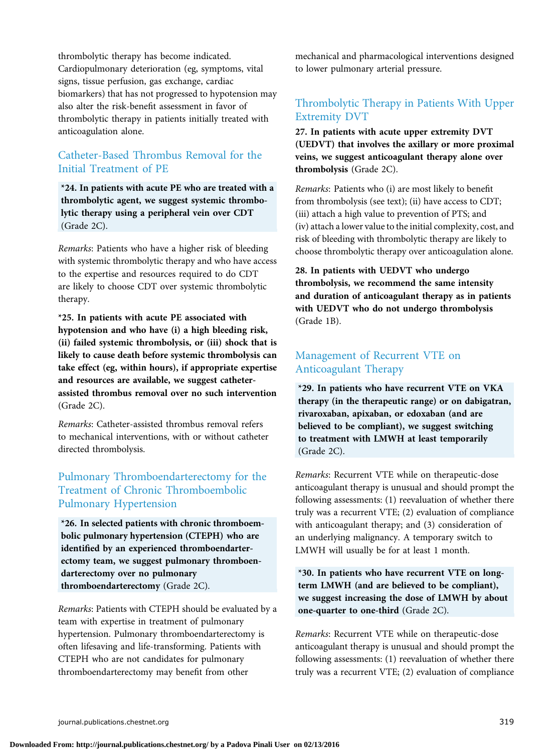thrombolytic therapy has become indicated. Cardiopulmonary deterioration (eg, symptoms, vital signs, tissue perfusion, gas exchange, cardiac biomarkers) that has not progressed to hypotension may also alter the risk-benefit assessment in favor of thrombolytic therapy in patients initially treated with anticoagulation alone.

# Catheter-Based Thrombus Removal for the Initial Treatment of PE

\*24. In patients with acute PE who are treated with a thrombolytic agent, we suggest systemic thrombolytic therapy using a peripheral vein over CDT (Grade 2C).

Remarks: Patients who have a higher risk of bleeding with systemic thrombolytic therapy and who have access to the expertise and resources required to do CDT are likely to choose CDT over systemic thrombolytic therapy.

\*25. In patients with acute PE associated with hypotension and who have (i) a high bleeding risk, (ii) failed systemic thrombolysis, or (iii) shock that is likely to cause death before systemic thrombolysis can take effect (eg, within hours), if appropriate expertise and resources are available, we suggest catheterassisted thrombus removal over no such intervention (Grade 2C).

Remarks: Catheter-assisted thrombus removal refers to mechanical interventions, with or without catheter directed thrombolysis.

# Pulmonary Thromboendarterectomy for the Treatment of Chronic Thromboembolic Pulmonary Hypertension

\*26. In selected patients with chronic thromboembolic pulmonary hypertension (CTEPH) who are identified by an experienced thromboendarterectomy team, we suggest pulmonary thromboendarterectomy over no pulmonary thromboendarterectomy (Grade 2C).

Remarks: Patients with CTEPH should be evaluated by a team with expertise in treatment of pulmonary hypertension. Pulmonary thromboendarterectomy is often lifesaving and life-transforming. Patients with CTEPH who are not candidates for pulmonary thromboendarterectomy may benefit from other

mechanical and pharmacological interventions designed to lower pulmonary arterial pressure.

# Thrombolytic Therapy in Patients With Upper Extremity DVT

27. In patients with acute upper extremity DVT (UEDVT) that involves the axillary or more proximal veins, we suggest anticoagulant therapy alone over thrombolysis (Grade 2C).

Remarks: Patients who (i) are most likely to benefit from thrombolysis (see text); (ii) have access to CDT; (iii) attach a high value to prevention of PTS; and (iv) attach a lower value to the initial complexity, cost, and risk of bleeding with thrombolytic therapy are likely to choose thrombolytic therapy over anticoagulation alone.

28. In patients with UEDVT who undergo thrombolysis, we recommend the same intensity and duration of anticoagulant therapy as in patients with UEDVT who do not undergo thrombolysis (Grade 1B).

# Management of Recurrent VTE on Anticoagulant Therapy

\*29. In patients who have recurrent VTE on VKA therapy (in the therapeutic range) or on dabigatran, rivaroxaban, apixaban, or edoxaban (and are believed to be compliant), we suggest switching to treatment with LMWH at least temporarily (Grade 2C).

Remarks: Recurrent VTE while on therapeutic-dose anticoagulant therapy is unusual and should prompt the following assessments: (1) reevaluation of whether there truly was a recurrent VTE; (2) evaluation of compliance with anticoagulant therapy; and (3) consideration of an underlying malignancy. A temporary switch to LMWH will usually be for at least 1 month.

\*30. In patients who have recurrent VTE on longterm LMWH (and are believed to be compliant), we suggest increasing the dose of LMWH by about one-quarter to one-third (Grade 2C).

Remarks: Recurrent VTE while on therapeutic-dose anticoagulant therapy is unusual and should prompt the following assessments: (1) reevaluation of whether there truly was a recurrent VTE; (2) evaluation of compliance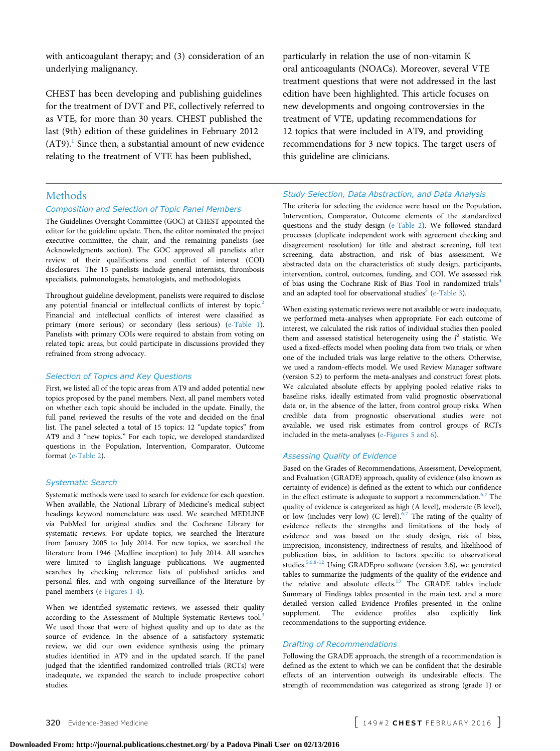with anticoagulant therapy; and (3) consideration of an underlying malignancy.

CHEST has been developing and publishing guidelines for the treatment of DVT and PE, collectively referred to as VTE, for more than 30 years. CHEST published the last (9th) edition of these guidelines in February 2012  $(AT9).$ <sup>1</sup> Since then, a substantial amount of new evidence relating to the treatment of VTE has been published,

### Methods

#### Composition and Selection of Topic Panel Members

The Guidelines Oversight Committee (GOC) at CHEST appointed the editor for the guideline update. Then, the editor nominated the project executive committee, the chair, and the remaining panelists (see Acknowledgments section). The GOC approved all panelists after review of their qualifications and conflict of interest (COI) disclosures. The 15 panelists include general internists, thrombosis specialists, pulmonologists, hematologists, and methodologists.

Throughout guideline development, panelists were required to disclose any potential financial or intellectual conflicts of interest by topic.<sup>2</sup> Financial and intellectual conflicts of interest were classified as primary (more serious) or secondary (less serious) (e-Table 1). Panelists with primary COIs were required to abstain from voting on related topic areas, but could participate in discussions provided they refrained from strong advocacy.

#### Selection of Topics and Key Questions

First, we listed all of the topic areas from AT9 and added potential new topics proposed by the panel members. Next, all panel members voted on whether each topic should be included in the update. Finally, the full panel reviewed the results of the vote and decided on the final list. The panel selected a total of 15 topics: 12 "update topics" from AT9 and 3 "new topics." For each topic, we developed standardized questions in the Population, Intervention, Comparator, Outcome format (e-Table 2).

#### Systematic Search

Systematic methods were used to search for evidence for each question. When available, the National Library of Medicine's medical subject headings keyword nomenclature was used. We searched MEDLINE via PubMed for original studies and the Cochrane Library for systematic reviews. For update topics, we searched the literature from January 2005 to July 2014. For new topics, we searched the literature from 1946 (Medline inception) to July 2014. All searches were limited to English-language publications. We augmented searches by checking reference lists of published articles and personal files, and with ongoing surveillance of the literature by panel members (e-Figures 1-4).

When we identified systematic reviews, we assessed their quality according to the Assessment of Multiple Systematic Reviews tool.<sup>3</sup> We used those that were of highest quality and up to date as the source of evidence. In the absence of a satisfactory systematic review, we did our own evidence synthesis using the primary studies identified in AT9 and in the updated search. If the panel judged that the identified randomized controlled trials (RCTs) were inadequate, we expanded the search to include prospective cohort studies.

particularly in relation the use of non-vitamin K oral anticoagulants (NOACs). Moreover, several VTE treatment questions that were not addressed in the last edition have been highlighted. This article focuses on new developments and ongoing controversies in the treatment of VTE, updating recommendations for 12 topics that were included in AT9, and providing recommendations for 3 new topics. The target users of this guideline are clinicians.

#### Study Selection, Data Abstraction, and Data Analysis

The criteria for selecting the evidence were based on the Population, Intervention, Comparator, Outcome elements of the standardized questions and the study design (e-Table 2). We followed standard processes (duplicate independent work with agreement checking and disagreement resolution) for title and abstract screening, full text screening, data abstraction, and risk of bias assessment. We abstracted data on the characteristics of: study design, participants, intervention, control, outcomes, funding, and COI. We assessed risk of bias using the Cochrane Risk of Bias Tool in randomized trials<sup>[4](#page-31-0)</sup> and an adapted tool for observational studies<sup>5</sup> (e-Table 3).

When existing systematic reviews were not available or were inadequate, we performed meta-analyses when appropriate. For each outcome of interest, we calculated the risk ratios of individual studies then pooled them and assessed statistical heterogeneity using the  $I^2$  statistic. We used a fixed-effects model when pooling data from two trials, or when one of the included trials was large relative to the others. Otherwise, we used a random-effects model. We used Review Manager software (version 5.2) to perform the meta-analyses and construct forest plots. We calculated absolute effects by applying pooled relative risks to baseline risks, ideally estimated from valid prognostic observational data or, in the absence of the latter, from control group risks. When credible data from prognostic observational studies were not available, we used risk estimates from control groups of RCTs included in the meta-analyses (e-Figures 5 and 6).

#### Assessing Quality of Evidence

Based on the Grades of Recommendations, Assessment, Development, and Evaluation (GRADE) approach, quality of evidence (also known as certainty of evidence) is defined as the extent to which our confidence in the effect estimate is adequate to support a recommendation.  $6,7$  The quality of evidence is categorized as high (A level), moderate (B level), or low (includes very low) (C level).  $67$  The rating of the quality of evidence reflects the strengths and limitations of the body of evidence and was based on the study design, risk of bias, imprecision, inconsistency, indirectness of results, and likelihood of publication bias, in addition to factors specific to observational studies.<sup>[5,6,8-12](#page-31-0)</sup> Using GRADEpro software (version 3.6), we generated tables to summarize the judgments of the quality of the evidence and the relative and absolute effects.<sup>[13](#page-32-0)</sup> The GRADE tables include Summary of Findings tables presented in the main text, and a more detailed version called Evidence Profiles presented in the online supplement. The evidence profiles also explicitly link recommendations to the supporting evidence.

#### Drafting of Recommendations

Following the GRADE approach, the strength of a recommendation is defined as the extent to which we can be confident that the desirable effects of an intervention outweigh its undesirable effects. The strength of recommendation was categorized as strong (grade 1) or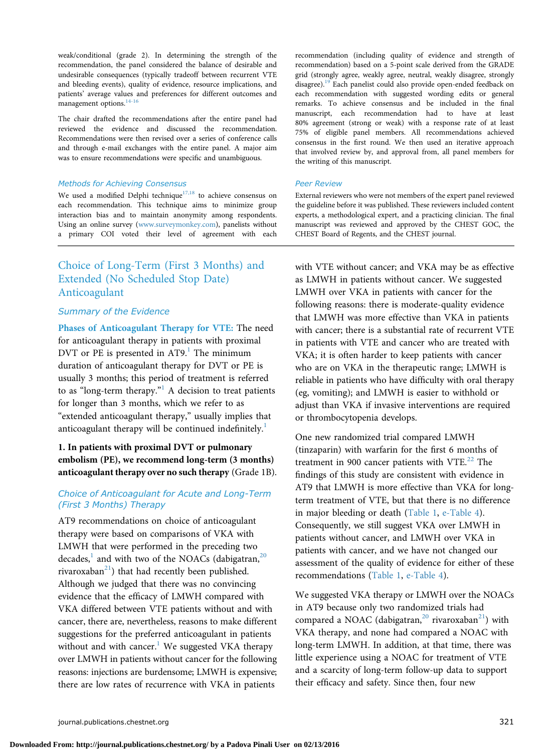weak/conditional (grade 2). In determining the strength of the recommendation, the panel considered the balance of desirable and undesirable consequences (typically tradeoff between recurrent VTE and bleeding events), quality of evidence, resource implications, and patients' average values and preferences for different outcomes and management options.<sup>14-16</sup>

The chair drafted the recommendations after the entire panel had reviewed the evidence and discussed the recommendation. Recommendations were then revised over a series of conference calls and through e-mail exchanges with the entire panel. A major aim was to ensure recommendations were specific and unambiguous.

#### Methods for Achieving Consensus

We used a modified Delphi technique<sup>[17,18](#page-32-0)</sup> to achieve consensus on each recommendation. This technique aims to minimize group interaction bias and to maintain anonymity among respondents. Using an online survey [\(www.surveymonkey.com\)](http://www.surveymonkey.com), panelists without a primary COI voted their level of agreement with each

# Choice of Long-Term (First 3 Months) and Extended (No Scheduled Stop Date) Anticoagulant

#### Summary of the Evidence

Phases of Anticoagulant Therapy for VTE: The need for anticoagulant therapy in patients with proximal DVT or PE is presented in AT9. $<sup>1</sup>$  $<sup>1</sup>$  $<sup>1</sup>$  The minimum</sup> duration of anticoagulant therapy for DVT or PE is usually 3 months; this period of treatment is referred to as "long-term therapy."<sup>[1](#page-31-0)</sup> A decision to treat patients for longer than 3 months, which we refer to as "extended anticoagulant therapy," usually implies that anticoagulant therapy will be continued indefinitely.<sup>1</sup>

### 1. In patients with proximal DVT or pulmonary embolism (PE), we recommend long-term (3 months) anticoagulant therapy over no such therapy (Grade 1B).

#### Choice of Anticoagulant for Acute and Long-Term (First 3 Months) Therapy

AT9 recommendations on choice of anticoagulant therapy were based on comparisons of VKA with LMWH that were performed in the preceding two decades, $\frac{1}{2}$  $\frac{1}{2}$  $\frac{1}{2}$  and with two of the NOACs (dabigatran, $\frac{20}{2}$  $\frac{20}{2}$  $\frac{20}{2}$ rivaroxaban $^{21}$ ) that had recently been published. Although we judged that there was no convincing evidence that the efficacy of LMWH compared with VKA differed between VTE patients without and with cancer, there are, nevertheless, reasons to make different suggestions for the preferred anticoagulant in patients without and with cancer.<sup>1</sup> We suggested VKA therapy over LMWH in patients without cancer for the following reasons: injections are burdensome; LMWH is expensive; there are low rates of recurrence with VKA in patients

recommendation (including quality of evidence and strength of recommendation) based on a 5-point scale derived from the GRADE grid (strongly agree, weakly agree, neutral, weakly disagree, strongly disagree).<sup>19</sup> Each panelist could also provide open-ended feedback on each recommendation with suggested wording edits or general remarks. To achieve consensus and be included in the final manuscript, each recommendation had to have at least 80% agreement (strong or weak) with a response rate of at least 75% of eligible panel members. All recommendations achieved consensus in the first round. We then used an iterative approach that involved review by, and approval from, all panel members for the writing of this manuscript.

#### Peer Review

External reviewers who were not members of the expert panel reviewed the guideline before it was published. These reviewers included content experts, a methodological expert, and a practicing clinician. The final manuscript was reviewed and approved by the CHEST GOC, the CHEST Board of Regents, and the CHEST journal.

with VTE without cancer; and VKA may be as effective as LMWH in patients without cancer. We suggested LMWH over VKA in patients with cancer for the following reasons: there is moderate-quality evidence that LMWH was more effective than VKA in patients with cancer; there is a substantial rate of recurrent VTE in patients with VTE and cancer who are treated with VKA; it is often harder to keep patients with cancer who are on VKA in the therapeutic range; LMWH is reliable in patients who have difficulty with oral therapy (eg, vomiting); and LMWH is easier to withhold or adjust than VKA if invasive interventions are required or thrombocytopenia develops.

One new randomized trial compared LMWH (tinzaparin) with warfarin for the first 6 months of treatment in 900 cancer patients with VTE. $^{22}$  $^{22}$  $^{22}$  The findings of this study are consistent with evidence in AT9 that LMWH is more effective than VKA for longterm treatment of VTE, but that there is no difference in major bleeding or death ([Table 1,](#page-7-0) e-Table 4). Consequently, we still suggest VKA over LMWH in patients without cancer, and LMWH over VKA in patients with cancer, and we have not changed our assessment of the quality of evidence for either of these recommendations ([Table 1,](#page-7-0) e-Table 4).

We suggested VKA therapy or LMWH over the NOACs in AT9 because only two randomized trials had compared a NOAC (dabigatran,<sup>[20](#page-32-0)</sup> rivaroxaban<sup>[21](#page-32-0)</sup>) with VKA therapy, and none had compared a NOAC with long-term LMWH. In addition, at that time, there was little experience using a NOAC for treatment of VTE and a scarcity of long-term follow-up data to support their efficacy and safety. Since then, four new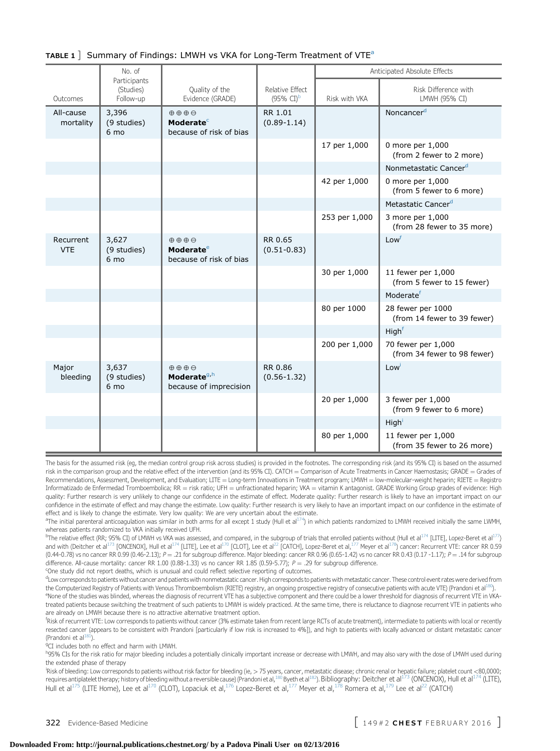#### <span id="page-7-0"></span>TABLE 1  $\vert$  Summary of Findings: LMWH vs VKA for Long-Term Treatment of VTE<sup>a</sup>

|                         | No. of                                  |                                                                                    |                                                   | Anticipated Absolute Effects |                                                   |
|-------------------------|-----------------------------------------|------------------------------------------------------------------------------------|---------------------------------------------------|------------------------------|---------------------------------------------------|
| Outcomes                | Participants<br>(Studies)<br>Follow-up  | Quality of the<br>Evidence (GRADE)                                                 | Relative Effect<br>$(95\% \text{ CI})^{\text{b}}$ | Risk with VKA                | Risk Difference with<br>LMWH (95% CI)             |
| All-cause<br>mortality  | 3,396<br>(9 studies)<br>6 <sub>mo</sub> | $\oplus \oplus \oplus \ominus$<br>Moderate <sup>c</sup><br>because of risk of bias | RR 1.01<br>$(0.89 - 1.14)$                        |                              | Noncancer <sup>d</sup>                            |
|                         |                                         |                                                                                    |                                                   | 17 per 1,000                 | 0 more per 1,000<br>(from 2 fewer to 2 more)      |
|                         |                                         |                                                                                    |                                                   |                              | Nonmetastatic Cancer <sup>d</sup>                 |
|                         |                                         |                                                                                    |                                                   | 42 per 1,000                 | 0 more per 1,000<br>(from 5 fewer to 6 more)      |
|                         |                                         |                                                                                    |                                                   |                              | Metastatic Cancer <sup>d</sup>                    |
|                         |                                         |                                                                                    |                                                   | 253 per 1,000                | 3 more per 1,000<br>(from 28 fewer to 35 more)    |
| Recurrent<br><b>VTE</b> | 3,627<br>(9 studies)<br>6 <sub>mo</sub> | $\oplus$ $\oplus$ $\oplus$<br>Moderate <sup>e</sup><br>because of risk of bias     | RR 0.65<br>$(0.51 - 0.83)$                        |                              | Lowf                                              |
|                         |                                         |                                                                                    |                                                   | 30 per 1,000                 | 11 fewer per 1,000<br>(from 5 fewer to 15 fewer)  |
|                         |                                         |                                                                                    |                                                   |                              | Moderate <sup>f</sup>                             |
|                         |                                         |                                                                                    |                                                   | 80 per 1000                  | 28 fewer per 1000<br>(from 14 fewer to 39 fewer)  |
|                         |                                         |                                                                                    |                                                   |                              | Highf                                             |
|                         |                                         |                                                                                    |                                                   | 200 per 1,000                | 70 fewer per 1,000<br>(from 34 fewer to 98 fewer) |
| Major<br>bleeding       | 3,637<br>(9 studies)<br>6 <sub>mo</sub> | $\oplus$ $\oplus$ $\oplus$<br>Moderate <sup>g,h</sup><br>because of imprecision    | RR 0.86<br>$(0.56 - 1.32)$                        |                              | Low                                               |
|                         |                                         |                                                                                    |                                                   | 20 per 1,000                 | 3 fewer per 1,000<br>(from 9 fewer to 6 more)     |
|                         |                                         |                                                                                    |                                                   |                              | High                                              |
|                         |                                         |                                                                                    |                                                   | 80 per 1,000                 | 11 fewer per 1,000<br>(from 35 fewer to 26 more)  |

The basis for the assumed risk (eg, the median control group risk across studies) is provided in the footnotes. The corresponding risk (and its 95% CI) is based on the assumed risk in the comparison group and the relative effect of the intervention (and its 95% CI). CATCH = Comparison of Acute Treatments in Cancer Haemostasis; GRADE = Grades of Recommendations, Assessment, Development, and Evaluation; LITE = Long-term Innovations in Treatment program; LMWH = low-molecular-weight heparin; RIETE = Registro Informatizado de Enfermedad Tromboembolica; RR = risk ratio; UFH = unfractionated heparin; VKA = vitamin K antagonist. GRADE Working Group grades of evidence: High quality: Further research is very unlikely to change our confidence in the estimate of effect. Moderate quality: Further research is likely to have an important impact on our confidence in the estimate of effect and may change the estimate. Low quality: Further research is very likely to have an important impact on our confidence in the estimate of effect and is likely to change the estimate. Very low quality: We are very uncertain about the estimate.

<sup>a</sup>The initial parenteral anticoagulation was similar in both arms for all except 1 study (Hull et al<sup>[174](#page-36-0)</sup>) in which patients randomized to LMWH received initially the same LWMH, whereas patients randomized to VKA initially received UFH.

 $^{\rm b}$ The relative effect (RR; 95% CI) of LMWH vs VKA was assessed, and compared, in the subgroup of trials that enrolled patients without (Hull et al $^{174}$  $^{174}$  $^{174}$  [LITE], Lopez-Beret et al $^{177}$  $^{177}$  $^{177}$ ) and with (Deitcher et al<sup>[173](#page-36-0)</sup> [ONCENOX], Hull et al<sup>174</sup> [LITE], Lee et al<sup>170</sup> [CLOT], Lee et al<sup>[22](#page-32-0)</sup> [CATCH], Lopez-Beret et al,<sup>[177](#page-36-0)</sup> Meyer et al<sup>178</sup>) cancer: Recurrent VTE: cancer RR 0.59  $(0.44-0.78)$  vs no cancer RR 0.99  $(0.46-2.13)$ ;  $P = .21$  for subgroup difference. Major bleeding: cancer RR 0.96  $(0.65-1.42)$  vs no cancer RR 0.43  $(0.17-1.17)$ ;  $P = .14$  for subgroup difference. All-cause mortality: cancer RR 1.00 (0.88-1.33) vs no cancer RR 1.85 (0.59-5.77);  $P = .29$  for subgroup difference.

<sup>c</sup>One study did not report deaths, which is unusual and could reflect selective reporting of outcomes.

<sup>d</sup>Low corresponds to patients without cancer and patients with nonmetastatic cancer. High corresponds to patients with metastatic cancer. These control event rates were derived from the Computerized Registry of Patients with Venous Thromboembolism (RIETE) registry, an ongoing prospective registry of consecutive patients with acute VTE) (Prandoni et al[180\)](#page-36-0). e None of the studies was blinded, whereas the diagnosis of recurrent VTE has a subjective component and there could be a lower threshold for diagnosis of recurrent VTE in VKA-

treated patients because switching the treatment of such patients to LMWH is widely practiced. At the same time, there is reluctance to diagnose recurrent VTE in patients who are already on LMWH because there is no attractive alternative treatment option.

.<br><sup>F</sup>Risk of recurrent VTE: Low corresponds to patients without cancer (3% estimate taken from recent large RCTs of acute treatment), intermediate to patients with local or recently resected cancer (appears to be consistent with Prandoni [particularly if low risk is increased to 4%]), and high to patients with locally advanced or distant metastatic cancer (Prandoni et al $^{181}$ ).

<sup>9</sup>CI includes both no effect and harm with LMWH.

h<br>95% CIs for the risk ratio for major bleeding includes a potentially clinically important increase or decrease with LMWH, and may also vary with the dose of LMWH used during the extended phase of therapy

i Risk of bleeding: Low corresponds to patients without risk factor for bleeding (ie, > 75 years, cancer, metastatic disease; chronic renal or hepatic failure; platelet count <80,0000; requires antiplatelet therapy; history of bleeding without a reversible cause) (Prandoni et al,<sup>[180](#page-36-0)</sup> Byeth et al<sup>182</sup>). Bibliography: Deitcher et al<sup>173</sup> (ONCENOX), Hull et al<sup>[174](#page-36-0)</sup> (LITE), Hull et al<sup>[175](#page-36-0)</sup> (LITE Home), Lee et al<sup>170</sup> (CLOT), Lopaciuk et al,<sup>176</sup> Lopez-Beret et al,<sup>[177](#page-36-0)</sup> Meyer et al,<sup>[178](#page-36-0)</sup> Romera et al,<sup>[179](#page-36-0)</sup> Lee et al<sup>[22](#page-32-0)</sup> (CATCH)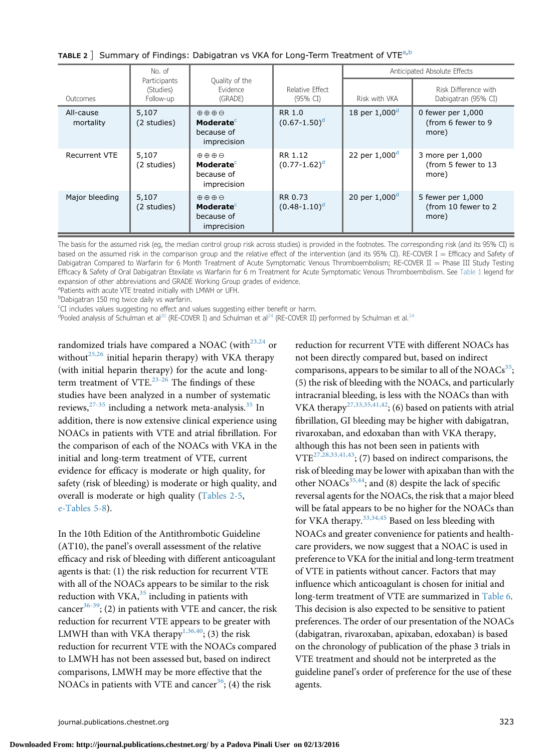|                        | No. of                                 |                                                                                         |                              |                  | Anticipated Absolute Effects                      |
|------------------------|----------------------------------------|-----------------------------------------------------------------------------------------|------------------------------|------------------|---------------------------------------------------|
| Outcomes               | Participants<br>(Studies)<br>Follow-up | Quality of the<br><b>Fvidence</b><br>(GRADE)                                            | Relative Effect<br>(95% CI)  | Risk with VKA    | Risk Difference with<br>Dabigatran (95% CI)       |
| All-cause<br>mortality | 5,107<br>(2 studies)                   | $\oplus \oplus \oplus \ominus$<br>Moderate <sup>c</sup><br>because of<br>imprecision    | RR 1.0<br>$(0.67 - 1.50)^d$  | 18 per $1,000^d$ | 0 fewer per 1,000<br>(from 6 fewer to 9<br>more)  |
| <b>Recurrent VTE</b>   | 5,107<br>(2 studies)                   | $\oplus$ $\oplus$ $\oplus$<br><b>Moderate</b> <sup>c</sup><br>because of<br>imprecision | RR 1.12<br>$(0.77 - 1.62)^d$ | 22 per $1,000d$  | 3 more per 1,000<br>(from 5 fewer to 13<br>more)  |
| Major bleeding         | 5,107<br>(2 studies)                   | $\oplus \oplus \oplus \ominus$<br>Moderate <sup>c</sup><br>because of<br>imprecision    | RR 0.73<br>$(0.48 - 1.10)^d$ | 20 per $1,000^d$ | 5 fewer per 1,000<br>(from 10 fewer to 2<br>more) |

|  | TABLE 2 ] Summary of Findings: Dabigatran vs VKA for Long-Term Treatment of VTE <sup>a,b</sup> |  |  |  |
|--|------------------------------------------------------------------------------------------------|--|--|--|
|  |                                                                                                |  |  |  |

The basis for the assumed risk (eg, the median control group risk across studies) is provided in the footnotes. The corresponding risk (and its 95% CI) is based on the assumed risk in the comparison group and the relative effect of the intervention (and its 95% CI). RE-COVER I = Efficacy and Safety of Dabigatran Compared to Warfarin for 6 Month Treatment of Acute Symptomatic Venous Thromboembolism; RE-COVER II = Phase III Study Testing Efficacy & Safety of Oral Dabigatran Etexilate vs Warfarin for 6 m Treatment for Acute Symptomatic Venous Thromboembolism. See [Table 1](#page-7-0) legend for expansion of other abbreviations and GRADE Working Group grades of evidence.

<sup>a</sup>Patients with acute VTE treated initially with LMWH or UFH.

bDabigatran 150 mg twice daily vs warfarin.

<sup>c</sup>CI includes values suggesting no effect and values suggesting either benefit or harm.

<sup>d</sup>Pooled analysis of Schulman et al<sup>20</sup> (RE-COVER I) and Schulman et al<sup>[24](#page-32-0)</sup> (RE-COVER II) performed by Schulman et al.<sup>24</sup>

randomized trials have compared a NOAC (with $^{23,24}$  $^{23,24}$  $^{23,24}$  or without $25,26$  initial heparin therapy) with VKA therapy (with initial heparin therapy) for the acute and longterm treatment of VTE. $^{23-26}$  The findings of these studies have been analyzed in a number of systematic reviews,  $27-35$  including a network meta-analysis.  $35$  In addition, there is now extensive clinical experience using NOACs in patients with VTE and atrial fibrillation. For the comparison of each of the NOACs with VKA in the initial and long-term treatment of VTE, current evidence for efficacy is moderate or high quality, for safety (risk of bleeding) is moderate or high quality, and overall is moderate or high quality (Tables 2-5, e-Tables 5-8).

In the 10th Edition of the Antithrombotic Guideline (AT10), the panel's overall assessment of the relative efficacy and risk of bleeding with different anticoagulant agents is that: (1) the risk reduction for recurrent VTE with all of the NOACs appears to be similar to the risk reduction with VKA, $35$  including in patients with cancer<sup>36-39</sup>; (2) in patients with VTE and cancer, the risk reduction for recurrent VTE appears to be greater with LMWH than with VKA therapy<sup>1,36,40</sup>; (3) the risk reduction for recurrent VTE with the NOACs compared to LMWH has not been assessed but, based on indirect comparisons, LMWH may be more effective that the NOACs in patients with VTE and cancer<sup>[36](#page-32-0)</sup>; (4) the risk

reduction for recurrent VTE with different NOACs has not been directly compared but, based on indirect comparisons, appears to be similar to all of the  $NOACs^{35}$ ; (5) the risk of bleeding with the NOACs, and particularly intracranial bleeding, is less with the NOACs than with VKA therapy<sup>[27,33,35,41,42](#page-32-0)</sup>; (6) based on patients with atrial fibrillation, GI bleeding may be higher with dabigatran, rivaroxaban, and edoxaban than with VKA therapy, although this has not been seen in patients with VTE[27,28,33,41,43;](#page-32-0) (7) based on indirect comparisons, the risk of bleeding may be lower with apixaban than with the other NOACs $^{35,44}$  $^{35,44}$  $^{35,44}$ ; and (8) despite the lack of specific reversal agents for the NOACs, the risk that a major bleed will be fatal appears to be no higher for the NOACs than for VKA therapy.<sup>[33,34,45](#page-32-0)</sup> Based on less bleeding with NOACs and greater convenience for patients and healthcare providers, we now suggest that a NOAC is used in preference to VKA for the initial and long-term treatment of VTE in patients without cancer. Factors that may influence which anticoagulant is chosen for initial and long-term treatment of VTE are summarized in [Table 6](#page-11-0). This decision is also expected to be sensitive to patient preferences. The order of our presentation of the NOACs (dabigatran, rivaroxaban, apixaban, edoxaban) is based on the chronology of publication of the phase 3 trials in VTE treatment and should not be interpreted as the guideline panel's order of preference for the use of these agents.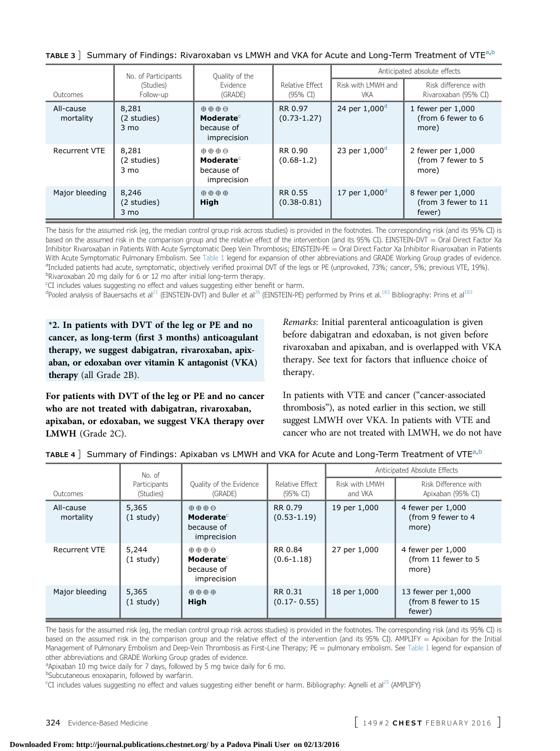<span id="page-9-0"></span>

| TABLE 3   Summary of Findings: Rivaroxaban vs LMWH and VKA for Acute and Long-Term Treatment of VTE <sup>a,b</sup> |  |  |  |
|--------------------------------------------------------------------------------------------------------------------|--|--|--|
|                                                                                                                    |  |  |  |

|                        | No. of Participants                    | Quality of the                                                                   |                             | Anticipated absolute effects     |                                                    |  |
|------------------------|----------------------------------------|----------------------------------------------------------------------------------|-----------------------------|----------------------------------|----------------------------------------------------|--|
| Outcomes               | (Studies)<br>Follow-up                 | <b>Fvidence</b><br>(GRADE)                                                       | Relative Effect<br>(95% CI) | Risk with LMWH and<br><b>VKA</b> | Risk difference with<br>Rivaroxaban (95% CI)       |  |
| All-cause<br>mortality | 8,281<br>(2 studies)<br>$3 \text{ mo}$ | $\oplus$ $\oplus$ $\oplus$<br>Moderate <sup>c</sup><br>because of<br>imprecision | RR 0.97<br>$(0.73 - 1.27)$  | 24 per 1,000 <sup>d</sup>        | 1 fewer per 1,000<br>(from 6 fewer to 6<br>more)   |  |
| <b>Recurrent VTE</b>   | 8,281<br>(2 studies)<br>$3 \text{ mo}$ | $\oplus$ $\oplus$ $\oplus$<br>Moderate <sup>c</sup><br>because of<br>imprecision | RR 0.90<br>$(0.68-1.2)$     | 23 per $1,000^d$                 | 2 fewer per 1,000<br>(from 7 fewer to 5<br>more)   |  |
| Major bleeding         | 8,246<br>(2 studies)<br>$3 \text{ mo}$ | $\oplus \oplus \oplus \oplus$<br>High                                            | RR 0.55<br>$(0.38 - 0.81)$  | 17 per $1,000d$                  | 8 fewer per 1,000<br>(from 3 fewer to 11<br>fewer) |  |

The basis for the assumed risk (eg, the median control group risk across studies) is provided in the footnotes. The corresponding risk (and its 95% CI) is based on the assumed risk in the comparison group and the relative effect of the intervention (and its 95% CI). EINSTEIN-DVT = Oral Direct Factor Xa Inhibitor Rivaroxaban in Patients With Acute Symptomatic Deep Vein Thrombosis; EINSTEIN-PE = Oral Direct Factor Xa Inhibitor Rivaroxaban in Patients With Acute Symptomatic Pulmonary Embolism. See [Table 1](#page-7-0) legend for expansion of other abbreviations and GRADE Working Group grades of evidence. a Included patients had acute, symptomatic, objectively verified proximal DVT of the legs or PE (unprovoked, 73%; cancer, 5%; previous VTE, 19%). <sup>b</sup>Rivaroxaban 20 mg daily for 6 or 12 mo after initial long-term therapy.

<sup>c</sup>CI includes values suggesting no effect and values suggesting either benefit or harm.

<sup>d</sup>Pooled analysis of Bauersachs et al<sup>[21](#page-32-0)</sup> (EINSTEIN-DVT) and Buller et al<sup>26</sup> (EINSTEIN-PE) performed by Prins et al.<sup>[183](#page-36-0)</sup> Bibliography: Prins et al.<sup>183</sup>

\*2. In patients with DVT of the leg or PE and no cancer, as long-term (first 3 months) anticoagulant therapy, we suggest dabigatran, rivaroxaban, apixaban, or edoxaban over vitamin K antagonist (VKA) therapy (all Grade 2B).

For patients with DVT of the leg or PE and no cancer who are not treated with dabigatran, rivaroxaban, apixaban, or edoxaban, we suggest VKA therapy over LMWH (Grade 2C).

Remarks: Initial parenteral anticoagulation is given before dabigatran and edoxaban, is not given before rivaroxaban and apixaban, and is overlapped with VKA therapy. See text for factors that influence choice of therapy.

In patients with VTE and cancer ("cancer-associated thrombosis"), as noted earlier in this section, we still suggest LMWH over VKA. In patients with VTE and cancer who are not treated with LMWH, we do not have

|                        |                           | No. of                                                                           |                             | Anticipated Absolute Effects |                                                     |  |
|------------------------|---------------------------|----------------------------------------------------------------------------------|-----------------------------|------------------------------|-----------------------------------------------------|--|
| Outcomes               | Participants<br>(Studies) | Quality of the Evidence<br>(GRADE)                                               | Relative Effect<br>(95% CI) | Risk with LMWH<br>and VKA    | Risk Difference with<br>Apixaban (95% CI)           |  |
| All-cause<br>mortality | 5,365<br>$(1$ study)      | $\oplus$ $\oplus$ $\oplus$<br>Moderate <sup>c</sup><br>because of<br>imprecision | RR 0.79<br>$(0.53 - 1.19)$  | 19 per 1,000                 | 4 fewer per 1,000<br>(from 9 fewer to 4<br>more)    |  |
| <b>Recurrent VTE</b>   | 5,244<br>$(1$ study)      | $\oplus$ $\oplus$ $\oplus$<br>Moderate <sup>c</sup><br>because of<br>imprecision | RR 0.84<br>$(0.6 - 1.18)$   | 27 per 1,000                 | 4 fewer per 1,000<br>(from 11 fewer to 5<br>more)   |  |
| Major bleeding         | 5,365<br>$(1$ study)      | $\oplus \oplus \oplus \oplus$<br>High                                            | RR 0.31<br>$(0.17 - 0.55)$  | 18 per 1,000                 | 13 fewer per 1,000<br>(from 8 fewer to 15<br>fewer) |  |

|  | TABLE 4 ] Summary of Findings: Apixaban vs LMWH and VKA for Acute and Long-Term Treatment of VTE <sup>a,b</sup> |  |  |  |  |
|--|-----------------------------------------------------------------------------------------------------------------|--|--|--|--|

The basis for the assumed risk (eg, the median control group risk across studies) is provided in the footnotes. The corresponding risk (and its 95% CI) is based on the assumed risk in the comparison group and the relative effect of the intervention (and its 95% CI). AMPLIFY = Apixiban for the Initial Management of Pulmonary Embolism and Deep-Vein Thrombosis as First-Line Therapy; PE = pulmonary embolism. See [Table 1](#page-7-0) legend for expansion of other abbreviations and GRADE Working Group grades of evidence.

<sup>a</sup>Apixaban 10 mg twice daily for 7 days, followed by 5 mg twice daily for 6 mo.

<sup>b</sup>Subcutaneous enoxaparin, followed by warfarin.

<sup>c</sup>CI includes values suggesting no effect and values suggesting either benefit or harm. Bibliography: Agnelli et al<sup>[25](#page-32-0)</sup> (AMPLIFY)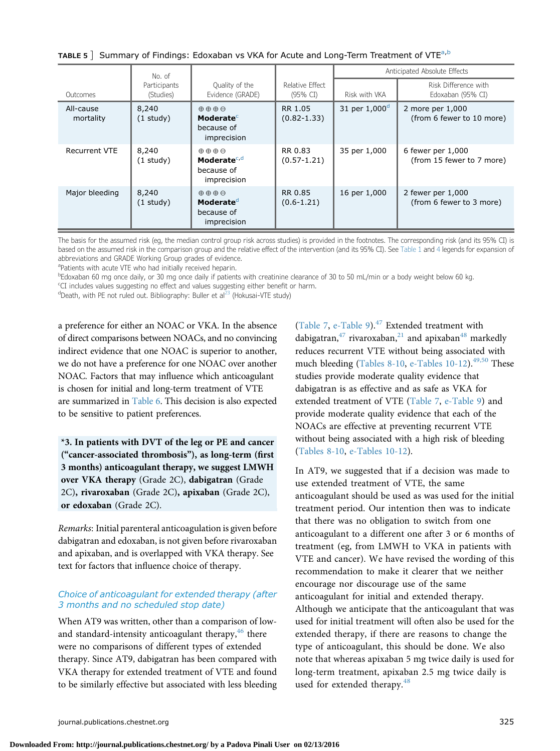|                        | No. of                    |                                                                                      |                             | Anticipated Absolute Effects |                                                |  |
|------------------------|---------------------------|--------------------------------------------------------------------------------------|-----------------------------|------------------------------|------------------------------------------------|--|
| Outcomes               | Participants<br>(Studies) | Quality of the<br>Evidence (GRADE)                                                   | Relative Effect<br>(95% CI) | Risk with VKA                | Risk Difference with<br>Edoxaban (95% CI)      |  |
| All-cause<br>mortality | 8,240<br>$(1$ study)      | $\oplus \oplus \oplus \ominus$<br>Moderate <sup>c</sup><br>because of<br>imprecision | RR 1.05<br>$(0.82 - 1.33)$  | 31 per $1,000^{\circ}$       | 2 more per 1,000<br>(from 6 fewer to 10 more)  |  |
| <b>Recurrent VTE</b>   | 8,240<br>$(1$ study)      | $\oplus$ $\oplus$ $\oplus$<br>Moderate <sup>c,d</sup><br>because of<br>imprecision   | RR 0.83<br>$(0.57 - 1.21)$  | 35 per 1,000                 | 6 fewer per 1,000<br>(from 15 fewer to 7 more) |  |
| Major bleeding         | 8,240<br>$(1$ study)      | $\oplus \oplus \oplus \ominus$<br>Moderated<br>because of<br>imprecision             | RR 0.85<br>$(0.6 - 1.21)$   | 16 per 1,000                 | 2 fewer per 1,000<br>(from 6 fewer to 3 more)  |  |

#### **TABLE 5** Summary of Findings: Edoxaban vs VKA for Acute and Long-Term Treatment of VTE<sup>a,b</sup>

The basis for the assumed risk (eg, the median control group risk across studies) is provided in the footnotes. The corresponding risk (and its 95% CI) is based on the assumed risk in the comparison group and the relative effect of the intervention (and its 95% CI). See [Table 1](#page-7-0) and [4](#page-9-0) legends for expansion of abbreviations and GRADE Working Group grades of evidence.

<sup>a</sup>Patients with acute VTE who had initially received heparin.

bEdoxaban 60 mg once daily, or 30 mg once daily if patients with creatinine clearance of 30 to 50 mL/min or a body weight below 60 kg.

<sup>c</sup>CI includes values suggesting no effect and values suggesting either benefit or harm.

 $^{\text{d}}$ Death, with PE not ruled out. Bibliography: Buller et al $^{23}$  (Hokusai-VTE study)

a preference for either an NOAC or VKA. In the absence of direct comparisons between NOACs, and no convincing indirect evidence that one NOAC is superior to another, we do not have a preference for one NOAC over another NOAC. Factors that may influence which anticoagulant is chosen for initial and long-term treatment of VTE are summarized in [Table 6.](#page-11-0) This decision is also expected to be sensitive to patient preferences.

\*3. In patients with DVT of the leg or PE and cancer ("cancer-associated thrombosis"), as long-term (first 3 months) anticoagulant therapy, we suggest LMWH over VKA therapy (Grade 2C), dabigatran (Grade 2C), rivaroxaban (Grade 2C), apixaban (Grade 2C), or edoxaban (Grade 2C).

Remarks: Initial parenteral anticoagulation is given before dabigatran and edoxaban, is not given before rivaroxaban and apixaban, and is overlapped with VKA therapy. See text for factors that influence choice of therapy.

### Choice of anticoagulant for extended therapy (after 3 months and no scheduled stop date)

When AT9 was written, other than a comparison of lowand standard-intensity anticoagulant therapy, $46$  there were no comparisons of different types of extended therapy. Since AT9, dabigatran has been compared with VKA therapy for extended treatment of VTE and found to be similarly effective but associated with less bleeding [\(Table 7](#page-12-0), e-Table 9). $47$  Extended treatment with dabigatran,<sup>[47](#page-32-0)</sup> rivaroxaban,<sup>[21](#page-32-0)</sup> and apixaban<sup>[48](#page-32-0)</sup> markedly reduces recurrent VTE without being associated with much bleeding ([Tables 8-10,](#page-12-0) e-Tables 10-12). $49,50$  These studies provide moderate quality evidence that dabigatran is as effective and as safe as VKA for extended treatment of VTE ([Table 7](#page-12-0), e-Table 9) and provide moderate quality evidence that each of the NOACs are effective at preventing recurrent VTE without being associated with a high risk of bleeding [\(Tables 8-10](#page-12-0), e-Tables 10-12).

In AT9, we suggested that if a decision was made to use extended treatment of VTE, the same anticoagulant should be used as was used for the initial treatment period. Our intention then was to indicate that there was no obligation to switch from one anticoagulant to a different one after 3 or 6 months of treatment (eg, from LMWH to VKA in patients with VTE and cancer). We have revised the wording of this recommendation to make it clearer that we neither encourage nor discourage use of the same anticoagulant for initial and extended therapy. Although we anticipate that the anticoagulant that was used for initial treatment will often also be used for the extended therapy, if there are reasons to change the type of anticoagulant, this should be done. We also note that whereas apixaban 5 mg twice daily is used for long-term treatment, apixaban 2.5 mg twice daily is used for extended therapy.<sup>[48](#page-32-0)</sup>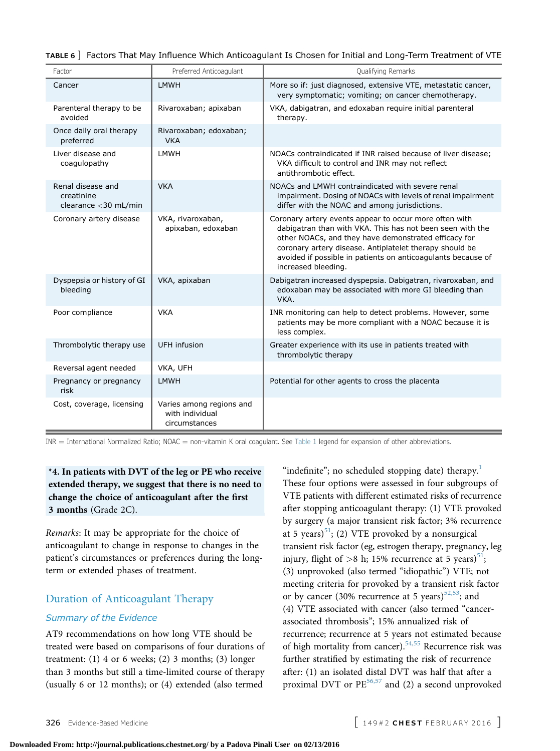<span id="page-11-0"></span>TABLE 6 ] Factors That May Influence Which Anticoagulant Is Chosen for Initial and Long-Term Treatment of VTE

| Factor                                                  | Preferred Anticoagulant                                      | Qualifying Remarks                                                                                                                                                                                                                                                                                                            |
|---------------------------------------------------------|--------------------------------------------------------------|-------------------------------------------------------------------------------------------------------------------------------------------------------------------------------------------------------------------------------------------------------------------------------------------------------------------------------|
| Cancer                                                  | <b>LMWH</b>                                                  | More so if: just diagnosed, extensive VTE, metastatic cancer,<br>very symptomatic; vomiting; on cancer chemotherapy.                                                                                                                                                                                                          |
| Parenteral therapy to be<br>avoided                     | Rivaroxaban; apixaban                                        | VKA, dabigatran, and edoxaban require initial parenteral<br>therapy.                                                                                                                                                                                                                                                          |
| Once daily oral therapy<br>preferred                    | Rivaroxaban; edoxaban;<br><b>VKA</b>                         |                                                                                                                                                                                                                                                                                                                               |
| Liver disease and<br>coagulopathy                       | LMWH                                                         | NOACs contraindicated if INR raised because of liver disease;<br>VKA difficult to control and INR may not reflect<br>antithrombotic effect.                                                                                                                                                                                   |
| Renal disease and<br>creatinine<br>clearance <30 mL/min | <b>VKA</b>                                                   | NOACs and LMWH contraindicated with severe renal<br>impairment. Dosing of NOACs with levels of renal impairment<br>differ with the NOAC and among jurisdictions.                                                                                                                                                              |
| Coronary artery disease                                 | VKA, rivaroxaban,<br>apixaban, edoxaban                      | Coronary artery events appear to occur more often with<br>dabigatran than with VKA. This has not been seen with the<br>other NOACs, and they have demonstrated efficacy for<br>coronary artery disease. Antiplatelet therapy should be<br>avoided if possible in patients on anticoagulants because of<br>increased bleeding. |
| Dyspepsia or history of GI<br>bleeding                  | VKA, apixaban                                                | Dabigatran increased dyspepsia. Dabigatran, rivaroxaban, and<br>edoxaban may be associated with more GI bleeding than<br>VKA.                                                                                                                                                                                                 |
| Poor compliance                                         | <b>VKA</b>                                                   | INR monitoring can help to detect problems. However, some<br>patients may be more compliant with a NOAC because it is<br>less complex.                                                                                                                                                                                        |
| Thrombolytic therapy use                                | UFH infusion                                                 | Greater experience with its use in patients treated with<br>thrombolytic therapy                                                                                                                                                                                                                                              |
| Reversal agent needed                                   | VKA, UFH                                                     |                                                                                                                                                                                                                                                                                                                               |
| Pregnancy or pregnancy<br>risk                          | <b>LMWH</b>                                                  | Potential for other agents to cross the placenta                                                                                                                                                                                                                                                                              |
| Cost, coverage, licensing                               | Varies among regions and<br>with individual<br>circumstances |                                                                                                                                                                                                                                                                                                                               |

 $INR = International Normalized Ratio; NOAC = non-vitamin K oral coagulant. See Table 1 legend for expansion of other abbreviations.$  $INR = International Normalized Ratio; NOAC = non-vitamin K oral coagulant. See Table 1 legend for expansion of other abbreviations.$  $INR = International Normalized Ratio; NOAC = non-vitamin K oral coagulant. See Table 1 legend for expansion of other abbreviations.$ 

### \*4. In patients with DVT of the leg or PE who receive extended therapy, we suggest that there is no need to change the choice of anticoagulant after the first 3 months (Grade 2C).

Remarks: It may be appropriate for the choice of anticoagulant to change in response to changes in the patient's circumstances or preferences during the longterm or extended phases of treatment.

### Duration of Anticoagulant Therapy

#### Summary of the Evidence

AT9 recommendations on how long VTE should be treated were based on comparisons of four durations of treatment: (1) 4 or 6 weeks; (2) 3 months; (3) longer than 3 months but still a time-limited course of therapy (usually 6 or 12 months); or (4) extended (also termed

"indefinite"; no scheduled stopping date) therapy. $<sup>1</sup>$  $<sup>1</sup>$  $<sup>1</sup>$ </sup> These four options were assessed in four subgroups of VTE patients with different estimated risks of recurrence after stopping anticoagulant therapy: (1) VTE provoked by surgery (a major transient risk factor; 3% recurrence at 5 years)<sup>51</sup>; (2) VTE provoked by a nonsurgical transient risk factor (eg, estrogen therapy, pregnancy, leg injury, flight of  $>8$  h; 15% recurrence at 5 years)<sup>51</sup>; (3) unprovoked (also termed "idiopathic") VTE; not meeting criteria for provoked by a transient risk factor or by cancer (30% recurrence at 5 years)<sup>52,53</sup>; and (4) VTE associated with cancer (also termed "cancerassociated thrombosis"; 15% annualized risk of recurrence; recurrence at 5 years not estimated because of high mortality from cancer).[54,55](#page-33-0) Recurrence risk was further stratified by estimating the risk of recurrence after: (1) an isolated distal DVT was half that after a proximal DVT or  $PE^{56,57}$  $PE^{56,57}$  $PE^{56,57}$  and (2) a second unprovoked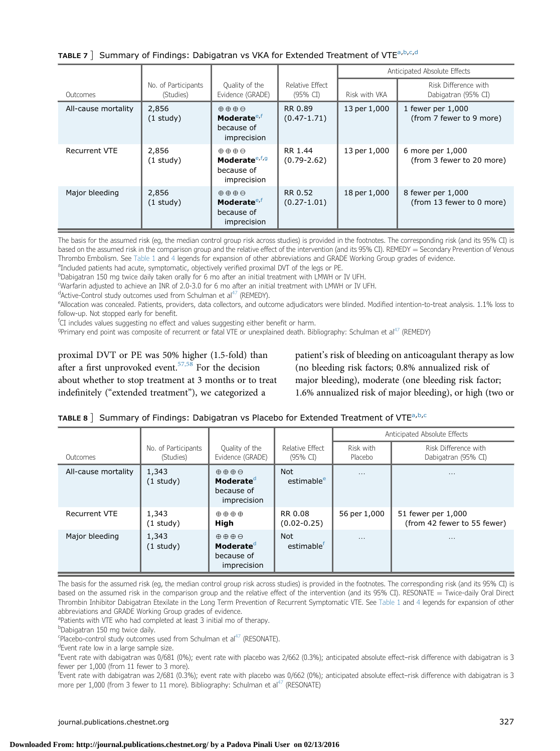<span id="page-12-0"></span>

| TABLE 7 $\big]$ Summary of Findings: Dabigatran vs VKA for Extended Treatment of VTE <sup>a,b,c,d</sup> |  |  |
|---------------------------------------------------------------------------------------------------------|--|--|
|                                                                                                         |  |  |

|                      |                                  |                                                                                        |                             |               | Anticipated Absolute Effects                   |
|----------------------|----------------------------------|----------------------------------------------------------------------------------------|-----------------------------|---------------|------------------------------------------------|
| Outcomes             | No. of Participants<br>(Studies) | Quality of the<br>Evidence (GRADE)                                                     | Relative Effect<br>(95% CI) | Risk with VKA | Risk Difference with<br>Dabigatran (95% CI)    |
| All-cause mortality  | 2,856<br>$(1$ study)             | $\oplus \oplus \oplus \ominus$<br>Moderate <sup>e,f</sup><br>because of<br>imprecision | RR 0.89<br>$(0.47 - 1.71)$  | 13 per 1,000  | 1 fewer per 1,000<br>(from 7 fewer to 9 more)  |
| <b>Recurrent VTE</b> | 2,856<br>$(1$ study)             | $\oplus$ $\oplus$ $\oplus$<br>Moderate <sup>e, f, g</sup><br>because of<br>imprecision | RR 1.44<br>$(0.79 - 2.62)$  | 13 per 1,000  | 6 more per 1,000<br>(from 3 fewer to 20 more)  |
| Major bleeding       | 2,856<br>$(1$ study)             | $\oplus \oplus \oplus \ominus$<br>Moderate <sup>e,t</sup><br>because of<br>imprecision | RR 0.52<br>$(0.27 - 1.01)$  | 18 per 1,000  | 8 fewer per 1,000<br>(from 13 fewer to 0 more) |

The basis for the assumed risk (eg, the median control group risk across studies) is provided in the footnotes. The corresponding risk (and its 95% CI) is based on the assumed risk in the comparison group and the relative effect of the intervention (and its 95% CI). REMEDY = Secondary Prevention of Venous Thrombo Embolism. See [Table 1](#page-7-0) and [4](#page-9-0) legends for expansion of other abbreviations and GRADE Working Group grades of evidence.

<sup>a</sup>Included patients had acute, symptomatic, objectively verified proximal DVT of the legs or PE.

b Dabigatran 150 mg twice daily taken orally for 6 mo after an initial treatment with LMWH or IV UFH.

Warfarin adjusted to achieve an INR of 2.0-3.0 for 6 mo after an initial treatment with LMWH or IV UFH.

<sup>d</sup>Active-Control study outcomes used from Schulman et al<sup>[47](#page-32-0)</sup> (REMEDY).

e<br>Allocation was concealed. Patients, providers, data collectors, and outcome adjudicators were blinded. Modified intention-to-treat analysis. 1.1% loss to follow-up. Not stopped early for benefit.

<sup>f</sup>CI includes values suggesting no effect and values suggesting either benefit or harm.

<sup>9</sup>Primary end point was composite of recurrent or fatal VTE or unexplained death. Bibliography: Schulman et al<sup>[47](#page-32-0)</sup> (REMEDY)

proximal DVT or PE was 50% higher (1.5-fold) than after a first unprovoked event.<sup>[57,58](#page-33-0)</sup> For the decision about whether to stop treatment at 3 months or to treat indefinitely ("extended treatment"), we categorized a

patient's risk of bleeding on anticoagulant therapy as low (no bleeding risk factors; 0.8% annualized risk of major bleeding), moderate (one bleeding risk factor; 1.6% annualized risk of major bleeding), or high (two or

| <b>TABLE 8</b> Summary of Findings: Dabigatran vs Placebo for Extended Treatment of VTE <sup>a,b,c</sup> |  |                          |
|----------------------------------------------------------------------------------------------------------|--|--------------------------|
|                                                                                                          |  | Anticipated Absolute Eff |
|                                                                                                          |  |                          |

|                      |                                  |                                                                                  |                                      |                      | Anticipated Absolute Effects                      |
|----------------------|----------------------------------|----------------------------------------------------------------------------------|--------------------------------------|----------------------|---------------------------------------------------|
| Outcomes             | No. of Participants<br>(Studies) | Quality of the<br>Evidence (GRADE)                                               | Relative Effect<br>(95% CI)          | Risk with<br>Placebo | Risk Difference with<br>Dabigatran (95% CI)       |
| All-cause mortality  | 1,343<br>$(1$ study)             | $\oplus$ $\oplus$ $\oplus$<br>Moderate <sup>d</sup><br>because of<br>imprecision | <b>Not</b><br>estimable <sup>e</sup> | $\cdots$             | $\cdots$                                          |
| <b>Recurrent VTE</b> | 1,343<br>(1 study)               | $\oplus \oplus \oplus \oplus$<br>High                                            | RR 0.08<br>$(0.02 - 0.25)$           | 56 per 1,000         | 51 fewer per 1,000<br>(from 42 fewer to 55 fewer) |
| Major bleeding       | 1,343<br>$(1$ study)             | $\oplus$ $\oplus$ $\oplus$<br>Moderate <sup>d</sup><br>because of<br>imprecision | <b>Not</b><br>estimable <sup>t</sup> | $\cdots$             | $\cdots$                                          |

The basis for the assumed risk (eg, the median control group risk across studies) is provided in the footnotes. The corresponding risk (and its 95% CI) is based on the assumed risk in the comparison group and the relative effect of the intervention (and its 95% CI). RESONATE = Twice-daily Oral Direct Thrombin Inhibitor Dabigatran Etexilate in the Long Term Prevention of Recurrent Symptomatic VTE. See [Table 1](#page-7-0) and [4](#page-9-0) legends for expansion of other abbreviations and GRADE Working Group grades of evidence.

<sup>a</sup>Patients with VTE who had completed at least 3 initial mo of therapy.

bDabigatran 150 mg twice daily.

<sup>c</sup>Placebo-control study outcomes used from Schulman et al<sup>47</sup> (RESONATE).

d Event rate low in a large sample size.

e Event rate with dabigatran was 0/681 (0%); event rate with placebo was 2/662 (0.3%); anticipated absolute effect–risk difference with dabigatran is 3 fewer per 1,000 (from 11 fewer to 3 more).

f Event rate with dabigatran was 2/681 (0.3%); event rate with placebo was 0/662 (0%); anticipated absolute effect–risk difference with dabigatran is 3 more per  $1,000$  (from 3 fewer to  $11$  more). Bibliography: Schulman et al<sup>[47](#page-32-0)</sup> (RESONATE)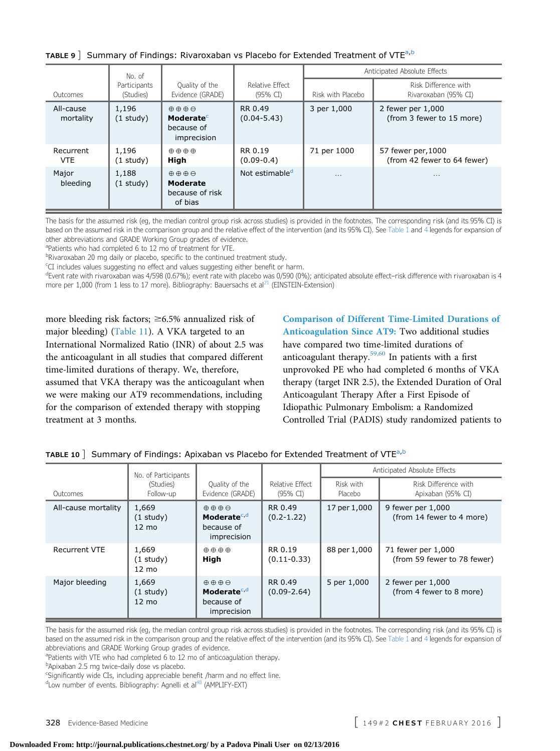|  | TABLE 9 ] Summary of Findings: Rivaroxaban vs Placebo for Extended Treatment of VTE <sup>a,b</sup> |  |  |  |  |  |
|--|----------------------------------------------------------------------------------------------------|--|--|--|--|--|
|--|----------------------------------------------------------------------------------------------------|--|--|--|--|--|

|                         | No. of                    |                                                                                      |                             | Anticipated Absolute Effects |                                                   |  |
|-------------------------|---------------------------|--------------------------------------------------------------------------------------|-----------------------------|------------------------------|---------------------------------------------------|--|
| Outcomes                | Participants<br>(Studies) | Quality of the<br>Evidence (GRADE)                                                   | Relative Effect<br>(95% CI) | Risk with Placebo            | Risk Difference with<br>Rivaroxaban (95% CI)      |  |
| All-cause<br>mortality  | 1,196<br>$(1$ study)      | $\oplus \oplus \oplus \ominus$<br>Moderate <sup>c</sup><br>because of<br>imprecision | RR 0.49<br>$(0.04 - 5.43)$  | 3 per 1,000                  | 2 fewer per 1,000<br>(from 3 fewer to 15 more)    |  |
| Recurrent<br><b>VTE</b> | 1,196<br>(1 study)        | $\oplus \oplus \oplus \oplus$<br>High                                                | RR 0.19<br>$(0.09 - 0.4)$   | 71 per 1000                  | 57 fewer per, 1000<br>(from 42 fewer to 64 fewer) |  |
| Major<br>bleeding       | 1,188<br>$(1$ study)      | $\oplus \oplus \oplus \ominus$<br><b>Moderate</b><br>because of risk<br>of bias      | Not estimable <sup>d</sup>  | $\cdot$                      | $\cdots$                                          |  |

The basis for the assumed risk (eg, the median control group risk across studies) is provided in the footnotes. The corresponding risk (and its 95% CI) is based on the assumed risk in the comparison group and the relative effect of the intervention (and its 95% CI). See [Table 1](#page-7-0) and [4](#page-9-0) legends for expansion of other abbreviations and GRADE Working Group grades of evidence.

<sup>a</sup>Patients who had completed 6 to 12 mo of treatment for VTE.

<sup>b</sup>Rivaroxaban 20 mg daily or placebo, specific to the continued treatment study.

<sup>c</sup>CI includes values suggesting no effect and values suggesting either benefit or harm.

<sup>d</sup>Event rate with rivaroxaban was 4/598 (0.67%); event rate with placebo was 0/590 (0%); anticipated absolute effect–risk difference with rivaroxaban is 4 more per 1,000 (from 1 less to 17 more). Bibliography: Bauersachs et al<sup>[21](#page-32-0)</sup> (EINSTEIN-Extension)

more bleeding risk factors;  $\geq 6.5\%$  annualized risk of major bleeding) ([Table 11\)](#page-14-0). A VKA targeted to an International Normalized Ratio (INR) of about 2.5 was the anticoagulant in all studies that compared different time-limited durations of therapy. We, therefore, assumed that VKA therapy was the anticoagulant when we were making our AT9 recommendations, including for the comparison of extended therapy with stopping treatment at 3 months.

Comparison of Different Time-Limited Durations of Anticoagulation Since AT9: Two additional studies have compared two time-limited durations of anticoagulant therapy. $59,60$  In patients with a first unprovoked PE who had completed 6 months of VKA therapy (target INR 2.5), the Extended Duration of Oral Anticoagulant Therapy After a First Episode of Idiopathic Pulmonary Embolism: a Randomized Controlled Trial (PADIS) study randomized patients to

|                      | No. of Participants                     |                                                                                        |                             | Anticipated Absolute Effects |                                                   |  |
|----------------------|-----------------------------------------|----------------------------------------------------------------------------------------|-----------------------------|------------------------------|---------------------------------------------------|--|
| Outcomes             | (Studies)<br>Follow-up                  | Quality of the<br>Evidence (GRADE)                                                     | Relative Effect<br>(95% CI) | Risk with<br>Placebo         | Risk Difference with<br>Apixaban (95% CI)         |  |
| All-cause mortality  | 1,669<br>$(1$ study)<br>$12 \text{ mo}$ | $\oplus \oplus \oplus \ominus$<br>Moderate <sup>c,d</sup><br>because of<br>imprecision | RR 0.49<br>$(0.2 - 1.22)$   | 17 per 1,000                 | 9 fewer per 1,000<br>(from 14 fewer to 4 more)    |  |
| <b>Recurrent VTE</b> | 1,669<br>$(1$ study)<br>$12 \text{ mo}$ | $\oplus \oplus \oplus \oplus$<br>High                                                  | RR 0.19<br>$(0.11 - 0.33)$  | 88 per 1,000                 | 71 fewer per 1,000<br>(from 59 fewer to 78 fewer) |  |
| Major bleeding       | 1,669<br>(1 study)<br>$12 \text{ mo}$   | $\oplus$ $\oplus$ $\oplus$<br>Moderate <sup>c,d</sup><br>because of<br>imprecision     | RR 0.49<br>$(0.09 - 2.64)$  | 5 per 1,000                  | 2 fewer per 1,000<br>(from 4 fewer to 8 more)     |  |

The basis for the assumed risk (eg, the median control group risk across studies) is provided in the footnotes. The corresponding risk (and its 95% CI) is based on the assumed risk in the comparison group and the relative effect of the intervention (and its 95% CI). See [Table 1](#page-7-0) and [4](#page-9-0) legends for expansion of abbreviations and GRADE Working Group grades of evidence.

<sup>a</sup>Patients with VTE who had completed 6 to 12 mo of anticoagulation therapy.

<sup>b</sup>Apixaban 2.5 mg twice-daily dose vs placebo.

<sup>c</sup>Significantly wide CIs, including appreciable benefit /harm and no effect line.

<sup>d</sup>Low number of events. Bibliography: Agnelli et al<sup>[48](#page-32-0)</sup> (AMPLIFY-EXT)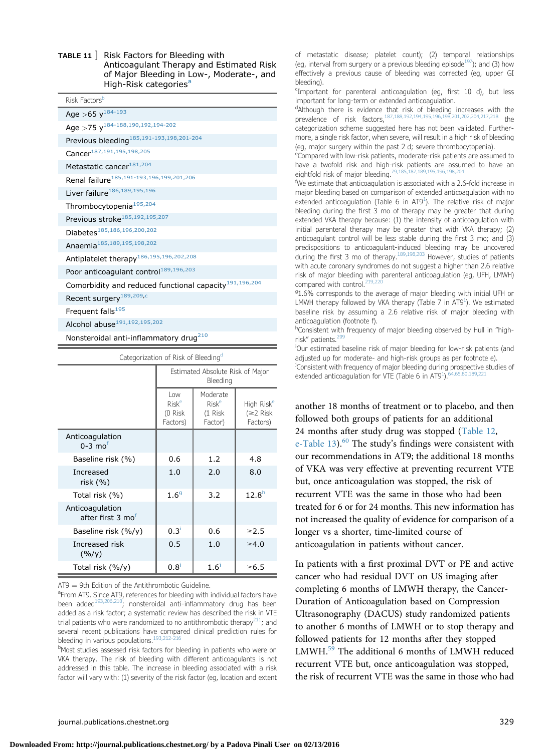<span id="page-14-0"></span>TABLE 11 | Risk Factors for Bleeding with Anticoagulant Therapy and Estimated Risk of Major Bleeding in Low-, Moderate-, and High-Risk categories<sup>a</sup>

| Risk Factors <sup>b</sup>                                          |
|--------------------------------------------------------------------|
| Age > 65 $y^{184-193}$                                             |
| Age >75 y <sup>184-188,190,192,194-202</sup>                       |
| Previous bleeding <sup>185,191-193,198,201-204</sup>               |
| Cancer <sup>187,191,195,198,205</sup>                              |
| Metastatic cancer <sup>181,204</sup>                               |
| Renal failure <sup>185,191-193,196,199,201,206</sup>               |
| Liver failure <sup>186,189,195,196</sup>                           |
| Thrombocytopenia <sup>195,204</sup>                                |
| Previous stroke <sup>185,192,195,207</sup>                         |
| Diabetes <sup>185,186,196,200,202</sup>                            |
| Anaemia <sup>185,189,195,198,202</sup>                             |
| Antiplatelet therapy <sup>186,195,196,202,208</sup>                |
| Poor anticoagulant control <sup>189,196,203</sup>                  |
| Comorbidity and reduced functional capacity <sup>191,196,204</sup> |
| Recent surgery <sup>189,209,c</sup>                                |
| Frequent falls <sup>195</sup>                                      |
| Alcohol abuse <sup>191,192,195,202</sup>                           |
| Nonsteroidal anti-inflammatory drug <sup>210</sup>                 |

| Categorization of Risk of Bleeding <sup>d</sup>  |                                                  |                                              |                                                      |  |  |
|--------------------------------------------------|--------------------------------------------------|----------------------------------------------|------------------------------------------------------|--|--|
|                                                  |                                                  | Estimated Absolute Risk of Major<br>Bleeding |                                                      |  |  |
|                                                  | l ow<br>Risk <sup>e</sup><br>(0 Risk<br>Factors) | Moderate<br>Riske<br>(1 Risk<br>Factor)      | High Risk <sup>e</sup><br>$(\geq 2$ Risk<br>Factors) |  |  |
| Anticoagulation<br>$0-3$ mo <sup>f</sup>         |                                                  |                                              |                                                      |  |  |
| Baseline risk (%)                                | 0.6                                              | 1.2                                          | 4.8                                                  |  |  |
| Increased<br>risk $(% )$                         | 1.0                                              | 2.0                                          | 8.0                                                  |  |  |
| Total risk (%)                                   | 1.6 <sup>9</sup>                                 | 3.2                                          | 12.8 <sup>h</sup>                                    |  |  |
| Anticoagulation<br>after first 3 mo <sup>f</sup> |                                                  |                                              |                                                      |  |  |
| Baseline risk (%/y)                              | 0.3 <sup>1</sup>                                 | 0.6                                          | $\geq$ 2.5                                           |  |  |
| Increased risk<br>$($ %/y)                       | 0.5                                              | 1.0                                          | $\geq 4.0$                                           |  |  |
| Total risk $(\% / y)$                            | $0.8^{j}$                                        | $1.6^{j}$                                    | $\geq 6.5$                                           |  |  |

 $AT9 = 9th$  Edition of the Antithrombotic Guideline.

<sup>a</sup>From AT9. Since AT9, references for bleeding with individual factors have been added<sup>193,206,210</sup>; nonsteroidal anti-inflammatory drug has been added as a risk factor; a systematic review has described the risk in VTE trial patients who were randomized to no antithrombotic therapy<sup>211</sup>; and several recent publications have compared clinical prediction rules for bleeding in various populations.<sup>[193,212-216](#page-36-0)</sup>

bMost studies assessed risk factors for bleeding in patients who were on VKA therapy. The risk of bleeding with different anticoagulants is not addressed in this table. The increase in bleeding associated with a risk factor will vary with: (1) severity of the risk factor (eg, location and extent of metastatic disease; platelet count); (2) temporal relationships (eg, interval from surgery or a previous bleeding episode<sup>[197](#page-36-0)</sup>); and (3) how effectively a previous cause of bleeding was corrected (eg, upper GI bleeding).

<sup>c</sup>Important for parenteral anticoagulation (eg, first 10 d), but less important for long-term or extended anticoagulation.

<sup>d</sup>Although there is evidence that risk of bleeding increases with the prevalence of risk factors,<sup>[187,188,192,194,195,196,198,201,202,204,217,218](#page-36-0)</sup> the categorization scheme suggested here has not been validated. Furthermore, a single risk factor, when severe, will result in a high risk of bleeding (eg, major surgery within the past 2 d; severe thrombocytopenia).

eCompared with low-risk patients, moderate-risk patients are assumed to have a twofold risk and high-risk patients are assumed to have an eightfold risk of major bleeding.[79,185,187,189,195,196,198,204](#page-33-0)

<sup>f</sup>We estimate that anticoagulation is associated with a 2.6-fold increase in major bleeding based on comparison of extended anticoagulation with no extended anticoagulation (Table 6 in AT9 $^1$  $^1$ ). The relative risk of major bleeding during the first 3 mo of therapy may be greater that during extended VKA therapy because: (1) the intensity of anticoagulation with initial parenteral therapy may be greater that with VKA therapy; (2) anticoagulant control will be less stable during the first 3 mo; and (3) predispositions to anticoagulant-induced bleeding may be uncovered during the first 3 mo of therapy.<sup>[189,198,203](#page-36-0)</sup> However, studies of patients with acute coronary syndromes do not suggest a higher than 2.6 relative risk of major bleeding with parenteral anticoagulation (eg, UFH, LMWH) compared with control.<sup>219,22</sup>

<sup>9</sup>1.6% corresponds to the average of major bleeding with initial UFH or LMWH therapy followed by VKA therapy (Table 7 in AT9 $^1$ ). We estimated baseline risk by assuming a 2.6 relative risk of major bleeding with anticoagulation (footnote f).

hConsistent with frequency of major bleeding observed by Hull in "highrisk" patients.[209](#page-37-0)

i Our estimated baseline risk of major bleeding for low-risk patients (and adjusted up for moderate- and high-risk groups as per footnote e).

<sup>j</sup>Consistent with frequency of major bleeding during prospective studies of extended anticoagulation for VTE (Table 6 in AT9<sup>1</sup>).<sup>[64,65,80,189,221](#page-33-0)</sup>

another 18 months of treatment or to placebo, and then followed both groups of patients for an additional 24 months after study drug was stopped ([Table 12,](#page-15-0) e-Table 13). $^{60}$  $^{60}$  $^{60}$  The study's findings were consistent with our recommendations in AT9; the additional 18 months of VKA was very effective at preventing recurrent VTE but, once anticoagulation was stopped, the risk of recurrent VTE was the same in those who had been treated for 6 or for 24 months. This new information has not increased the quality of evidence for comparison of a longer vs a shorter, time-limited course of anticoagulation in patients without cancer.

In patients with a first proximal DVT or PE and active cancer who had residual DVT on US imaging after completing 6 months of LMWH therapy, the Cancer-Duration of Anticoagulation based on Compression Ultrasonography (DACUS) study randomized patients to another 6 months of LMWH or to stop therapy and followed patients for 12 months after they stopped LMWH.<sup>59</sup> The additional 6 months of LMWH reduced recurrent VTE but, once anticoagulation was stopped, the risk of recurrent VTE was the same in those who had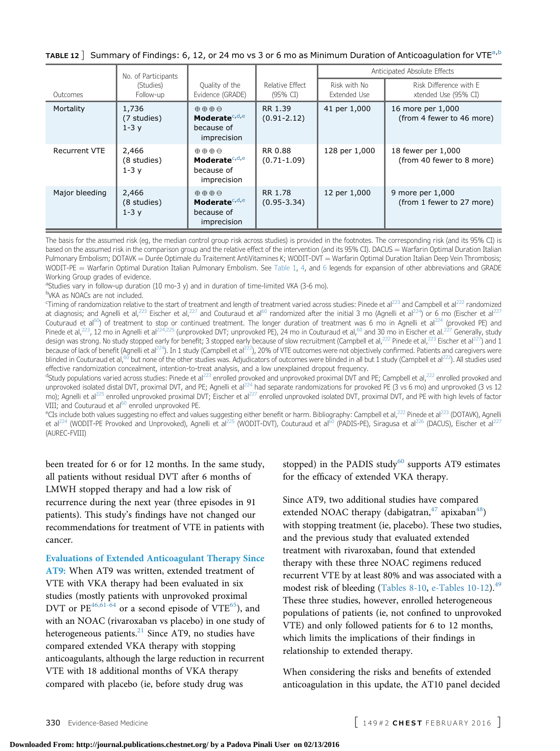<span id="page-15-0"></span>

|  |  |  | TABLE 12 Summary of Findings: 6, 12, or 24 mo vs 3 or 6 mo as Minimum Duration of Anticoagulation for VTE <sup>a,b</sup> |
|--|--|--|--------------------------------------------------------------------------------------------------------------------------|
|--|--|--|--------------------------------------------------------------------------------------------------------------------------|

|                      | No. of Participants            |                                                                                      |                             |                              | Anticipated Absolute Effects                    |
|----------------------|--------------------------------|--------------------------------------------------------------------------------------|-----------------------------|------------------------------|-------------------------------------------------|
| Outcomes             | (Studies)<br>Follow-up         | Quality of the<br>Evidence (GRADE)                                                   | Relative Effect<br>(95% CI) | Risk with No<br>Extended Use | Risk Difference with F<br>xtended Use (95% CI)  |
| Mortality            | 1,736<br>(7 studies)<br>$1-3y$ | $\oplus$ $\oplus$ $\oplus$<br>Moderate <sup>c,d,e</sup><br>because of<br>imprecision | RR 1.39<br>$(0.91 - 2.12)$  | 41 per 1,000                 | 16 more per 1,000<br>(from 4 fewer to 46 more)  |
| <b>Recurrent VTE</b> | 2,466<br>(8 studies)<br>$1-3y$ | $\oplus$ $\oplus$ $\oplus$<br>Moderate <sup>c,d,e</sup><br>because of<br>imprecision | RR 0.88<br>$(0.71 - 1.09)$  | 128 per 1,000                | 18 fewer per 1,000<br>(from 40 fewer to 8 more) |
| Major bleeding       | 2,466<br>(8 studies)<br>$1-3y$ | $\oplus$ $\oplus$ $\oplus$<br>Moderate <sup>c,d,e</sup><br>because of<br>imprecision | RR 1.78<br>$(0.95 - 3.34)$  | 12 per 1,000                 | 9 more per 1,000<br>(from 1 fewer to 27 more)   |

The basis for the assumed risk (eg, the median control group risk across studies) is provided in the footnotes. The corresponding risk (and its 95% CI) is based on the assumed risk in the comparison group and the relative effect of the intervention (and its 95% CI). DACUS = Warfarin Optimal Duration Italian Pulmonary Embolism; DOTAVK = Durée Optimale du Traitement AntiVitamines K; WODIT-DVT = Warfarin Optimal Duration Italian Deep Vein Thrombosis; WODIT-PE = Warfarin Optimal Duration Italian Pulmonary Embolism. See [Table 1,](#page-7-0) [4](#page-9-0), and [6](#page-11-0) legends for expansion of other abbreviations and GRADE Working Group grades of evidence.

<sup>a</sup>Studies vary in follow-up duration (10 mo-3 y) and in duration of time-limited VKA (3-6 mo).

bVKA as NOACs are not included.

 $^{\circ}$ Timing of randomization relative to the start of treatment and length of treatment varied across studies: Pinede et al $^{223}$  and Campbell et al $^{222}$  $^{222}$  $^{222}$  randomized at diagnosis; and Agnelli et al,<sup>[223](#page-37-0)</sup> Eischer et al,<sup>[227](#page-37-0)</sup> and Couturaud et al<sup>[60](#page-33-0)</sup> randomized after the initial 3 mo (Agnelli et al<sup>[224](#page-37-0)</sup>) or 6 mo (Eischer et al<sup>227</sup> Couturaud et al<sup>[60](#page-33-0)</sup>) of treatment to stop or continued treatment. The longer duration of treatment was 6 mo in Agnelli et al<sup>224</sup> (provoked PE) and Pinede et al,<sup>223</sup>, 12 mo in Agnelli et al<sup>224,225</sup> (unprovoked DVT; unprovoked PE), 24 mo in Couturaud et al,<sup>60</sup> and 30 mo in Eischer et al.<sup>[227](#page-37-0)</sup> Generally, study design was strong. No study stopped early for benefit; 3 stopped early because of slow recruitment (Campbell et al,<sup>[222](#page-37-0)</sup> Pinede et al,<sup>223</sup> Eischer et al<sup>[227](#page-37-0)</sup>) and 1 because of lack of benefit (Agnelli et al<sup>[224](#page-37-0)</sup>). In 1 study (Campbell et al<sup>222</sup>), 20% of VTE outcomes were not objectively confirmed. Patients and caregivers were blinded in Couturaud et al,<sup>[60](#page-33-0)</sup> but none of the other studies was. Adjudicators of outcomes were blinded in all but 1 study (Campbell et al<sup>222</sup>). All studies used effective randomization concealment, intention-to-treat analysis, and a low unexplained dropout frequency.

<sup>d</sup>Study populations varied across studies: Pinede et al<sup>[223](#page-37-0)</sup> enrolled provoked and unprovoked proximal DVT and PE; Campbell et al,<sup>[222](#page-37-0)</sup> enrolled provoked and unprovoked isolated distal DVT, proximal DVT, and PE; Agnelli et al<sup>[224](#page-37-0)</sup> had separate randomizations for provoked PE (3 vs 6 mo) and unprovoked (3 vs 12 mo); Agnelli et al<sup>[225](#page-37-0)</sup> enrolled unprovoked proximal DVT; Eischer et al<sup>[227](#page-37-0)</sup> enrolled unprovoked isolated DVT, proximal DVT, and PE with high levels of factor VIII; and Couturaud et al<sup>[60](#page-33-0)</sup> enrolled unprovoked PE.

 $^{\rm e}$ CIs include both values suggesting no effect and values suggesting either benefit or harm. Bibliography: Campbell et al, $^{222}$  $^{222}$  $^{222}$  Pinede et al $^{223}$  $^{223}$  $^{223}$  (DOTAVK), Agnelli et al<sup>[224](#page-37-0)</sup> (WODIT-PE Provoked and Unprovoked), Agnelli et al<sup>[225](#page-37-0)</sup> (WODIT-DVT), Couturaud et al<sup>[60](#page-33-0)</sup> (PADIS-PE), Siragusa et al<sup>[226](#page-37-0)</sup> (DACUS), Eischer et al<sup>[227](#page-37-0)</sup> (AUREC-FVIII)

been treated for 6 or for 12 months. In the same study, all patients without residual DVT after 6 months of LMWH stopped therapy and had a low risk of recurrence during the next year (three episodes in 91 patients). This study's findings have not changed our recommendations for treatment of VTE in patients with cancer.

Evaluations of Extended Anticoagulant Therapy Since AT9: When AT9 was written, extended treatment of VTE with VKA therapy had been evaluated in six studies (mostly patients with unprovoked proximal DVT or  $PE^{46,61-64}$  $PE^{46,61-64}$  $PE^{46,61-64}$  or a second episode of VTE<sup>65</sup>), and with an NOAC (rivaroxaban vs placebo) in one study of heterogeneous patients. $^{21}$  Since AT9, no studies have compared extended VKA therapy with stopping anticoagulants, although the large reduction in recurrent VTE with 18 additional months of VKA therapy compared with placebo (ie, before study drug was

stopped) in the PADIS study<sup>[60](#page-33-0)</sup> supports AT9 estimates for the efficacy of extended VKA therapy.

Since AT9, two additional studies have compared extended NOAC therapy (dabigatran, $47$  apixaban $48$ ) with stopping treatment (ie, placebo). These two studies, and the previous study that evaluated extended treatment with rivaroxaban, found that extended therapy with these three NOAC regimens reduced recurrent VTE by at least 80% and was associated with a modest risk of bleeding [\(Tables 8-10,](#page-12-0) e-Tables 10-12).<sup>[49](#page-32-0)</sup> These three studies, however, enrolled heterogeneous populations of patients (ie, not confined to unprovoked VTE) and only followed patients for 6 to 12 months, which limits the implications of their findings in relationship to extended therapy.

When considering the risks and benefits of extended anticoagulation in this update, the AT10 panel decided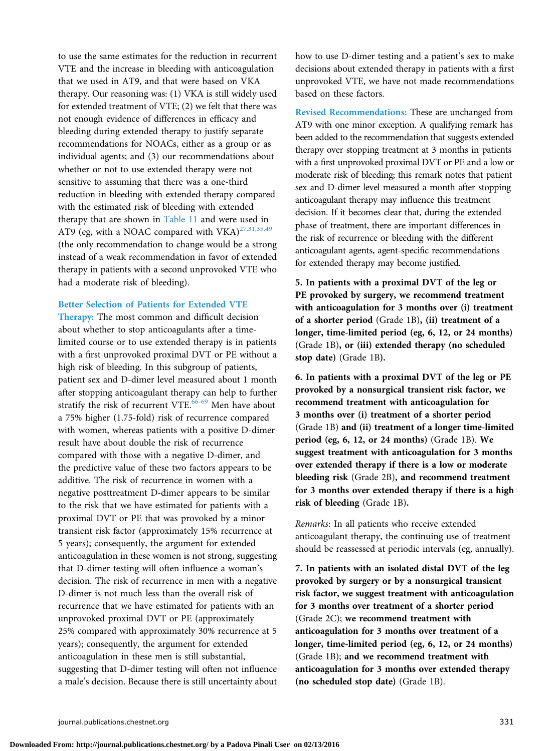to use the same estimates for the reduction in recurrent VTE and the increase in bleeding with anticoagulation that we used in AT9, and that were based on VKA therapy. Our reasoning was: (1) VKA is still widely used for extended treatment of VTE; (2) we felt that there was not enough evidence of differences in efficacy and bleeding during extended therapy to justify separate recommendations for NOACs, either as a group or as individual agents; and (3) our recommendations about whether or not to use extended therapy were not sensitive to assuming that there was a one-third reduction in bleeding with extended therapy compared with the estimated risk of bleeding with extended therapy that are shown in [Table 11](#page-14-0) and were used in AT9 (eg, with a NOAC compared with VKA)<sup>[27,31,35,49](#page-32-0)</sup> (the only recommendation to change would be a strong instead of a weak recommendation in favor of extended therapy in patients with a second unprovoked VTE who had a moderate risk of bleeding).

Better Selection of Patients for Extended VTE

Therapy: The most common and difficult decision about whether to stop anticoagulants after a timelimited course or to use extended therapy is in patients with a first unprovoked proximal DVT or PE without a high risk of bleeding. In this subgroup of patients, patient sex and D-dimer level measured about 1 month after stopping anticoagulant therapy can help to further stratify the risk of recurrent VTE.<sup>[66-69](#page-33-0)</sup> Men have about a 75% higher (1.75-fold) risk of recurrence compared with women, whereas patients with a positive D-dimer result have about double the risk of recurrence compared with those with a negative D-dimer, and the predictive value of these two factors appears to be additive. The risk of recurrence in women with a negative posttreatment D-dimer appears to be similar to the risk that we have estimated for patients with a proximal DVT or PE that was provoked by a minor transient risk factor (approximately 15% recurrence at 5 years); consequently, the argument for extended anticoagulation in these women is not strong, suggesting that D-dimer testing will often influence a woman's decision. The risk of recurrence in men with a negative D-dimer is not much less than the overall risk of recurrence that we have estimated for patients with an unprovoked proximal DVT or PE (approximately 25% compared with approximately 30% recurrence at 5 years); consequently, the argument for extended anticoagulation in these men is still substantial, suggesting that D-dimer testing will often not influence a male's decision. Because there is still uncertainty about

how to use D-dimer testing and a patient's sex to make decisions about extended therapy in patients with a first unprovoked VTE, we have not made recommendations based on these factors.

Revised Recommendations: These are unchanged from AT9 with one minor exception. A qualifying remark has been added to the recommendation that suggests extended therapy over stopping treatment at 3 months in patients with a first unprovoked proximal DVT or PE and a low or moderate risk of bleeding; this remark notes that patient sex and D-dimer level measured a month after stopping anticoagulant therapy may influence this treatment decision. If it becomes clear that, during the extended phase of treatment, there are important differences in the risk of recurrence or bleeding with the different anticoagulant agents, agent-specific recommendations for extended therapy may become justified.

5. In patients with a proximal DVT of the leg or PE provoked by surgery, we recommend treatment with anticoagulation for 3 months over (i) treatment of a shorter period (Grade 1B), (ii) treatment of a longer, time-limited period (eg, 6, 12, or 24 months) (Grade 1B), or (iii) extended therapy (no scheduled stop date) (Grade 1B).

6. In patients with a proximal DVT of the leg or PE provoked by a nonsurgical transient risk factor, we recommend treatment with anticoagulation for 3 months over (i) treatment of a shorter period (Grade 1B) and (ii) treatment of a longer time-limited period (eg, 6, 12, or 24 months) (Grade 1B). We suggest treatment with anticoagulation for 3 months over extended therapy if there is a low or moderate bleeding risk (Grade 2B), and recommend treatment for 3 months over extended therapy if there is a high risk of bleeding (Grade 1B).

Remarks: In all patients who receive extended anticoagulant therapy, the continuing use of treatment should be reassessed at periodic intervals (eg, annually).

7. In patients with an isolated distal DVT of the leg provoked by surgery or by a nonsurgical transient risk factor, we suggest treatment with anticoagulation for 3 months over treatment of a shorter period (Grade 2C); we recommend treatment with anticoagulation for 3 months over treatment of a longer, time-limited period (eg, 6, 12, or 24 months) (Grade 1B); and we recommend treatment with anticoagulation for 3 months over extended therapy (no scheduled stop date) (Grade 1B).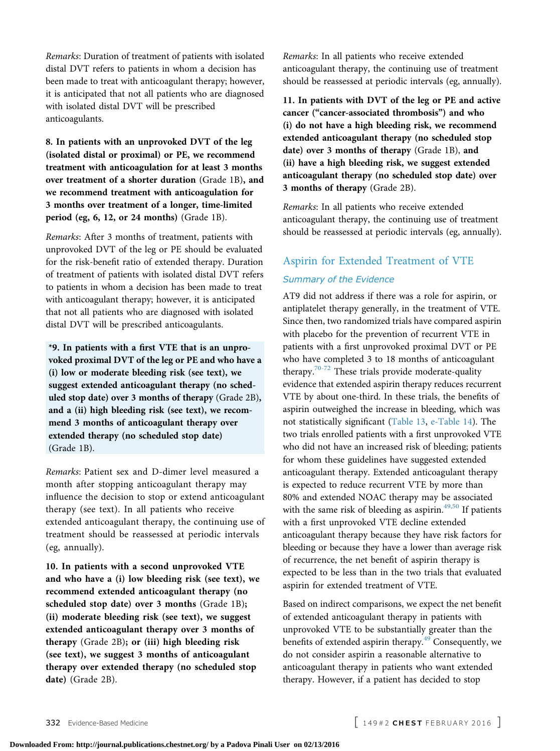Remarks: Duration of treatment of patients with isolated distal DVT refers to patients in whom a decision has been made to treat with anticoagulant therapy; however, it is anticipated that not all patients who are diagnosed with isolated distal DVT will be prescribed anticoagulants.

8. In patients with an unprovoked DVT of the leg (isolated distal or proximal) or PE, we recommend treatment with anticoagulation for at least 3 months over treatment of a shorter duration (Grade 1B), and we recommend treatment with anticoagulation for 3 months over treatment of a longer, time-limited period (eg, 6, 12, or 24 months) (Grade 1B).

Remarks: After 3 months of treatment, patients with unprovoked DVT of the leg or PE should be evaluated for the risk-benefit ratio of extended therapy. Duration of treatment of patients with isolated distal DVT refers to patients in whom a decision has been made to treat with anticoagulant therapy; however, it is anticipated that not all patients who are diagnosed with isolated distal DVT will be prescribed anticoagulants.

\*9. In patients with a first VTE that is an unprovoked proximal DVT of the leg or PE and who have a (i) low or moderate bleeding risk (see text), we suggest extended anticoagulant therapy (no scheduled stop date) over 3 months of therapy (Grade 2B), and a (ii) high bleeding risk (see text), we recommend 3 months of anticoagulant therapy over extended therapy (no scheduled stop date) (Grade 1B).

Remarks: Patient sex and D-dimer level measured a month after stopping anticoagulant therapy may influence the decision to stop or extend anticoagulant therapy (see text). In all patients who receive extended anticoagulant therapy, the continuing use of treatment should be reassessed at periodic intervals (eg, annually).

10. In patients with a second unprovoked VTE and who have a (i) low bleeding risk (see text), we recommend extended anticoagulant therapy (no scheduled stop date) over 3 months (Grade 1B); (ii) moderate bleeding risk (see text), we suggest extended anticoagulant therapy over 3 months of therapy (Grade 2B); or (iii) high bleeding risk (see text), we suggest 3 months of anticoagulant therapy over extended therapy (no scheduled stop date) (Grade 2B).

Remarks: In all patients who receive extended anticoagulant therapy, the continuing use of treatment should be reassessed at periodic intervals (eg, annually).

11. In patients with DVT of the leg or PE and active cancer ("cancer-associated thrombosis") and who (i) do not have a high bleeding risk, we recommend extended anticoagulant therapy (no scheduled stop date) over 3 months of therapy (Grade 1B), and (ii) have a high bleeding risk, we suggest extended anticoagulant therapy (no scheduled stop date) over 3 months of therapy (Grade 2B).

Remarks: In all patients who receive extended anticoagulant therapy, the continuing use of treatment should be reassessed at periodic intervals (eg, annually).

# Aspirin for Extended Treatment of VTE

### Summary of the Evidence

AT9 did not address if there was a role for aspirin, or antiplatelet therapy generally, in the treatment of VTE. Since then, two randomized trials have compared aspirin with placebo for the prevention of recurrent VTE in patients with a first unprovoked proximal DVT or PE who have completed 3 to 18 months of anticoagulant therapy.<sup>70-72</sup> These trials provide moderate-quality evidence that extended aspirin therapy reduces recurrent VTE by about one-third. In these trials, the benefits of aspirin outweighed the increase in bleeding, which was not statistically significant ([Table 13,](#page-18-0) e-Table 14). The two trials enrolled patients with a first unprovoked VTE who did not have an increased risk of bleeding; patients for whom these guidelines have suggested extended anticoagulant therapy. Extended anticoagulant therapy is expected to reduce recurrent VTE by more than 80% and extended NOAC therapy may be associated with the same risk of bleeding as aspirin. $49,50$  If patients with a first unprovoked VTE decline extended anticoagulant therapy because they have risk factors for bleeding or because they have a lower than average risk of recurrence, the net benefit of aspirin therapy is expected to be less than in the two trials that evaluated aspirin for extended treatment of VTE.

Based on indirect comparisons, we expect the net benefit of extended anticoagulant therapy in patients with unprovoked VTE to be substantially greater than the benefits of extended aspirin therapy.<sup>[49](#page-32-0)</sup> Consequently, we do not consider aspirin a reasonable alternative to anticoagulant therapy in patients who want extended therapy. However, if a patient has decided to stop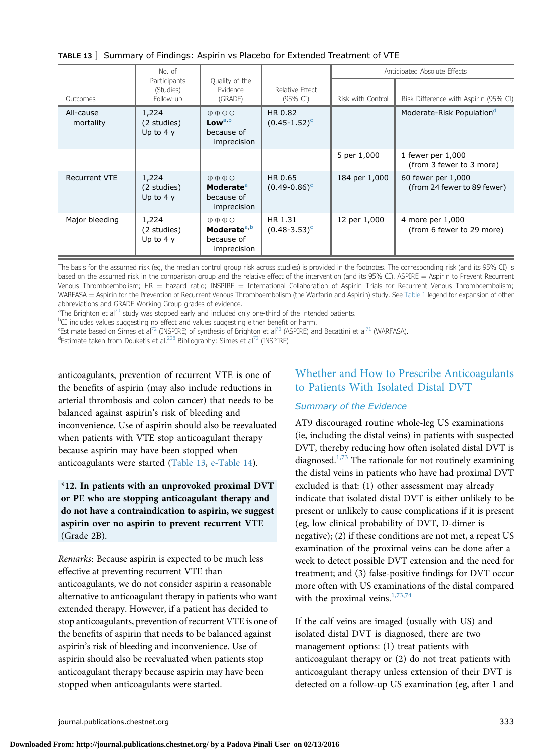<span id="page-18-0"></span>

|  |  |  | TABLE 13 ] Summary of Findings: Aspirin vs Placebo for Extended Treatment of VTE |  |
|--|--|--|----------------------------------------------------------------------------------|--|
|  |  |  |                                                                                  |  |

|                        | No. of                                 |                                                                                             |                              |                   | Anticipated Absolute Effects                      |
|------------------------|----------------------------------------|---------------------------------------------------------------------------------------------|------------------------------|-------------------|---------------------------------------------------|
| Outcomes               | Participants<br>(Studies)<br>Follow-up | Quality of the<br><b>Fvidence</b><br>(GRADE)                                                | Relative Effect<br>(95% CI)  | Risk with Control | Risk Difference with Aspirin (95% CI)             |
| All-cause<br>mortality | 1,224<br>(2 studies)<br>Up to $4y$     | $\oplus$ $\oplus$ $\ominus$<br>Low <sup>a,b</sup><br>because of<br>imprecision              | HR 0.82<br>$(0.45 - 1.52)^c$ |                   | Moderate-Risk Population <sup>d</sup>             |
|                        |                                        |                                                                                             |                              | 5 per 1,000       | 1 fewer per 1,000<br>(from 3 fewer to 3 more)     |
| <b>Recurrent VTE</b>   | 1,224<br>(2 studies)<br>Up to $4y$     | $\oplus \oplus \oplus \ominus$<br><b>Moderate</b> <sup>a</sup><br>because of<br>imprecision | HR 0.65<br>$(0.49 - 0.86)^c$ | 184 per 1,000     | 60 fewer per 1,000<br>(from 24 fewer to 89 fewer) |
| Major bleeding         | 1,224<br>(2 studies)<br>Up to $4y$     | $\oplus$ $\oplus$ $\oplus$<br>Moderate <sup>a,b</sup><br>because of<br>imprecision          | HR 1.31<br>$(0.48 - 3.53)^c$ | 12 per 1,000      | 4 more per 1,000<br>(from 6 fewer to 29 more)     |

The basis for the assumed risk (eg, the median control group risk across studies) is provided in the footnotes. The corresponding risk (and its 95% CI) is based on the assumed risk in the comparison group and the relative effect of the intervention (and its 95% CI). ASPIRE = Aspirin to Prevent Recurrent Venous Thromboembolism; HR = hazard ratio; INSPIRE = International Collaboration of Aspirin Trials for Recurrent Venous Thromboembolism; WARFASA = Aspirin for the Prevention of Recurrent Venous Thromboembolism (the Warfarin and Aspirin) study. See [Table 1](#page-7-0) legend for expansion of other abbreviations and GRADE Working Group grades of evidence.

<sup>a</sup>The Brighton et al<sup>70</sup> study was stopped early and included only one-third of the intended patients.

<sup>b</sup>CI includes values suggesting no effect and values suggesting either benefit or harm.

"Estimate based on Simes et al<sup>[72](#page-33-0)</sup> (INSPIRE) of synthesis of Brighton et al<sup>[70](#page-33-0)</sup> (ASPIRE) and Becattini et al<sup>[71](#page-33-0)</sup> (WARFASA).

<sup>d</sup>Estimate taken from Douketis et al.<sup>228</sup> Bibliography: Simes et al<sup>72</sup> (INSPIRE)

anticoagulants, prevention of recurrent VTE is one of the benefits of aspirin (may also include reductions in arterial thrombosis and colon cancer) that needs to be balanced against aspirin's risk of bleeding and inconvenience. Use of aspirin should also be reevaluated when patients with VTE stop anticoagulant therapy because aspirin may have been stopped when anticoagulants were started (Table 13, e-Table 14).

### \*12. In patients with an unprovoked proximal DVT or PE who are stopping anticoagulant therapy and do not have a contraindication to aspirin, we suggest aspirin over no aspirin to prevent recurrent VTE (Grade 2B).

Remarks: Because aspirin is expected to be much less effective at preventing recurrent VTE than anticoagulants, we do not consider aspirin a reasonable alternative to anticoagulant therapy in patients who want extended therapy. However, if a patient has decided to stop anticoagulants, prevention of recurrent VTE is one of the benefits of aspirin that needs to be balanced against aspirin's risk of bleeding and inconvenience. Use of aspirin should also be reevaluated when patients stop anticoagulant therapy because aspirin may have been stopped when anticoagulants were started.

### Whether and How to Prescribe Anticoagulants to Patients With Isolated Distal DVT

### Summary of the Evidence

AT9 discouraged routine whole-leg US examinations (ie, including the distal veins) in patients with suspected DVT, thereby reducing how often isolated distal DVT is diagnosed.<sup>[1,73](#page-31-0)</sup> The rationale for not routinely examining the distal veins in patients who have had proximal DVT excluded is that: (1) other assessment may already indicate that isolated distal DVT is either unlikely to be present or unlikely to cause complications if it is present (eg, low clinical probability of DVT, D-dimer is negative); (2) if these conditions are not met, a repeat US examination of the proximal veins can be done after a week to detect possible DVT extension and the need for treatment; and (3) false-positive findings for DVT occur more often with US examinations of the distal compared with the proximal veins. $1,73,74$ 

If the calf veins are imaged (usually with US) and isolated distal DVT is diagnosed, there are two management options: (1) treat patients with anticoagulant therapy or (2) do not treat patients with anticoagulant therapy unless extension of their DVT is detected on a follow-up US examination (eg, after 1 and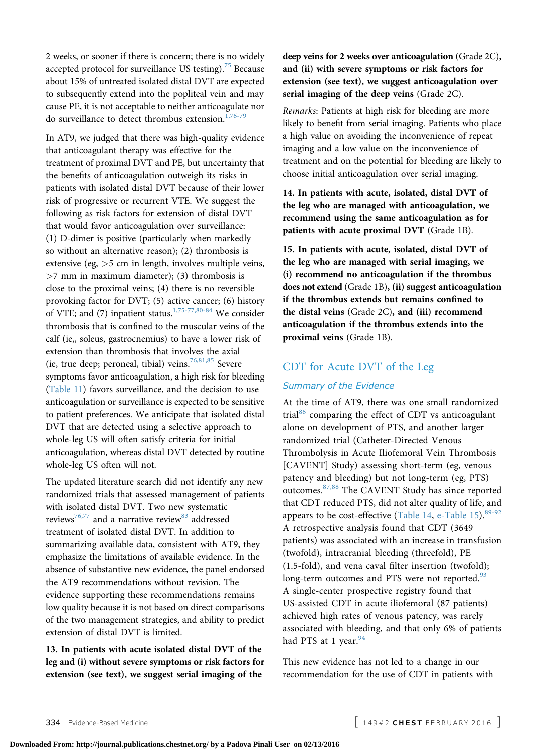2 weeks, or sooner if there is concern; there is no widely accepted protocol for surveillance US testing).<sup>[75](#page-33-0)</sup> Because about 15% of untreated isolated distal DVT are expected to subsequently extend into the popliteal vein and may cause PE, it is not acceptable to neither anticoagulate nor do surveillance to detect thrombus extension.<sup>[1,76-79](#page-31-0)</sup>

In AT9, we judged that there was high-quality evidence that anticoagulant therapy was effective for the treatment of proximal DVT and PE, but uncertainty that the benefits of anticoagulation outweigh its risks in patients with isolated distal DVT because of their lower risk of progressive or recurrent VTE. We suggest the following as risk factors for extension of distal DVT that would favor anticoagulation over surveillance: (1) D-dimer is positive (particularly when markedly so without an alternative reason); (2) thrombosis is extensive (eg, >5 cm in length, involves multiple veins, >7 mm in maximum diameter); (3) thrombosis is close to the proximal veins; (4) there is no reversible provoking factor for DVT; (5) active cancer; (6) history of VTE; and (7) inpatient status.<sup>[1,75-77,80-84](#page-31-0)</sup> We consider thrombosis that is confined to the muscular veins of the calf (ie,, soleus, gastrocnemius) to have a lower risk of extension than thrombosis that involves the axial (ie, true deep; peroneal, tibial) veins.<sup>[76,81,85](#page-33-0)</sup> Severe symptoms favor anticoagulation, a high risk for bleeding [\(Table 11](#page-14-0)) favors surveillance, and the decision to use anticoagulation or surveillance is expected to be sensitive to patient preferences. We anticipate that isolated distal DVT that are detected using a selective approach to whole-leg US will often satisfy criteria for initial anticoagulation, whereas distal DVT detected by routine whole-leg US often will not.

The updated literature search did not identify any new randomized trials that assessed management of patients with isolated distal DVT. Two new systematic reviews<sup>[76,77](#page-33-0)</sup> and a narrative review<sup>[83](#page-33-0)</sup> addressed treatment of isolated distal DVT. In addition to summarizing available data, consistent with AT9, they emphasize the limitations of available evidence. In the absence of substantive new evidence, the panel endorsed the AT9 recommendations without revision. The evidence supporting these recommendations remains low quality because it is not based on direct comparisons of the two management strategies, and ability to predict extension of distal DVT is limited.

13. In patients with acute isolated distal DVT of the leg and (i) without severe symptoms or risk factors for extension (see text), we suggest serial imaging of the

### deep veins for 2 weeks over anticoagulation (Grade 2C), and (ii) with severe symptoms or risk factors for extension (see text), we suggest anticoagulation over serial imaging of the deep veins (Grade 2C).

Remarks: Patients at high risk for bleeding are more likely to benefit from serial imaging. Patients who place a high value on avoiding the inconvenience of repeat imaging and a low value on the inconvenience of treatment and on the potential for bleeding are likely to choose initial anticoagulation over serial imaging.

14. In patients with acute, isolated, distal DVT of the leg who are managed with anticoagulation, we recommend using the same anticoagulation as for patients with acute proximal DVT (Grade 1B).

15. In patients with acute, isolated, distal DVT of the leg who are managed with serial imaging, we (i) recommend no anticoagulation if the thrombus does not extend (Grade 1B), (ii) suggest anticoagulation if the thrombus extends but remains confined to the distal veins (Grade 2C), and (iii) recommend anticoagulation if the thrombus extends into the proximal veins (Grade 1B).

# CDT for Acute DVT of the Leg

### Summary of the Evidence

At the time of AT9, there was one small randomized trial $86$  comparing the effect of CDT vs anticoagulant alone on development of PTS, and another larger randomized trial (Catheter-Directed Venous Thrombolysis in Acute Iliofemoral Vein Thrombosis [CAVENT] Study) assessing short-term (eg, venous patency and bleeding) but not long-term (eg, PTS) outcomes.[87,88](#page-33-0) The CAVENT Study has since reported that CDT reduced PTS, did not alter quality of life, and appears to be cost-effective ([Table 14](#page-20-0), e-Table 15).<sup>[89-92](#page-33-0)</sup> A retrospective analysis found that CDT (3649 patients) was associated with an increase in transfusion (twofold), intracranial bleeding (threefold), PE (1.5-fold), and vena caval filter insertion (twofold); long-term outcomes and PTS were not reported.<sup>[93](#page-34-0)</sup> A single-center prospective registry found that US-assisted CDT in acute iliofemoral (87 patients) achieved high rates of venous patency, was rarely associated with bleeding, and that only 6% of patients had PTS at 1 year.  $94$ 

This new evidence has not led to a change in our recommendation for the use of CDT in patients with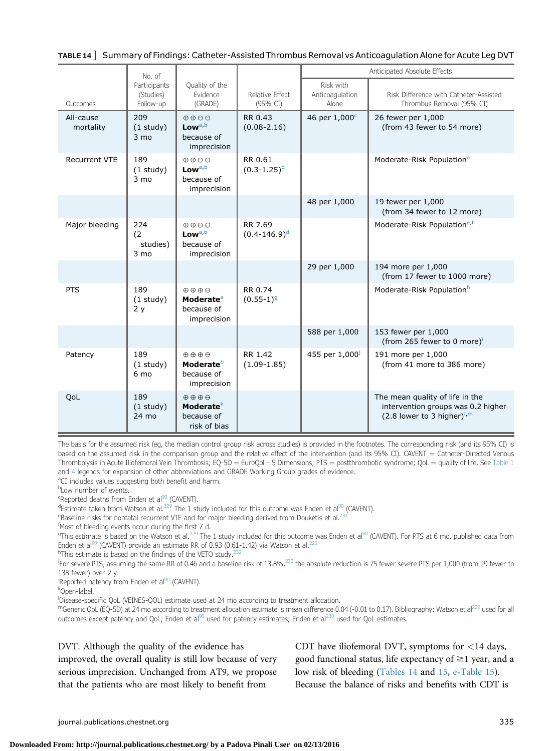#### <span id="page-20-0"></span>TABLE 14 ] Summary of Findings: Catheter-Assisted Thrombus Removal vs Anticoagulation Alone for Acute Leg DVT

|                        | No. of                                 |                                                                                   |                              | Anticipated Absolute Effects          |                                                                                                                   |  |
|------------------------|----------------------------------------|-----------------------------------------------------------------------------------|------------------------------|---------------------------------------|-------------------------------------------------------------------------------------------------------------------|--|
| Outcomes               | Participants<br>(Studies)<br>Follow-up | Quality of the<br>Evidence<br>(GRADE)                                             | Relative Effect<br>(95% CI)  | Risk with<br>Anticoagulation<br>Alone | Risk Difference with Catheter-Assisted<br>Thrombus Removal (95% CI)                                               |  |
| All-cause<br>mortality | 209<br>$(1$ study)<br>$3 \text{ mo}$   | $\oplus$ $\oplus$ $\ominus$<br>Low <sup>a,b</sup><br>because of<br>imprecision    | RR 0.43<br>$(0.08 - 2.16)$   | 46 per 1,000 <sup>c</sup>             | 26 fewer per 1,000<br>(from 43 fewer to 54 more)                                                                  |  |
| <b>Recurrent VTE</b>   | 189<br>$(1$ study)<br>$3 \text{ mo}$   | $\oplus$ $\oplus$ $\ominus$<br>Low <sup>a,b</sup><br>because of<br>imprecision    | RR 0.61<br>$(0.3 - 1.25)^d$  |                                       | Moderate-Risk Population <sup>e</sup>                                                                             |  |
|                        |                                        |                                                                                   |                              | 48 per 1,000                          | 19 fewer per 1,000<br>(from 34 fewer to 12 more)                                                                  |  |
| Major bleeding         | 224<br>(2)<br>studies)<br>3 mo         | $\oplus$ $\oplus$ $\ominus$<br>Low $a,b$<br>because of<br>imprecision             | RR 7.69<br>$(0.4 - 146.9)^d$ |                                       | Moderate-Risk Population <sup>e, f</sup>                                                                          |  |
|                        |                                        |                                                                                   |                              | 29 per 1,000                          | 194 more per 1,000<br>(from 17 fewer to 1000 more)                                                                |  |
| <b>PTS</b>             | 189<br>$(1$ study)<br>2y               | $\oplus$ $\oplus$ $\oplus$<br>Moderate <sup>a</sup><br>because of<br>imprecision  | RR 0.74<br>$(0.55-1)^9$      |                                       | Moderate-Risk Population <sup>h</sup>                                                                             |  |
|                        |                                        |                                                                                   |                              | 588 per 1,000                         | 153 fewer per 1,000<br>(from 265 fewer to 0 more) $\overline{ }$                                                  |  |
| Patency                | 189<br>$(1$ study)<br>6 mo             | $\oplus$ $\oplus$ $\oplus$<br>Moderate <sup>b</sup><br>because of<br>imprecision  | RR 1.42<br>$(1.09-1.85)$     | 455 per $1,000^{j}$                   | 191 more per 1,000<br>(from 41 more to 386 more)                                                                  |  |
| QoL                    | 189<br>$(1$ study)<br>24 mo            | $\oplus$ $\oplus$ $\oplus$<br>Moderate <sup>k</sup><br>because of<br>risk of bias |                              |                                       | The mean quality of life in the<br>intervention groups was 0.2 higher<br>$(2.8$ lower to 3 higher) <sup>1,m</sup> |  |

The basis for the assumed risk (eg, the median control group risk across studies) is provided in the footnotes. The corresponding risk (and its 95% CI) is based on the assumed risk in the comparison group and the relative effect of the intervention (and its 95% CI). CAVENT = Catheter-Directed Venous Thrombolysis in Acute Iliofemoral Vein Thrombosis; EQ-5D = EuroQol - 5 Dimensions; PTS = postthrombotic syndrome; QoL = quality of life. See [Table 1](#page-7-0) and [4](#page-9-0) legends for expansion of other abbreviations and GRADE Working Group grades of evidence.

<sup>a</sup>CI includes values suggesting both benefit and harm.

bLow number of events.

<sup>c</sup>Reported deaths from Enden et al<sup>[90](#page-34-0)</sup> (CAVENT).

 $^{\text{d}}$ Estimate taken from Watson et al. $^{229}$  $^{229}$  $^{229}$  The 1 study included for this outcome was Enden et al $^{90}$  (CAVENT).

<sup>e</sup>Baseline risks for nonfatal recurrent VTE and for major bleeding derived from Douketis et al.<sup>[231](#page-37-0)</sup>

f Most of bleeding events occur during the first 7 d.

 $^{\rm g}$ This estimate is based on the Watson et al. $^{229}$  $^{229}$  $^{229}$  The 1 study included for this outcome was Enden et al $^{90}$  $^{90}$  $^{90}$  (CAVENT). For PTS at 6 mo, published data from Enden et al<sup>90</sup> (CAVENT) provide an estimate RR of 0.93 (0.61-1.42) via Watson et al.<sup>[229](#page-37-0)</sup>

<sup>h</sup>This estimate is based on the findings of the VETO study.<sup>[232](#page-37-0)</sup>

<sup>i</sup>For severe PTS, assuming the same RR of 0.46 and a baseline risk of 13.8%,<sup>[232](#page-37-0)</sup> the absolute reduction is 75 fewer severe PTS per 1,000 (from 29 fewer to 138 fewer) over 2 y.

<sup>j</sup>Reported patency from Enden et al<sup>[90](#page-34-0)</sup> (CAVENT).

k Open-label.

l Disease-specific QoL (VEINES-QOL) estimate used at 24 mo according to treatment allocation.

mGeneric QoL (EQ-5D) at 24 mo according to treatment allocation estimate is mean difference 0.04 (-0.01 to 0.17). Bibliography: Watson et al<sup>[229](#page-37-0)</sup> used for all outcomes except patency and QoL; Enden et al $^{90}$  $^{90}$  $^{90}$  used for patency estimates; Enden et al $^{230}$  $^{230}$  $^{230}$  used for QoL estimates.

DVT. Although the quality of the evidence has improved, the overall quality is still low because of very serious imprecision. Unchanged from AT9, we propose that the patients who are most likely to benefit from

CDT have iliofemoral DVT, symptoms for <14 days, good functional status, life expectancy of  $\geq$ 1 year, and a low risk of bleeding (Tables 14 and [15,](#page-21-0) e-Table 15). Because the balance of risks and benefits with CDT is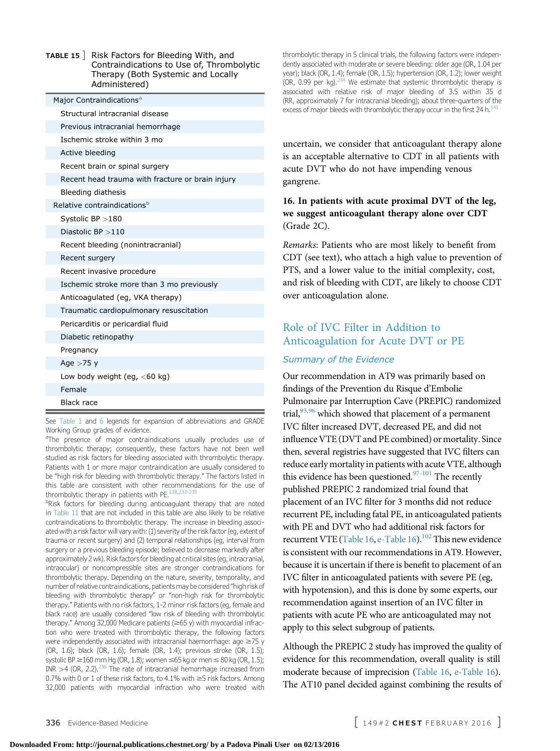<span id="page-21-0"></span>

| <b>TABLE 15</b> Risk Factors for Bleeding With, and |
|-----------------------------------------------------|
| Contraindications to Use of, Thrombolytic           |
| Therapy (Both Systemic and Locally                  |
| Administered)                                       |

| Major Contraindications <sup>a</sup>             |
|--------------------------------------------------|
| Structural intracranial disease                  |
| Previous intracranial hemorrhage                 |
| Ischemic stroke within 3 mo                      |
| Active bleeding                                  |
| Recent brain or spinal surgery                   |
| Recent head trauma with fracture or brain injury |
| <b>Bleeding diathesis</b>                        |
| Relative contraindications <sup>b</sup>          |
| Systolic $BP > 180$                              |
| Diastolic $BP > 110$                             |
| Recent bleeding (nonintracranial)                |
| Recent surgery                                   |
| Recent invasive procedure                        |
| Ischemic stroke more than 3 mo previously        |
| Anticoaqulated (eq. VKA therapy)                 |
| Traumatic cardiopulmonary resuscitation          |
| Pericarditis or pericardial fluid                |
| Diabetic retinopathy                             |
| Pregnancy                                        |
| Age $>75$ y                                      |
| Low body weight (eg, <60 kg)                     |
| Female                                           |
| <b>Black race</b>                                |
|                                                  |

See [Table 1](#page-7-0) and [6](#page-11-0) legends for expansion of abbreviations and GRADE Working Group grades of evidence.

<sup>a</sup>The presence of major contraindications usually precludes use of thrombolytic therapy; consequently, these factors have not been well studied as risk factors for bleeding associated with thrombolytic therapy. Patients with 1 or more major contraindication are usually considered to be "high risk for bleeding with thrombolytic therapy." The factors listed in this table are consistent with other recommendations for the use of thrombolytic therapy in patients with PE.[138,233-235](#page-35-0)

<sup>b</sup>Risk factors for bleeding during anticoagulant therapy that are noted in [Table 11](#page-14-0) that are not included in this table are also likely to be relative contraindications to thrombolytic therapy. The increase in bleeding associated with a risk factor will vary with: (1) severity of the risk factor (eg, extent of trauma or recent surgery) and (2) temporal relationships (eg, interval from surgery or a previous bleeding episode; believed to decrease markedly after approximately 2 wk). Risk factors for bleeding at critical sites (eg, intracranial, intraocular) or noncompressible sites are stronger contraindications for thrombolytic therapy. Depending on the nature, severity, temporality, and number of relative contraindications, patients may be considered "high risk of bleeding with thrombolytic therapy" or "non-high risk for thrombolytic therapy." Patients with no risk factors, 1-2 minor risk factors (eg, female and black race) are usually considered "low risk of bleeding with thrombolytic therapy." Among 32,000 Medicare patients ( $\geq$ 65 y) with myocardial infraction who were treated with thrombolytic therapy, the following factors were independently associated with intracranial haemorrhage:  $aq \ge 75$  y (OR, 1.6); black (OR, 1.6); female (OR, 1.4); previous stroke (OR, 1.5); systolic BP  $\geq$  160 mm Hg (OR, 1.8); women  $\leq$  65 kg or men  $\leq$  80 kg (OR, 1.5); INR  $>4$  (OR, 2.2).<sup>236</sup> The rate of intracranial hemorrhage increased from 0.7% with 0 or 1 of these risk factors, to 4.1% with  $\geq$ 5 risk factors. Among 32,000 patients with myocardial infraction who were treated with

thrombolytic therapy in 5 clinical trials, the following factors were independently associated with moderate or severe bleeding: older age (OR, 1.04 per year); black (OR, 1.4); female (OR, 1.5); hypertension (OR, 1.2); lower weight (OR, 0.99 per kg). $^{234}$  We estimate that systemic thrombolytic therapy is associated with relative risk of major bleeding of 3.5 within 35 d (RR, approximately 7 for intracranial bleeding); about three-quarters of the excess of major bleeds with thrombolytic therapy occur in the first 24 h. $^{14}$ 

uncertain, we consider that anticoagulant therapy alone is an acceptable alternative to CDT in all patients with acute DVT who do not have impending venous gangrene.

### 16. In patients with acute proximal DVT of the leg, we suggest anticoagulant therapy alone over CDT (Grade 2C).

Remarks: Patients who are most likely to benefit from CDT (see text), who attach a high value to prevention of PTS, and a lower value to the initial complexity, cost, and risk of bleeding with CDT, are likely to choose CDT over anticoagulation alone.

# Role of IVC Filter in Addition to Anticoagulation for Acute DVT or PE

### Summary of the Evidence

Our recommendation in AT9 was primarily based on findings of the Prevention du Risque d'Embolie Pulmonaire par Interruption Cave (PREPIC) randomized trial, $95,96$  which showed that placement of a permanent IVC filter increased DVT, decreased PE, and did not influence VTE (DVT and PE combined) or mortality. Since then, several registries have suggested that IVC filters can reduce early mortality in patients with acute VTE, although this evidence has been questioned. The recently published PREPIC 2 randomized trial found that placement of an IVC filter for 3 months did not reduce recurrent PE, including fatal PE, in anticoagulated patients with PE and DVT who had additional risk factors for recurrent VTE [\(Table 16,](#page-22-0) e-Table 16).<sup>102</sup> This new evidence is consistent with our recommendations in AT9. However, because it is uncertain if there is benefit to placement of an IVC filter in anticoagulated patients with severe PE (eg, with hypotension), and this is done by some experts, our recommendation against insertion of an IVC filter in patients with acute PE who are anticoagulated may not apply to this select subgroup of patients.

Although the PREPIC 2 study has improved the quality of evidence for this recommendation, overall quality is still moderate because of imprecision [\(Table 16](#page-22-0), e-Table 16). The AT10 panel decided against combining the results of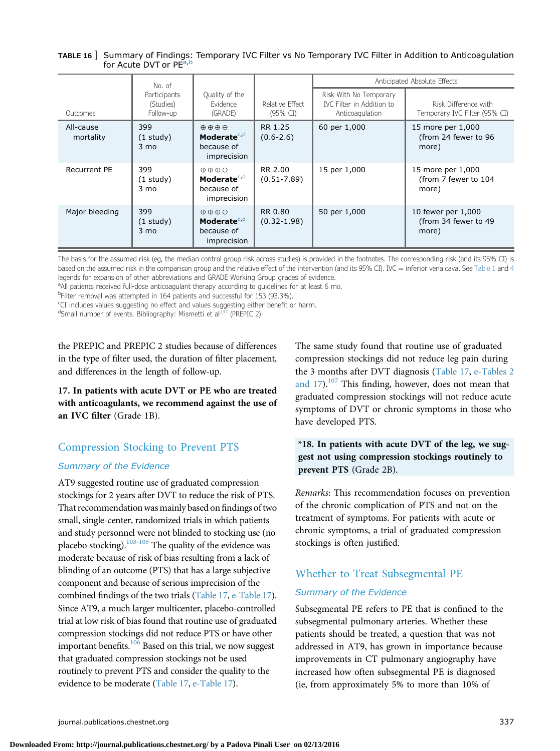<span id="page-22-0"></span>

|                                    |  | TABLE 16 ] Summary of Findings: Temporary IVC Filter vs No Temporary IVC Filter in Addition to Anticoagulation |
|------------------------------------|--|----------------------------------------------------------------------------------------------------------------|
| for Acute DVT or PE <sup>a,b</sup> |  |                                                                                                                |

|                        | No. of                                 |                                                                                        |                             |                                                                        | Anticipated Absolute Effects                          |  |
|------------------------|----------------------------------------|----------------------------------------------------------------------------------------|-----------------------------|------------------------------------------------------------------------|-------------------------------------------------------|--|
| Outcomes               | Participants<br>(Studies)<br>Follow-up | Quality of the<br><b>Fvidence</b><br>(GRADE)                                           | Relative Effect<br>(95% CI) | Risk With No Temporary<br>TVC Filter in Addition to<br>Anticoagulation | Risk Difference with<br>Temporary IVC Filter (95% CI) |  |
| All-cause<br>mortality | 399<br>(1 study)<br>$3 \text{ mo}$     | $\oplus$ $\oplus$ $\oplus$<br>Moderate <sup>c,d</sup><br>because of<br>imprecision     | RR 1.25<br>$(0.6 - 2.6)$    | 60 per 1,000                                                           | 15 more per 1,000<br>(from 24 fewer to 96<br>more)    |  |
| <b>Recurrent PE</b>    | 399<br>(1 study)<br>$3 \text{ mo}$     | $\oplus$ $\oplus$ $\oplus$<br>Moderate <sup>c,d</sup><br>because of<br>imprecision     | RR 2.00<br>$(0.51 - 7.89)$  | 15 per 1,000                                                           | 15 more per 1,000<br>(from 7 fewer to 104<br>more)    |  |
| Major bleeding         | 399<br>(1 study)<br>3 mo               | $\oplus \oplus \oplus \ominus$<br>Moderate <sup>c,d</sup><br>because of<br>imprecision | RR 0.80<br>$(0.32 - 1.98)$  | 50 per 1,000                                                           | 10 fewer per 1,000<br>(from 34 fewer to 49<br>more)   |  |

The basis for the assumed risk (eg, the median control group risk across studies) is provided in the footnotes. The corresponding risk (and its 95% CI) is based on the assumed risk in the comparison group and the relative effect of the intervention (and its 95% CI). IVC = inferior vena cava. See [Table 1](#page-7-0) and [4](#page-9-0) legends for expansion of other abbreviations and GRADE Working Group grades of evidence.

<sup>a</sup>All patients received full-dose anticoagulant therapy according to guidelines for at least 6 mo.

<sup>b</sup>Filter removal was attempted in 164 patients and successful for 153 (93.3%).

<sup>c</sup>CI includes values suggesting no effect and values suggesting either benefit or harm.

<sup>d</sup>Small number of events. Bibliography: Mismetti et al<sup>[237](#page-37-0)</sup> (PREPIC 2)

the PREPIC and PREPIC 2 studies because of differences in the type of filter used, the duration of filter placement, and differences in the length of follow-up.

17. In patients with acute DVT or PE who are treated with anticoagulants, we recommend against the use of an IVC filter (Grade 1B).

### Compression Stocking to Prevent PTS

### Summary of the Evidence

AT9 suggested routine use of graduated compression stockings for 2 years after DVT to reduce the risk of PTS. That recommendation was mainly based on findings of two small, single-center, randomized trials in which patients and study personnel were not blinded to stocking use (no placebo stocking). $103-105$  The quality of the evidence was moderate because of risk of bias resulting from a lack of blinding of an outcome (PTS) that has a large subjective component and because of serious imprecision of the combined findings of the two trials ([Table 17](#page-23-0), e-Table 17). Since AT9, a much larger multicenter, placebo-controlled trial at low risk of bias found that routine use of graduated compression stockings did not reduce PTS or have other important benefits.<sup>[106](#page-34-0)</sup> Based on this trial, we now suggest that graduated compression stockings not be used routinely to prevent PTS and consider the quality to the evidence to be moderate [\(Table 17,](#page-23-0) e-Table 17).

The same study found that routine use of graduated compression stockings did not reduce leg pain during the 3 months after DVT diagnosis [\(Table 17,](#page-23-0) e-Tables 2 and  $17$ ).<sup>[107](#page-34-0)</sup> This finding, however, does not mean that graduated compression stockings will not reduce acute symptoms of DVT or chronic symptoms in those who have developed PTS.

### \*18. In patients with acute DVT of the leg, we suggest not using compression stockings routinely to prevent PTS (Grade 2B).

Remarks: This recommendation focuses on prevention of the chronic complication of PTS and not on the treatment of symptoms. For patients with acute or chronic symptoms, a trial of graduated compression stockings is often justified.

### Whether to Treat Subsegmental PE

### Summary of the Evidence

Subsegmental PE refers to PE that is confined to the subsegmental pulmonary arteries. Whether these patients should be treated, a question that was not addressed in AT9, has grown in importance because improvements in CT pulmonary angiography have increased how often subsegmental PE is diagnosed (ie, from approximately 5% to more than 10% of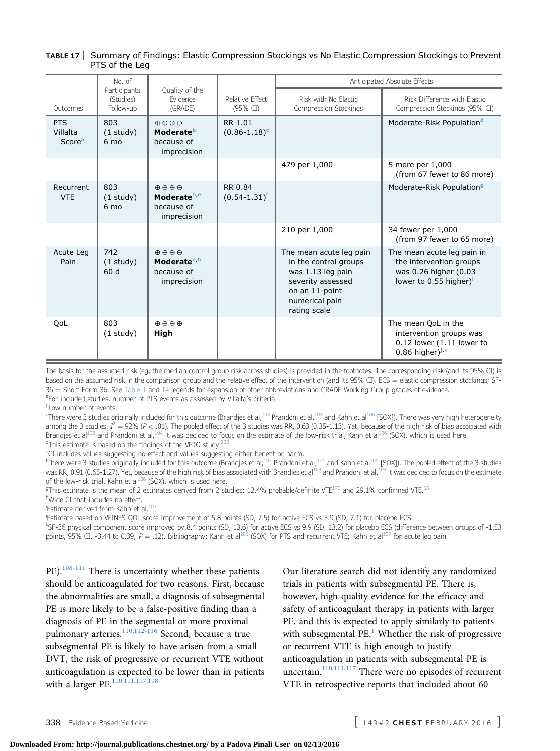#### <span id="page-23-0"></span>TABLE 17 ] Summary of Findings: Elastic Compression Stockings vs No Elastic Compression Stockings to Prevent PTS of the Leg

|                                              | No. of                                 |                                                                                        |                              | Anticipated Absolute Effects                                                                                                                   |                                                                                                                        |  |
|----------------------------------------------|----------------------------------------|----------------------------------------------------------------------------------------|------------------------------|------------------------------------------------------------------------------------------------------------------------------------------------|------------------------------------------------------------------------------------------------------------------------|--|
| Outcomes                                     | Participants<br>(Studies)<br>Follow-up | Quality of the<br>Evidence<br>(GRADE)                                                  | Relative Effect<br>(95% CI)  | Risk with No Flastic<br>Compression Stockings                                                                                                  | Risk Difference with Elastic<br>Compression Stockings (95% CI)                                                         |  |
| <b>PTS</b><br>Villalta<br>Score <sup>a</sup> | 803<br>$(1$ study)<br>6 mo             | $\oplus \oplus \oplus \ominus$<br>Moderate <sup>b</sup><br>because of<br>imprecision   | RR 1.01<br>$(0.86 - 1.18)^c$ |                                                                                                                                                | Moderate-Risk Population <sup>d</sup>                                                                                  |  |
|                                              |                                        |                                                                                        |                              | 479 per 1,000                                                                                                                                  | 5 more per 1,000<br>(from 67 fewer to 86 more)                                                                         |  |
| Recurrent<br><b>VTE</b>                      | 803<br>$(1$ study)<br>6 mo             | $\oplus$ $\oplus$ $\oplus$<br>Moderate <sup>b,e</sup><br>because of<br>imprecision     | RR 0.84<br>$(0.54 - 1.31)^f$ |                                                                                                                                                | Moderate-Risk Population <sup>9</sup>                                                                                  |  |
|                                              |                                        |                                                                                        |                              | 210 per 1,000                                                                                                                                  | 34 fewer per 1,000<br>(from 97 fewer to 65 more)                                                                       |  |
| Acute Leg<br>Pain                            | 742<br>$(1$ study)<br>60 d             | $\oplus \oplus \oplus \ominus$<br>Moderate <sup>e,h</sup><br>because of<br>imprecision |                              | The mean acute leg pain<br>in the control groups<br>was 1.13 leg pain<br>severity assessed<br>on an 11-point<br>numerical pain<br>rating scale | The mean acute leg pain in<br>the intervention groups<br>was 0.26 higher (0.03<br>lower to $0.55$ higher) <sup>i</sup> |  |
| QoL                                          | 803<br>$(1$ study)                     | $\oplus$ $\oplus$ $\oplus$<br>High                                                     |                              |                                                                                                                                                | The mean QoL in the<br>intervention groups was<br>$0.12$ lower $(1.11$ lower to<br>0.86 higher) $j^k$                  |  |

The basis for the assumed risk (eg, the median control group risk across studies) is provided in the footnotes. The corresponding risk (and its 95% CI) is based on the assumed risk in the comparison group and the relative effect of the intervention (and its 95% CI). ECS = elastic compression stockings; SF- $36 =$  Short Form 36. See [Table 1](#page-7-0) and [14](#page-20-0) legends for expansion of other abbreviations and GRADE Working Group grades of evidence. <sup>a</sup>For included studies, number of PTS events as assessed by Villalta's criteria

bLow number of events.

 $^\mathrm{c}$ There were 3 studies originally included for this outcome (Brandjes et al, $^{103}$  Prandoni et al, $^{104}$  $^{104}$  $^{104}$  and Kahn et al $^{106}$  [SOX]). There was very high heterogeneity among the 3 studies,  $I^2 = 92\%$  (P < .01). The pooled effect of the 3 studies was RR, 0.63 (0.35-1.13). Yet, because of the high risk of bias associated with Brandjes et al<sup>[103](#page-34-0)</sup> and Prandoni et al,<sup>104</sup> it was decided to focus on the estimate of the low-risk trial, Kahn et al<sup>[106](#page-34-0)</sup> (SOX), which is used here.<br><sup>d</sup>This estimate is based on the findings of the VETO study.<sup>[232](#page-37-0)</sup>

<sup>e</sup>CI includes values suggesting no effect and values suggesting either benefit or harm.

<sup>f</sup>There were 3 studies originally included for this outcome (Brandjes et al, $^{103}$  $^{103}$  $^{103}$  Prandoni et al, $^{104}$  $^{104}$  $^{104}$  and Kahn et al $^{106}$  $^{106}$  $^{106}$  [SOX]). The pooled effect of the 3 studies was RR, 0.91 (0.65-1.27). Yet, because of the high risk of bias associated with Brandjes et al.<sup>[103](#page-34-0)</sup> and Prandoni et al,<sup>[104](#page-34-0)</sup> it was decided to focus on the estimate of the low-risk trial, Kahn et  $a^{106}$  $a^{106}$  $a^{106}$  (SOX), which is used here.

 $^9$ This estimate is the mean of 2 estimates derived from 2 studies: 12.4% probable/definite VTE $^{170}$  $^{170}$  $^{170}$  and 29.1% confirmed VTE. $^{53}$  $^{53}$  $^{53}$ 

hWide CI that includes no effect.

Estimate derived from Kahn et al.<sup>[107](#page-34-0)</sup>

j Estimate based on VEINES-QOL score improvement of 5.8 points (SD, 7.5) for active ECS vs 5.9 (SD, 7.1) for placebo ECS.

k SF-36 physical component score improved by 8.4 points (SD, 13.6) for active ECS vs 9.9 (SD, 13.2) for placebo ECS (difference between groups of -1.53 points, 95% CI, -3.44 to 0.39;  $P = .12$ ). Bibliography: Kahn et al<sup>[106](#page-34-0)</sup> (SOX) for PTS and recurrent VTE; Kahn et al<sup>[107](#page-34-0)</sup> for acute leg pain

PE).<sup>[108-111](#page-34-0)</sup> There is uncertainty whether these patients should be anticoagulated for two reasons. First, because the abnormalities are small, a diagnosis of subsegmental PE is more likely to be a false-positive finding than a diagnosis of PE in the segmental or more proximal pulmonary arteries.<sup>[110,112-116](#page-34-0)</sup> Second, because a true subsegmental PE is likely to have arisen from a small DVT, the risk of progressive or recurrent VTE without anticoagulation is expected to be lower than in patients with a larger PE.<sup>[110,111,117,118](#page-34-0)</sup>

Our literature search did not identify any randomized trials in patients with subsegmental PE. There is, however, high-quality evidence for the efficacy and safety of anticoagulant therapy in patients with larger PE, and this is expected to apply similarly to patients with subsegmental  $PE<sup>1</sup>$  $PE<sup>1</sup>$  $PE<sup>1</sup>$ . Whether the risk of progressive or recurrent VTE is high enough to justify anticoagulation in patients with subsegmental PE is uncertain. $110,111,117$  There were no episodes of recurrent VTE in retrospective reports that included about 60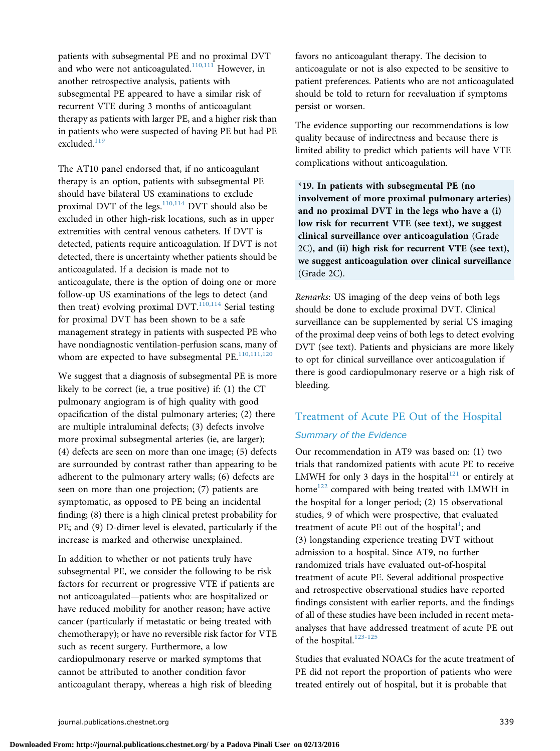patients with subsegmental PE and no proximal DVT and who were not anticoagulated.<sup>110,111</sup> However, in another retrospective analysis, patients with subsegmental PE appeared to have a similar risk of recurrent VTE during 3 months of anticoagulant therapy as patients with larger PE, and a higher risk than in patients who were suspected of having PE but had PE excluded. $119$ 

The AT10 panel endorsed that, if no anticoagulant therapy is an option, patients with subsegmental PE should have bilateral US examinations to exclude proximal DVT of the legs.[110,114](#page-34-0) DVT should also be excluded in other high-risk locations, such as in upper extremities with central venous catheters. If DVT is detected, patients require anticoagulation. If DVT is not detected, there is uncertainty whether patients should be anticoagulated. If a decision is made not to anticoagulate, there is the option of doing one or more follow-up US examinations of the legs to detect (and then treat) evolving proximal DVT. $^{110,114}$  Serial testing for proximal DVT has been shown to be a safe management strategy in patients with suspected PE who have nondiagnostic ventilation-perfusion scans, many of whom are expected to have subsegmental PE.<sup>[110,111,120](#page-34-0)</sup>

We suggest that a diagnosis of subsegmental PE is more likely to be correct (ie, a true positive) if: (1) the CT pulmonary angiogram is of high quality with good opacification of the distal pulmonary arteries; (2) there are multiple intraluminal defects; (3) defects involve more proximal subsegmental arteries (ie, are larger); (4) defects are seen on more than one image; (5) defects are surrounded by contrast rather than appearing to be adherent to the pulmonary artery walls; (6) defects are seen on more than one projection; (7) patients are symptomatic, as opposed to PE being an incidental finding; (8) there is a high clinical pretest probability for PE; and (9) D-dimer level is elevated, particularly if the increase is marked and otherwise unexplained.

In addition to whether or not patients truly have subsegmental PE, we consider the following to be risk factors for recurrent or progressive VTE if patients are not anticoagulated—patients who: are hospitalized or have reduced mobility for another reason; have active cancer (particularly if metastatic or being treated with chemotherapy); or have no reversible risk factor for VTE such as recent surgery. Furthermore, a low cardiopulmonary reserve or marked symptoms that cannot be attributed to another condition favor anticoagulant therapy, whereas a high risk of bleeding

favors no anticoagulant therapy. The decision to anticoagulate or not is also expected to be sensitive to patient preferences. Patients who are not anticoagulated should be told to return for reevaluation if symptoms persist or worsen.

The evidence supporting our recommendations is low quality because of indirectness and because there is limited ability to predict which patients will have VTE complications without anticoagulation.

\*19. In patients with subsegmental PE (no involvement of more proximal pulmonary arteries) and no proximal DVT in the legs who have a (i) low risk for recurrent VTE (see text), we suggest clinical surveillance over anticoagulation (Grade 2C), and (ii) high risk for recurrent VTE (see text), we suggest anticoagulation over clinical surveillance (Grade 2C).

Remarks: US imaging of the deep veins of both legs should be done to exclude proximal DVT. Clinical surveillance can be supplemented by serial US imaging of the proximal deep veins of both legs to detect evolving DVT (see text). Patients and physicians are more likely to opt for clinical surveillance over anticoagulation if there is good cardiopulmonary reserve or a high risk of bleeding.

# Treatment of Acute PE Out of the Hospital Summary of the Evidence

Our recommendation in AT9 was based on: (1) two trials that randomized patients with acute PE to receive LMWH for only 3 days in the hospital $121$  or entirely at home<sup>[122](#page-34-0)</sup> compared with being treated with LMWH in the hospital for a longer period; (2) 15 observational studies, 9 of which were prospective, that evaluated treatment of acute PE out of the hospital<sup>[1](#page-31-0)</sup>; and (3) longstanding experience treating DVT without admission to a hospital. Since AT9, no further randomized trials have evaluated out-of-hospital treatment of acute PE. Several additional prospective and retrospective observational studies have reported findings consistent with earlier reports, and the findings of all of these studies have been included in recent metaanalyses that have addressed treatment of acute PE out of the hospital.<sup>[123-125](#page-34-0)</sup>

Studies that evaluated NOACs for the acute treatment of PE did not report the proportion of patients who were treated entirely out of hospital, but it is probable that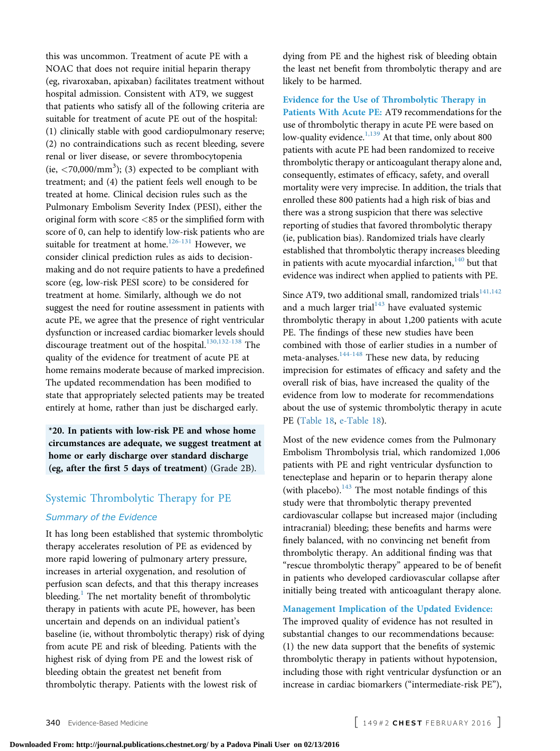this was uncommon. Treatment of acute PE with a NOAC that does not require initial heparin therapy (eg, rivaroxaban, apixaban) facilitates treatment without hospital admission. Consistent with AT9, we suggest that patients who satisfy all of the following criteria are suitable for treatment of acute PE out of the hospital: (1) clinically stable with good cardiopulmonary reserve; (2) no contraindications such as recent bleeding, severe renal or liver disease, or severe thrombocytopenia (ie,  $\langle 70,000/\text{mm}^3$ ); (3) expected to be compliant with treatment; and (4) the patient feels well enough to be treated at home. Clinical decision rules such as the Pulmonary Embolism Severity Index (PESI), either the original form with score <85 or the simplified form with score of 0, can help to identify low-risk patients who are suitable for treatment at home.<sup>[126-131](#page-34-0)</sup> However, we consider clinical prediction rules as aids to decisionmaking and do not require patients to have a predefined score (eg, low-risk PESI score) to be considered for treatment at home. Similarly, although we do not suggest the need for routine assessment in patients with acute PE, we agree that the presence of right ventricular dysfunction or increased cardiac biomarker levels should discourage treatment out of the hospital. $130,132-138$  The quality of the evidence for treatment of acute PE at home remains moderate because of marked imprecision. The updated recommendation has been modified to state that appropriately selected patients may be treated entirely at home, rather than just be discharged early.

\*20. In patients with low-risk PE and whose home circumstances are adequate, we suggest treatment at home or early discharge over standard discharge (eg, after the first 5 days of treatment) (Grade 2B).

### Systemic Thrombolytic Therapy for PE

### Summary of the Evidence

It has long been established that systemic thrombolytic therapy accelerates resolution of PE as evidenced by more rapid lowering of pulmonary artery pressure, increases in arterial oxygenation, and resolution of perfusion scan defects, and that this therapy increases bleeding. $<sup>1</sup>$  $<sup>1</sup>$  $<sup>1</sup>$  The net mortality benefit of thrombolytic</sup> therapy in patients with acute PE, however, has been uncertain and depends on an individual patient's baseline (ie, without thrombolytic therapy) risk of dying from acute PE and risk of bleeding. Patients with the highest risk of dying from PE and the lowest risk of bleeding obtain the greatest net benefit from thrombolytic therapy. Patients with the lowest risk of

dying from PE and the highest risk of bleeding obtain the least net benefit from thrombolytic therapy and are likely to be harmed.

Evidence for the Use of Thrombolytic Therapy in Patients With Acute PE: AT9 recommendations for the use of thrombolytic therapy in acute PE were based on low-quality evidence.<sup>1,139</sup> At that time, only about 800 patients with acute PE had been randomized to receive thrombolytic therapy or anticoagulant therapy alone and, consequently, estimates of efficacy, safety, and overall mortality were very imprecise. In addition, the trials that enrolled these 800 patients had a high risk of bias and there was a strong suspicion that there was selective reporting of studies that favored thrombolytic therapy (ie, publication bias). Randomized trials have clearly established that thrombolytic therapy increases bleeding in patients with acute myocardial infarction, $140$  but that evidence was indirect when applied to patients with PE.

Since AT9, two additional small, randomized trials $141,142$ and a much larger trial $143$  have evaluated systemic thrombolytic therapy in about 1,200 patients with acute PE. The findings of these new studies have been combined with those of earlier studies in a number of meta-analyses. $144-148$  These new data, by reducing imprecision for estimates of efficacy and safety and the overall risk of bias, have increased the quality of the evidence from low to moderate for recommendations about the use of systemic thrombolytic therapy in acute PE ([Table 18](#page-26-0), e-Table 18).

Most of the new evidence comes from the Pulmonary Embolism Thrombolysis trial, which randomized 1,006 patients with PE and right ventricular dysfunction to tenecteplase and heparin or to heparin therapy alone (with placebo). $143$  The most notable findings of this study were that thrombolytic therapy prevented cardiovascular collapse but increased major (including intracranial) bleeding; these benefits and harms were finely balanced, with no convincing net benefit from thrombolytic therapy. An additional finding was that "rescue thrombolytic therapy" appeared to be of benefit in patients who developed cardiovascular collapse after initially being treated with anticoagulant therapy alone.

Management Implication of the Updated Evidence: The improved quality of evidence has not resulted in substantial changes to our recommendations because: (1) the new data support that the benefits of systemic thrombolytic therapy in patients without hypotension, including those with right ventricular dysfunction or an increase in cardiac biomarkers ("intermediate-risk PE"),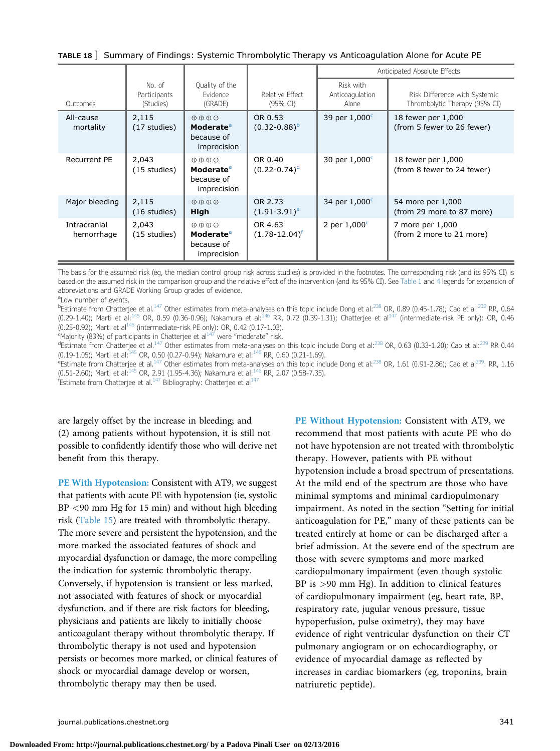<span id="page-26-0"></span>

|  |  |  | TABLE 18 Summary of Findings: Systemic Thrombolytic Therapy vs Anticoagulation Alone for Acute PE |  |
|--|--|--|---------------------------------------------------------------------------------------------------|--|
|  |  |  |                                                                                                   |  |

|                            |                                     |                                                                                             |                                 | Anticipated Absolute Effects          |                                                                |
|----------------------------|-------------------------------------|---------------------------------------------------------------------------------------------|---------------------------------|---------------------------------------|----------------------------------------------------------------|
| Outcomes                   | No. of<br>Participants<br>(Studies) | Quality of the<br>Evidence<br>(GRADE)                                                       | Relative Effect<br>(95% CI)     | Risk with<br>Anticoagulation<br>Alone | Risk Difference with Systemic<br>Thrombolytic Therapy (95% CI) |
| All-cause<br>mortality     | 2,115<br>$(17$ studies)             | $\oplus \oplus \oplus \ominus$<br><b>Moderate</b> <sup>a</sup><br>because of<br>imprecision | OR 0.53<br>$(0.32 - 0.88)^b$    | 39 per $1,000^{\circ}$                | 18 fewer per 1,000<br>(from 5 fewer to 26 fewer)               |
| <b>Recurrent PE</b>        | 2,043<br>(15 studies)               | $\oplus$ $\oplus$ $\oplus$<br>Moderate <sup>a</sup><br>because of<br>imprecision            | OR 0.40<br>$(0.22 - 0.74)^d$    | 30 per 1,000°                         | 18 fewer per 1,000<br>(from 8 fewer to 24 fewer)               |
| Major bleeding             | 2,115<br>(16 studies)               | $\oplus \oplus \oplus \oplus$<br>High                                                       | OR 2.73<br>$(1.91 - 3.91)^e$    | 34 per 1,000 <sup>c</sup>             | 54 more per 1,000<br>(from 29 more to 87 more)                 |
| Intracranial<br>hemorrhage | 2,043<br>$(15$ studies)             | $\oplus \oplus \oplus \ominus$<br>Moderate <sup>a</sup><br>because of<br>imprecision        | OR 4.63<br>$(1.78 - 12.04)^{t}$ | 2 per $1,000^{\circ}$                 | 7 more per 1,000<br>(from 2 more to 21 more)                   |

The basis for the assumed risk (eg, the median control group risk across studies) is provided in the footnotes. The corresponding risk (and its 95% CI) is based on the assumed risk in the comparison group and the relative effect of the intervention (and its 95% CI). See [Table 1](#page-7-0) and [4](#page-9-0) legends for expansion of abbreviations and GRADE Working Group grades of evidence.

aLow number of events.

<sup>b</sup>Estimate from Chatterjee et al.<sup>147</sup> Other estimates from meta-analyses on this topic include Dong et al:<sup>[238](#page-37-0)</sup> OR, 0.89 (0.45-1.78); Cao et al:<sup>[239](#page-37-0)</sup> RR, 0.64 (0.29-1.40); Marti et al:<sup>[145](#page-35-0)</sup> OR, 0.59 (0.36-0.96); Nakamura et al:<sup>[146](#page-35-0)</sup> RR, 0.72 (0.39-1.31); Chatteriee et al<sup>147</sup> (intermediate-risk PE only): OR, 0.46  $(0.25-0.92)$ ; Marti et al<sup>[145](#page-35-0)</sup> (intermediate-risk PE only): OR, 0.42 (0.17-1.03).

<sup>c</sup>Majority (83%) of participants in Chatterjee et al<sup>[147](#page-35-0)</sup> were "moderate" risk.

<sup>d</sup>Estimate from Chatterjee et al.<sup>[147](#page-35-0)</sup> Other estimates from meta-analyses on this topic include Dong et al:<sup>[238](#page-37-0)</sup> OR, 0.63 (0.33-1.20); Cao et al:<sup>[239](#page-37-0)</sup> RR 0.44 (0.19-1.05); Marti et al:[145](#page-35-0) OR, 0.50 (0.27-0.94); Nakamura et al:[146](#page-35-0) RR, 0.60 (0.21-1.69).

<sup>e</sup>Estimate from Chatterjee et al.<sup>147</sup> Other estimates from meta-analyses on this topic include Dong et al:<sup>[238](#page-37-0)</sup> OR, 1.61 (0.91-2.86); Cao et al<sup>[239](#page-37-0)</sup>: RR, 1.16 (0.51-2.60); Marti et al:<sup>[145](#page-35-0)</sup> OR, 2.91 (1.95-4.36); Nakamura et al:<sup>[146](#page-35-0)</sup> RR, 2.07 (0.58-7.35).

<sup>f</sup>Estimate from Chatterjee et al.<sup>[147](#page-35-0)</sup> Bibliography: Chatterjee et al<sup>147</sup>

are largely offset by the increase in bleeding; and (2) among patients without hypotension, it is still not possible to confidently identify those who will derive net benefit from this therapy.

PE With Hypotension: Consistent with AT9, we suggest that patients with acute PE with hypotension (ie, systolic BP <90 mm Hg for 15 min) and without high bleeding risk [\(Table 15](#page-21-0)) are treated with thrombolytic therapy. The more severe and persistent the hypotension, and the more marked the associated features of shock and myocardial dysfunction or damage, the more compelling the indication for systemic thrombolytic therapy. Conversely, if hypotension is transient or less marked, not associated with features of shock or myocardial dysfunction, and if there are risk factors for bleeding, physicians and patients are likely to initially choose anticoagulant therapy without thrombolytic therapy. If thrombolytic therapy is not used and hypotension persists or becomes more marked, or clinical features of shock or myocardial damage develop or worsen, thrombolytic therapy may then be used.

PE Without Hypotension: Consistent with AT9, we recommend that most patients with acute PE who do not have hypotension are not treated with thrombolytic therapy. However, patients with PE without hypotension include a broad spectrum of presentations. At the mild end of the spectrum are those who have minimal symptoms and minimal cardiopulmonary impairment. As noted in the section "Setting for initial anticoagulation for PE," many of these patients can be treated entirely at home or can be discharged after a brief admission. At the severe end of the spectrum are those with severe symptoms and more marked cardiopulmonary impairment (even though systolic BP is >90 mm Hg). In addition to clinical features of cardiopulmonary impairment (eg, heart rate, BP, respiratory rate, jugular venous pressure, tissue hypoperfusion, pulse oximetry), they may have evidence of right ventricular dysfunction on their CT pulmonary angiogram or on echocardiography, or evidence of myocardial damage as reflected by increases in cardiac biomarkers (eg, troponins, brain natriuretic peptide).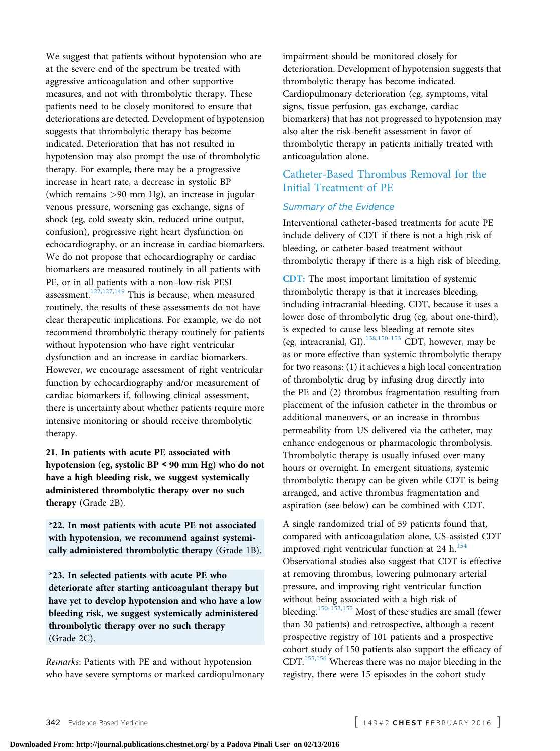We suggest that patients without hypotension who are at the severe end of the spectrum be treated with aggressive anticoagulation and other supportive measures, and not with thrombolytic therapy. These patients need to be closely monitored to ensure that deteriorations are detected. Development of hypotension suggests that thrombolytic therapy has become indicated. Deterioration that has not resulted in hypotension may also prompt the use of thrombolytic therapy. For example, there may be a progressive increase in heart rate, a decrease in systolic BP (which remains >90 mm Hg), an increase in jugular venous pressure, worsening gas exchange, signs of shock (eg, cold sweaty skin, reduced urine output, confusion), progressive right heart dysfunction on echocardiography, or an increase in cardiac biomarkers. We do not propose that echocardiography or cardiac biomarkers are measured routinely in all patients with PE, or in all patients with a non–low-risk PESI assessment.<sup>[122,127,149](#page-34-0)</sup> This is because, when measured routinely, the results of these assessments do not have clear therapeutic implications. For example, we do not recommend thrombolytic therapy routinely for patients without hypotension who have right ventricular dysfunction and an increase in cardiac biomarkers. However, we encourage assessment of right ventricular function by echocardiography and/or measurement of cardiac biomarkers if, following clinical assessment, there is uncertainty about whether patients require more intensive monitoring or should receive thrombolytic therapy.

21. In patients with acute PE associated with hypotension (eg, systolic BP < 90 mm Hg) who do not have a high bleeding risk, we suggest systemically administered thrombolytic therapy over no such therapy (Grade 2B).

\*22. In most patients with acute PE not associated with hypotension, we recommend against systemically administered thrombolytic therapy (Grade 1B).

\*23. In selected patients with acute PE who deteriorate after starting anticoagulant therapy but have yet to develop hypotension and who have a low bleeding risk, we suggest systemically administered thrombolytic therapy over no such therapy (Grade 2C).

Remarks: Patients with PE and without hypotension who have severe symptoms or marked cardiopulmonary impairment should be monitored closely for deterioration. Development of hypotension suggests that thrombolytic therapy has become indicated. Cardiopulmonary deterioration (eg, symptoms, vital signs, tissue perfusion, gas exchange, cardiac biomarkers) that has not progressed to hypotension may also alter the risk-benefit assessment in favor of thrombolytic therapy in patients initially treated with anticoagulation alone.

### Catheter-Based Thrombus Removal for the Initial Treatment of PE

### Summary of the Evidence

Interventional catheter-based treatments for acute PE include delivery of CDT if there is not a high risk of bleeding, or catheter-based treatment without thrombolytic therapy if there is a high risk of bleeding.

CDT: The most important limitation of systemic thrombolytic therapy is that it increases bleeding, including intracranial bleeding. CDT, because it uses a lower dose of thrombolytic drug (eg, about one-third), is expected to cause less bleeding at remote sites (eg, intracranial, GI).<sup>[138,150-153](#page-35-0)</sup> CDT, however, may be as or more effective than systemic thrombolytic therapy for two reasons: (1) it achieves a high local concentration of thrombolytic drug by infusing drug directly into the PE and (2) thrombus fragmentation resulting from placement of the infusion catheter in the thrombus or additional maneuvers, or an increase in thrombus permeability from US delivered via the catheter, may enhance endogenous or pharmacologic thrombolysis. Thrombolytic therapy is usually infused over many hours or overnight. In emergent situations, systemic thrombolytic therapy can be given while CDT is being arranged, and active thrombus fragmentation and aspiration (see below) can be combined with CDT.

A single randomized trial of 59 patients found that, compared with anticoagulation alone, US-assisted CDT improved right ventricular function at 24  $h$ .<sup>[154](#page-35-0)</sup> Observational studies also suggest that CDT is effective at removing thrombus, lowering pulmonary arterial pressure, and improving right ventricular function without being associated with a high risk of bleeding.<sup>[150-152,155](#page-35-0)</sup> Most of these studies are small (fewer than 30 patients) and retrospective, although a recent prospective registry of 101 patients and a prospective cohort study of 150 patients also support the efficacy of CDT.<sup>[155,156](#page-35-0)</sup> Whereas there was no major bleeding in the registry, there were 15 episodes in the cohort study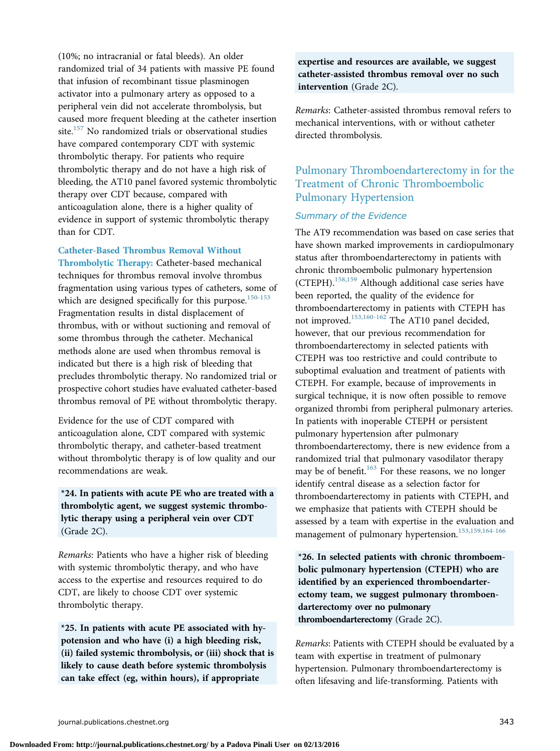(10%; no intracranial or fatal bleeds). An older randomized trial of 34 patients with massive PE found that infusion of recombinant tissue plasminogen activator into a pulmonary artery as opposed to a peripheral vein did not accelerate thrombolysis, but caused more frequent bleeding at the catheter insertion site.<sup>157</sup> No randomized trials or observational studies have compared contemporary CDT with systemic thrombolytic therapy. For patients who require thrombolytic therapy and do not have a high risk of bleeding, the AT10 panel favored systemic thrombolytic therapy over CDT because, compared with anticoagulation alone, there is a higher quality of evidence in support of systemic thrombolytic therapy than for CDT.

### Catheter-Based Thrombus Removal Without

Thrombolytic Therapy: Catheter-based mechanical techniques for thrombus removal involve thrombus fragmentation using various types of catheters, some of which are designed specifically for this purpose.<sup>[150-153](#page-35-0)</sup> Fragmentation results in distal displacement of thrombus, with or without suctioning and removal of some thrombus through the catheter. Mechanical methods alone are used when thrombus removal is indicated but there is a high risk of bleeding that precludes thrombolytic therapy. No randomized trial or prospective cohort studies have evaluated catheter-based thrombus removal of PE without thrombolytic therapy.

Evidence for the use of CDT compared with anticoagulation alone, CDT compared with systemic thrombolytic therapy, and catheter-based treatment without thrombolytic therapy is of low quality and our recommendations are weak.

### \*24. In patients with acute PE who are treated with a thrombolytic agent, we suggest systemic thrombolytic therapy using a peripheral vein over CDT (Grade 2C).

Remarks: Patients who have a higher risk of bleeding with systemic thrombolytic therapy, and who have access to the expertise and resources required to do CDT, are likely to choose CDT over systemic thrombolytic therapy.

\*25. In patients with acute PE associated with hypotension and who have (i) a high bleeding risk, (ii) failed systemic thrombolysis, or (iii) shock that is likely to cause death before systemic thrombolysis can take effect (eg, within hours), if appropriate

expertise and resources are available, we suggest catheter-assisted thrombus removal over no such intervention (Grade 2C).

Remarks: Catheter-assisted thrombus removal refers to mechanical interventions, with or without catheter directed thrombolysis.

# Pulmonary Thromboendarterectomy in for the Treatment of Chronic Thromboembolic Pulmonary Hypertension

### Summary of the Evidence

The AT9 recommendation was based on case series that have shown marked improvements in cardiopulmonary status after thromboendarterectomy in patients with chronic thromboembolic pulmonary hypertension (CTEPH).<sup>158,159</sup> Although additional case series have been reported, the quality of the evidence for thromboendarterectomy in patients with CTEPH has not improved.[153,160-162](#page-35-0) The AT10 panel decided, however, that our previous recommendation for thromboendarterectomy in selected patients with CTEPH was too restrictive and could contribute to suboptimal evaluation and treatment of patients with CTEPH. For example, because of improvements in surgical technique, it is now often possible to remove organized thrombi from peripheral pulmonary arteries. In patients with inoperable CTEPH or persistent pulmonary hypertension after pulmonary thromboendarterectomy, there is new evidence from a randomized trial that pulmonary vasodilator therapy may be of benefit.<sup>[163](#page-35-0)</sup> For these reasons, we no longer identify central disease as a selection factor for thromboendarterectomy in patients with CTEPH, and we emphasize that patients with CTEPH should be assessed by a team with expertise in the evaluation and management of pulmonary hypertension.<sup>[153,159,164-166](#page-35-0)</sup>

\*26. In selected patients with chronic thromboembolic pulmonary hypertension (CTEPH) who are identified by an experienced thromboendarterectomy team, we suggest pulmonary thromboendarterectomy over no pulmonary thromboendarterectomy (Grade 2C).

Remarks: Patients with CTEPH should be evaluated by a team with expertise in treatment of pulmonary hypertension. Pulmonary thromboendarterectomy is often lifesaving and life-transforming. Patients with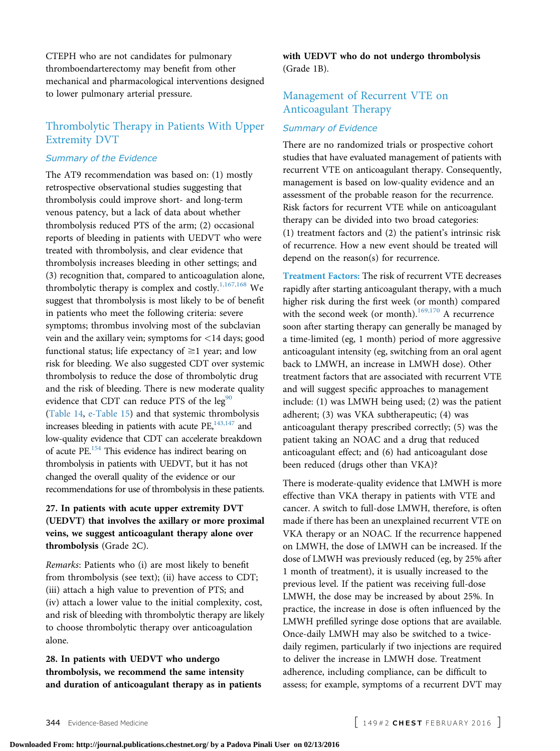CTEPH who are not candidates for pulmonary thromboendarterectomy may benefit from other mechanical and pharmacological interventions designed to lower pulmonary arterial pressure.

# Thrombolytic Therapy in Patients With Upper Extremity DVT

### Summary of the Evidence

The AT9 recommendation was based on: (1) mostly retrospective observational studies suggesting that thrombolysis could improve short- and long-term venous patency, but a lack of data about whether thrombolysis reduced PTS of the arm; (2) occasional reports of bleeding in patients with UEDVT who were treated with thrombolysis, and clear evidence that thrombolysis increases bleeding in other settings; and (3) recognition that, compared to anticoagulation alone, thrombolytic therapy is complex and costly.<sup>[1,167,168](#page-31-0)</sup> We suggest that thrombolysis is most likely to be of benefit in patients who meet the following criteria: severe symptoms; thrombus involving most of the subclavian vein and the axillary vein; symptoms for <14 days; good functional status; life expectancy of  $\geq$ 1 year; and low risk for bleeding. We also suggested CDT over systemic thrombolysis to reduce the dose of thrombolytic drug and the risk of bleeding. There is new moderate quality evidence that CDT can reduce PTS of the  $leg<sup>90</sup>$  $leg<sup>90</sup>$  $leg<sup>90</sup>$ [\(Table 14](#page-20-0), e-Table 15) and that systemic thrombolysis increases bleeding in patients with acute  $PE$ ,  $^{143,147}$  $^{143,147}$  $^{143,147}$  and low-quality evidence that CDT can accelerate breakdown of acute PE.<sup>[154](#page-35-0)</sup> This evidence has indirect bearing on thrombolysis in patients with UEDVT, but it has not changed the overall quality of the evidence or our recommendations for use of thrombolysis in these patients.

### 27. In patients with acute upper extremity DVT (UEDVT) that involves the axillary or more proximal veins, we suggest anticoagulant therapy alone over thrombolysis (Grade 2C).

Remarks: Patients who (i) are most likely to benefit from thrombolysis (see text); (ii) have access to CDT; (iii) attach a high value to prevention of PTS; and (iv) attach a lower value to the initial complexity, cost, and risk of bleeding with thrombolytic therapy are likely to choose thrombolytic therapy over anticoagulation alone.

28. In patients with UEDVT who undergo thrombolysis, we recommend the same intensity and duration of anticoagulant therapy as in patients with UEDVT who do not undergo thrombolysis (Grade 1B).

# Management of Recurrent VTE on Anticoagulant Therapy

#### Summary of Evidence

There are no randomized trials or prospective cohort studies that have evaluated management of patients with recurrent VTE on anticoagulant therapy. Consequently, management is based on low-quality evidence and an assessment of the probable reason for the recurrence. Risk factors for recurrent VTE while on anticoagulant therapy can be divided into two broad categories: (1) treatment factors and (2) the patient's intrinsic risk of recurrence. How a new event should be treated will depend on the reason(s) for recurrence.

Treatment Factors: The risk of recurrent VTE decreases rapidly after starting anticoagulant therapy, with a much higher risk during the first week (or month) compared with the second week (or month).<sup>[169,170](#page-36-0)</sup> A recurrence soon after starting therapy can generally be managed by a time-limited (eg, 1 month) period of more aggressive anticoagulant intensity (eg, switching from an oral agent back to LMWH, an increase in LMWH dose). Other treatment factors that are associated with recurrent VTE and will suggest specific approaches to management include: (1) was LMWH being used; (2) was the patient adherent; (3) was VKA subtherapeutic; (4) was anticoagulant therapy prescribed correctly; (5) was the patient taking an NOAC and a drug that reduced anticoagulant effect; and (6) had anticoagulant dose been reduced (drugs other than VKA)?

There is moderate-quality evidence that LMWH is more effective than VKA therapy in patients with VTE and cancer. A switch to full-dose LMWH, therefore, is often made if there has been an unexplained recurrent VTE on VKA therapy or an NOAC. If the recurrence happened on LMWH, the dose of LMWH can be increased. If the dose of LMWH was previously reduced (eg, by 25% after 1 month of treatment), it is usually increased to the previous level. If the patient was receiving full-dose LMWH, the dose may be increased by about 25%. In practice, the increase in dose is often influenced by the LMWH prefilled syringe dose options that are available. Once-daily LMWH may also be switched to a twicedaily regimen, particularly if two injections are required to deliver the increase in LMWH dose. Treatment adherence, including compliance, can be difficult to assess; for example, symptoms of a recurrent DVT may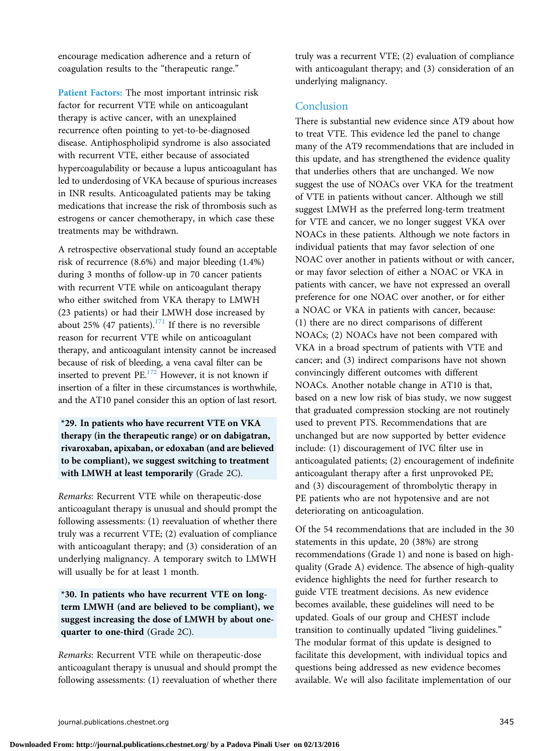encourage medication adherence and a return of coagulation results to the "therapeutic range."

Patient Factors: The most important intrinsic risk factor for recurrent VTE while on anticoagulant therapy is active cancer, with an unexplained recurrence often pointing to yet-to-be-diagnosed disease. Antiphospholipid syndrome is also associated with recurrent VTE, either because of associated hypercoagulability or because a lupus anticoagulant has led to underdosing of VKA because of spurious increases in INR results. Anticoagulated patients may be taking medications that increase the risk of thrombosis such as estrogens or cancer chemotherapy, in which case these treatments may be withdrawn.

A retrospective observational study found an acceptable risk of recurrence (8.6%) and major bleeding (1.4%) during 3 months of follow-up in 70 cancer patients with recurrent VTE while on anticoagulant therapy who either switched from VKA therapy to LMWH (23 patients) or had their LMWH dose increased by about 25% (47 patients).<sup>[171](#page-36-0)</sup> If there is no reversible reason for recurrent VTE while on anticoagulant therapy, and anticoagulant intensity cannot be increased because of risk of bleeding, a vena caval filter can be inserted to prevent  $PE<sup>172</sup>$  However, it is not known if insertion of a filter in these circumstances is worthwhile, and the AT10 panel consider this an option of last resort.

\*29. In patients who have recurrent VTE on VKA therapy (in the therapeutic range) or on dabigatran, rivaroxaban, apixaban, or edoxaban (and are believed to be compliant), we suggest switching to treatment with LMWH at least temporarily (Grade 2C).

Remarks: Recurrent VTE while on therapeutic-dose anticoagulant therapy is unusual and should prompt the following assessments: (1) reevaluation of whether there truly was a recurrent VTE; (2) evaluation of compliance with anticoagulant therapy; and (3) consideration of an underlying malignancy. A temporary switch to LMWH will usually be for at least 1 month.

\*30. In patients who have recurrent VTE on longterm LMWH (and are believed to be compliant), we suggest increasing the dose of LMWH by about onequarter to one-third (Grade 2C).

Remarks: Recurrent VTE while on therapeutic-dose anticoagulant therapy is unusual and should prompt the following assessments: (1) reevaluation of whether there truly was a recurrent VTE; (2) evaluation of compliance with anticoagulant therapy; and (3) consideration of an underlying malignancy.

### **Conclusion**

There is substantial new evidence since AT9 about how to treat VTE. This evidence led the panel to change many of the AT9 recommendations that are included in this update, and has strengthened the evidence quality that underlies others that are unchanged. We now suggest the use of NOACs over VKA for the treatment of VTE in patients without cancer. Although we still suggest LMWH as the preferred long-term treatment for VTE and cancer, we no longer suggest VKA over NOACs in these patients. Although we note factors in individual patients that may favor selection of one NOAC over another in patients without or with cancer, or may favor selection of either a NOAC or VKA in patients with cancer, we have not expressed an overall preference for one NOAC over another, or for either a NOAC or VKA in patients with cancer, because: (1) there are no direct comparisons of different NOACs; (2) NOACs have not been compared with VKA in a broad spectrum of patients with VTE and cancer; and (3) indirect comparisons have not shown convincingly different outcomes with different NOACs. Another notable change in AT10 is that, based on a new low risk of bias study, we now suggest that graduated compression stocking are not routinely used to prevent PTS. Recommendations that are unchanged but are now supported by better evidence include: (1) discouragement of IVC filter use in anticoagulated patients; (2) encouragement of indefinite anticoagulant therapy after a first unprovoked PE; and (3) discouragement of thrombolytic therapy in PE patients who are not hypotensive and are not deteriorating on anticoagulation.

Of the 54 recommendations that are included in the 30 statements in this update, 20 (38%) are strong recommendations (Grade 1) and none is based on highquality (Grade A) evidence. The absence of high-quality evidence highlights the need for further research to guide VTE treatment decisions. As new evidence becomes available, these guidelines will need to be updated. Goals of our group and CHEST include transition to continually updated "living guidelines." The modular format of this update is designed to facilitate this development, with individual topics and questions being addressed as new evidence becomes available. We will also facilitate implementation of our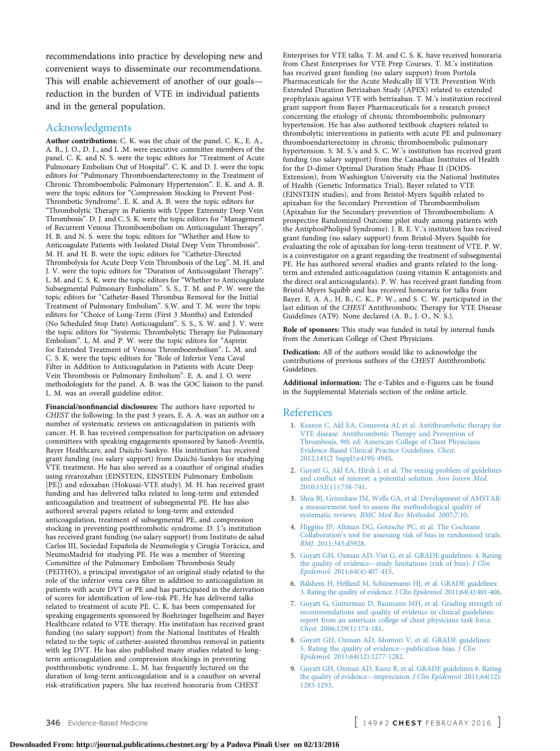<span id="page-31-0"></span>recommendations into practice by developing new and convenient ways to disseminate our recommendations. This will enable achievement of another of our goals reduction in the burden of VTE in individual patients and in the general population.

### Acknowledgments

Author contributions: C. K. was the chair of the panel. C. K., E. A., A. B., J. O., D. J., and L .M. were executive committee members of the panel. C. K. and N. S. were the topic editors for "Treatment of Acute Pulmonary Embolism Out of Hospital". C. K. and D. J. were the topic editors for "Pulmonary Thromboendarterectomy in the Treatment of Chronic Thromboembolic Pulmonary Hypertension". E. K. and A. B. were the topic editors for "Compression Stocking to Prevent Post-Thrombotic Syndrome". E. K. and A. B. were the topic editors for "Thrombolytic Therapy in Patients with Upper Extremity Deep Vein Thrombosis". D. J. and C. S. K. were the topic editors for "Management of Recurrent Venous Thromboembolism on Anticoagulant Therapy". H. B. and N. S. were the topic editors for "Whether and How to Anticoagulate Patients with Isolated Distal Deep Vein Thrombosis". M. H. and H. B. were the topic editors for "Catheter-Directed Thrombolysis for Acute Deep Vein Thrombosis of the Leg". M. H. and J. V. were the topic editors for "Duration of Anticoagulant Therapy". L. M. and C. S. K. were the topic editors for "Whether to Anticoagulate Subsegmental Pulmonary Embolism". S. S., T. M. and P. W. were the topic editors for "Catheter-Based Thrombus Removal for the Initial Treatment of Pulmonary Embolism". S.W. and T. M. were the topic editors for "Choice of Long-Term (First 3 Months) and Extended (No Scheduled Stop Date) Anticoagulant". S. S., S. W. and J. V. were the topic editors for "Systemic Thrombolytic Therapy for Pulmonary Embolism". L. M. and P. W. were the topic editors for "Aspirin for Extended Treatment of Venous Thromboembolism". L. M. and C. S. K. were the topic editors for "Role of Inferior Vena Caval Filter in Addition to Anticoagulation in Patients with Acute Deep Vein Thrombosis or Pulmonary Embolism". E. A. and J. O. were methodologists for the panel. A. B. was the GOC liaison to the panel. L. M. was an overall guideline editor.

Financial/nonfinancial disclosures: The authors have reported to CHEST the following: In the past 3 years, E. A. A. was an author on a number of systematic reviews on anticoagulation in patients with cancer. H. B. has received compensation for participation on advisory committees with speaking engagements sponsored by Sanofi-Aventis, Bayer Healthcare, and Daiichi-Sankyo. His institution has received grant funding (no salary support) from Daiichi-Sankyo for studying VTE treatment. He has also served as a coauthor of original studies using rivaroxaban (EINSTEIN, EINSTEIN Pulmonary Embolism [PE]) and edoxaban (Hokusai-VTE study). M. H. has received grant funding and has delivered talks related to long-term and extended anticoagulation and treatment of subsegmental PE. He has also authored several papers related to long-term and extended anticoagulation, treatment of subsegmental PE, and compression stocking in preventing postthrombotic syndrome. D. J.'s institution has received grant funding (no salary support) from Instituto de salud Carlos III, Sociedad Española de Neumología y Cirugía Torácica, and NeumoMadrid for studying PE. He was a member of Steering Committee of the Pulmonary Embolism Thrombosis Study (PEITHO), a principal investigator of an original study related to the role of the inferior vena cava filter in addition to anticoagulation in patients with acute DVT or PE and has participated in the derivation of scores for identification of low-risk PE. He has delivered talks related to treatment of acute PE. C. K. has been compensated for speaking engagements sponsored by Boehringer Ingelheim and Bayer Healthcare related to VTE therapy. His institution has received grant funding (no salary support) from the National Institutes of Health related to the topic of catheter-assisted thrombus removal in patients with leg DVT. He has also published many studies related to longterm anticoagulation and compression stockings in preventing postthrombotic syndrome. L. M. has frequently lectured on the duration of long-term anticoagulation and is a coauthor on several risk-stratification papers. She has received honoraria from CHEST

Enterprises for VTE talks. T. M. and C. S. K. have received honoraria from Chest Enterprises for VTE Prep Courses. T. M.'s institution has received grant funding (no salary support) from Portola Pharmaceuticals for the Acute Medically Ill VTE Prevention With Extended Duration Betrixaban Study (APEX) related to extended prophylaxis against VTE with betrixaban. T. M.'s institution received grant support from Bayer Pharmaceuticals for a research project concerning the etiology of chronic thromboembolic pulmonary hypertension. He has also authored textbook chapters related to thrombolytic interventions in patients with acute PE and pulmonary thromboendarterectomy in chronic thromboembolic pulmonary hypertension. S. M. S.'s and S. C. W.'s institution has received grant funding (no salary support) from the Canadian Institutes of Health for the D-dimer Optimal Duration Study Phase II (DODS-Extension), from Washington University via the National Institutes of Health (Genetic Informatics Trial), Bayer related to VTE (EINSTEIN studies), and from Bristol-Myers Squibb related to apixaban for the Secondary Prevention of Thromboembolism (Apixaban for the Secondary prevention of Thromboembolism: A prospective Randomized Outcome pilot study among patients with the AntiphosPholipid Syndrome). J. R. E. V.'s institution has received grant funding (no salary support) from Bristol-Myers Squibb for evaluating the role of apixaban for long-term treatment of VTE. P. W. is a coinvestigator on a grant regarding the treatment of subsegmental PE. He has authored several studies and grants related to the longterm and extended anticoagulation (using vitamin K antagonists and the direct oral anticoagulants). P. W. has received grant funding from Bristol-Myers Squibb and has received honoraria for talks from Bayer. E. A. A., H. B., C. K., P. W., and S. C. W. participated in the last edition of the CHEST Antithrombotic Therapy for VTE Disease Guidelines (AT9). None declared (A. B., J. O., N. S.).

Role of sponsors: This study was funded in total by internal funds from the American College of Chest Physicians.

Dedication: All of the authors would like to acknowledge the contributions of previous authors of the CHEST Antithrombotic Guidelines.

Additional information: The e-Tables and e-Figures can be found in the Supplemental Materials section of the online article.

#### References

- 1. [Kearon C, Akl EA, Comerota AJ, et al. Antithrombotic therapy for](http://refhub.elsevier.com/S0012-3692(15)00335-9/sref1) [VTE disease: Antithrombotic Therapy and Prevention of](http://refhub.elsevier.com/S0012-3692(15)00335-9/sref1) [Thrombosis, 9th ed: American College of Chest Physicians](http://refhub.elsevier.com/S0012-3692(15)00335-9/sref1) [Evidence-Based Clinical Practice Guidelines.](http://refhub.elsevier.com/S0012-3692(15)00335-9/sref1) Chest. [2012;141\(2 Suppl\):e419S-494S.](http://refhub.elsevier.com/S0012-3692(15)00335-9/sref1)
- 2. [Guyatt G, Akl EA, Hirsh J, et al. The vexing problem of guidelines](http://refhub.elsevier.com/S0012-3692(15)00335-9/sref2) and confl[ict of interest: a potential solution.](http://refhub.elsevier.com/S0012-3692(15)00335-9/sref2) Ann Intern Med. [2010;152\(11\):738-741.](http://refhub.elsevier.com/S0012-3692(15)00335-9/sref2)
- 3. [Shea BJ, Grimshaw JM, Wells GA, et al. Development of AMSTAR:](http://refhub.elsevier.com/S0012-3692(15)00335-9/sref3) [a measurement tool to assess the methodological quality of](http://refhub.elsevier.com/S0012-3692(15)00335-9/sref3) systematic reviews. [BMC Med Res Methodol](http://refhub.elsevier.com/S0012-3692(15)00335-9/sref3). 2007;7:10.
- 4. [Higgins JP, Altman DG, Gotzsche PC, et al. The Cochrane](http://refhub.elsevier.com/S0012-3692(15)00335-9/sref4) Collaboration'[s tool for assessing risk of bias in randomised trials.](http://refhub.elsevier.com/S0012-3692(15)00335-9/sref4) BMJ[. 2011;343:d5928.](http://refhub.elsevier.com/S0012-3692(15)00335-9/sref4)
- 5. [Guyatt GH, Oxman AD, Vist G, et al. GRADE guidelines: 4. Rating](http://refhub.elsevier.com/S0012-3692(15)00335-9/sref5) the quality of evidence—[study limitations \(risk of bias\).](http://refhub.elsevier.com/S0012-3692(15)00335-9/sref5) J Clin Epidemiol[. 2011;64\(4\):407-415](http://refhub.elsevier.com/S0012-3692(15)00335-9/sref5).
- 6. [Balshem H, Helfand M, Schünemann HJ, et al. GRADE guidelines:](http://refhub.elsevier.com/S0012-3692(15)00335-9/sref6) [3. Rating the quality of evidence.](http://refhub.elsevier.com/S0012-3692(15)00335-9/sref6) J Clin Epidemiol. 2011;64(4):401-406.
- 7. [Guyatt G, Gutterman D, Baumann MH, et al. Grading strength of](http://refhub.elsevier.com/S0012-3692(15)00335-9/sref7) [recommendations and quality of evidence in clinical guidelines:](http://refhub.elsevier.com/S0012-3692(15)00335-9/sref7) [report from an american college of chest physicians task force.](http://refhub.elsevier.com/S0012-3692(15)00335-9/sref7) Chest[. 2006;129\(1\):174-181](http://refhub.elsevier.com/S0012-3692(15)00335-9/sref7).
- 8. [Guyatt GH, Oxman AD, Montori V, et al. GRADE guidelines:](http://refhub.elsevier.com/S0012-3692(15)00335-9/sref8) [5. Rating the quality of evidence](http://refhub.elsevier.com/S0012-3692(15)00335-9/sref8)—publication bias.  $\bar{J}$  Clin Epidemiol[. 2011;64\(12\):1277-1282](http://refhub.elsevier.com/S0012-3692(15)00335-9/sref8).
- 9. [Guyatt GH, Oxman AD, Kunz R, et al. GRADE guidelines 6. Rating](http://refhub.elsevier.com/S0012-3692(15)00335-9/sref9) [the quality of evidence](http://refhub.elsevier.com/S0012-3692(15)00335-9/sref9)—imprecision. J Clin Epidemiol. 2011;64(12): [1283-1293](http://refhub.elsevier.com/S0012-3692(15)00335-9/sref9).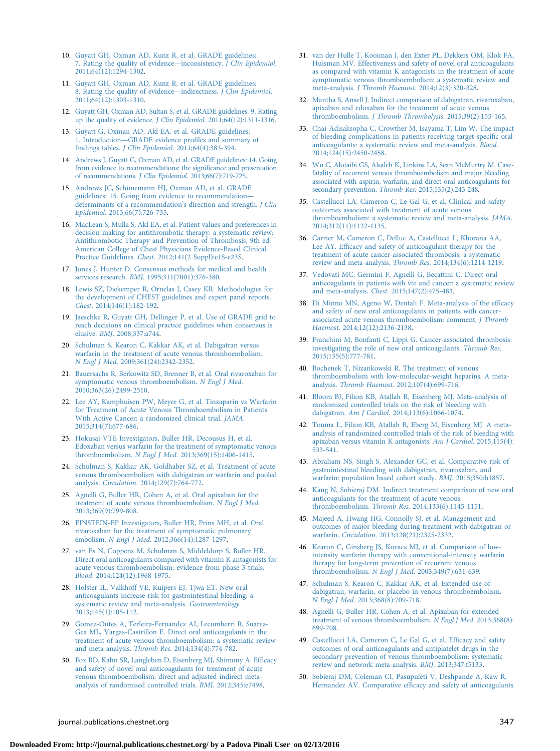- <span id="page-32-0"></span>10. [Guyatt GH, Oxman AD, Kunz R, et al. GRADE guidelines:](http://refhub.elsevier.com/S0012-3692(15)00335-9/sref10) [7. Rating the quality of evidence](http://refhub.elsevier.com/S0012-3692(15)00335-9/sref10)—inconsistency. J Clin Epidemiol. [2011;64\(12\):1294-1302.](http://refhub.elsevier.com/S0012-3692(15)00335-9/sref10)
- 11. [Guyatt GH, Oxman AD, Kunz R, et al. GRADE guidelines:](http://refhub.elsevier.com/S0012-3692(15)00335-9/sref11) [8. Rating the quality of evidence](http://refhub.elsevier.com/S0012-3692(15)00335-9/sref11)—indirectness. J Clin Epidemiol. [2011;64\(12\):1303-1310.](http://refhub.elsevier.com/S0012-3692(15)00335-9/sref11)
- 12. [Guyatt GH, Oxman AD, Sultan S, et al. GRADE guidelines: 9. Rating](http://refhub.elsevier.com/S0012-3692(15)00335-9/sref12) [up the quality of evidence.](http://refhub.elsevier.com/S0012-3692(15)00335-9/sref12) J Clin Epidemiol. 2011;64(12):1311-1316.
- 13. [Guyatt G, Oxman AD, Akl EA, et al. GRADE guidelines:](http://refhub.elsevier.com/S0012-3692(15)00335-9/sref13) 1. Introduction—[GRADE evidence pro](http://refhub.elsevier.com/S0012-3692(15)00335-9/sref13)files and summary of findings tables. J Clin Epidemiol[. 2011;64\(4\):383-394](http://refhub.elsevier.com/S0012-3692(15)00335-9/sref13).
- 14. [Andrews J, Guyatt G, Oxman AD, et al. GRADE guidelines: 14. Going](http://refhub.elsevier.com/S0012-3692(15)00335-9/sref14) [from evidence to recommendations: the signi](http://refhub.elsevier.com/S0012-3692(15)00335-9/sref14)ficance and presentation [of recommendations.](http://refhub.elsevier.com/S0012-3692(15)00335-9/sref14) J Clin Epidemiol. 2013;66(7):719-725.
- 15. [Andrews JC, Schünemann HJ, Oxman AD, et al. GRADE](http://refhub.elsevier.com/S0012-3692(15)00335-9/sref15) [guidelines: 15. Going from evidence to recommendation](http://refhub.elsevier.com/S0012-3692(15)00335-9/sref15) [determinants of a recommendation](http://refhub.elsevier.com/S0012-3692(15)00335-9/sref15)'s direction and strength. J Clin Epidemiol[. 2013;66\(7\):726-735.](http://refhub.elsevier.com/S0012-3692(15)00335-9/sref15)
- 16. [MacLean S, Mulla S, Akl EA, et al. Patient values and preferences in](http://refhub.elsevier.com/S0012-3692(15)00335-9/sref16) [decision making for antithrombotic therapy: a systematic review:](http://refhub.elsevier.com/S0012-3692(15)00335-9/sref16) [Antithrombotic Therapy and Prevention of Thrombosis, 9th ed:](http://refhub.elsevier.com/S0012-3692(15)00335-9/sref16) [American College of Chest Physicians Evidence-Based Clinical](http://refhub.elsevier.com/S0012-3692(15)00335-9/sref16) Practice Guidelines. Chest[. 2012;141\(2 Suppl\):e1S-e23S.](http://refhub.elsevier.com/S0012-3692(15)00335-9/sref16)
- 17. [Jones J, Hunter D. Consensus methods for medical and health](http://refhub.elsevier.com/S0012-3692(15)00335-9/sref17) services research. BMJ[. 1995;311\(7001\):376-380.](http://refhub.elsevier.com/S0012-3692(15)00335-9/sref17)
- 18. [Lewis SZ, Diekemper R, Ornelas J, Casey KR. Methodologies for](http://refhub.elsevier.com/S0012-3692(15)00335-9/sref18) [the development of CHEST guidelines and expert panel reports.](http://refhub.elsevier.com/S0012-3692(15)00335-9/sref18) Chest[. 2014;146\(1\):182-192.](http://refhub.elsevier.com/S0012-3692(15)00335-9/sref18)
- 19. [Jaeschke R, Guyatt GH, Dellinger P, et al. Use of GRADE grid to](http://refhub.elsevier.com/S0012-3692(15)00335-9/sref19) [reach decisions on clinical practice guidelines when consensus is](http://refhub.elsevier.com/S0012-3692(15)00335-9/sref19) elusive. BMJ[. 2008;337:a744.](http://refhub.elsevier.com/S0012-3692(15)00335-9/sref19)
- 20. [Schulman S, Kearon C, Kakkar AK, et al. Dabigatran versus](http://refhub.elsevier.com/S0012-3692(15)00335-9/sref20) [warfarin in the treatment of acute venous thromboembolism.](http://refhub.elsevier.com/S0012-3692(15)00335-9/sref20) N Engl J Med[. 2009;361\(24\):2342-2352.](http://refhub.elsevier.com/S0012-3692(15)00335-9/sref20)
- 21. [Bauersachs R, Berkowitz SD, Brenner B, et al. Oral rivaroxaban for](http://refhub.elsevier.com/S0012-3692(15)00335-9/sref21) [symptomatic venous thromboembolism.](http://refhub.elsevier.com/S0012-3692(15)00335-9/sref21) N Engl J Med. [2010;363\(26\):2499-2510.](http://refhub.elsevier.com/S0012-3692(15)00335-9/sref21)
- 22. [Lee AY, Kamphuisen PW, Meyer G, et al. Tinzaparin vs Warfarin](http://refhub.elsevier.com/S0012-3692(15)00335-9/sref22) [for Treatment of Acute Venous Thromboembolism in Patients](http://refhub.elsevier.com/S0012-3692(15)00335-9/sref22) [With Active Cancer: a randomized clinical trial.](http://refhub.elsevier.com/S0012-3692(15)00335-9/sref22) JAMA. [2015;314\(7\):677-686.](http://refhub.elsevier.com/S0012-3692(15)00335-9/sref22)
- 23. [Hokusai-VTE Investigators, Buller HR, Decousus H, et al.](http://refhub.elsevier.com/S0012-3692(15)00335-9/sref23) [Edoxaban versus warfarin for the treatment of symptomatic venous](http://refhub.elsevier.com/S0012-3692(15)00335-9/sref23) thromboembolism. N Engl J Med[. 2013;369\(15\):1406-1415](http://refhub.elsevier.com/S0012-3692(15)00335-9/sref23).
- 24. [Schulman S, Kakkar AK, Goldhaber SZ, et al. Treatment of acute](http://refhub.elsevier.com/S0012-3692(15)00335-9/sref24) [venous thromboembolism with dabigatran or warfarin and pooled](http://refhub.elsevier.com/S0012-3692(15)00335-9/sref24) analysis. Circulation[. 2014;129\(7\):764-772.](http://refhub.elsevier.com/S0012-3692(15)00335-9/sref24)
- 25. [Agnelli G, Buller HR, Cohen A, et al. Oral apixaban for the](http://refhub.elsevier.com/S0012-3692(15)00335-9/sref25) [treatment of acute venous thromboembolism.](http://refhub.elsevier.com/S0012-3692(15)00335-9/sref25) N Engl J Med. [2013;369\(9\):799-808.](http://refhub.elsevier.com/S0012-3692(15)00335-9/sref25)
- 26. [EINSTEIN-EP Investigators, Buller HR, Prins MH, et al. Oral](http://refhub.elsevier.com/S0012-3692(15)00335-9/sref26) [rivaroxaban for the treatment of symptomatic pulmonary](http://refhub.elsevier.com/S0012-3692(15)00335-9/sref26) embolism. N Engl J Med[. 2012;366\(14\):1287-1297](http://refhub.elsevier.com/S0012-3692(15)00335-9/sref26).
- 27. [van Es N, Coppens M, Schulman S, Middeldorp S, Buller HR.](http://refhub.elsevier.com/S0012-3692(15)00335-9/sref27) [Direct oral anticoagulants compared with vitamin K antagonists for](http://refhub.elsevier.com/S0012-3692(15)00335-9/sref27) [acute venous thromboembolism: evidence from phase 3 trials.](http://refhub.elsevier.com/S0012-3692(15)00335-9/sref27) Blood[. 2014;124\(12\):1968-1975](http://refhub.elsevier.com/S0012-3692(15)00335-9/sref27).
- 28. [Holster IL, Valkhoff VE, Kuipers EJ, Tjwa ET. New oral](http://refhub.elsevier.com/S0012-3692(15)00335-9/sref28) [anticoagulants increase risk for gastrointestinal bleeding: a](http://refhub.elsevier.com/S0012-3692(15)00335-9/sref28) [systematic review and meta-analysis.](http://refhub.elsevier.com/S0012-3692(15)00335-9/sref28) Gastroenterology. [2013;145\(1\):105-112.](http://refhub.elsevier.com/S0012-3692(15)00335-9/sref28)
- 29. [Gomez-Outes A, Terleira-Fernandez AI, Lecumberri R, Suarez-](http://refhub.elsevier.com/S0012-3692(15)00335-9/sref29)[Gea ML, Vargas-Castrillon E. Direct oral anticoagulants in the](http://refhub.elsevier.com/S0012-3692(15)00335-9/sref29) [treatment of acute venous thromboembolism: a systematic review](http://refhub.elsevier.com/S0012-3692(15)00335-9/sref29) and meta-analysis. Thromb Res[. 2014;134\(4\):774-782.](http://refhub.elsevier.com/S0012-3692(15)00335-9/sref29)
- 30. [Fox BD, Kahn SR, Langleben D, Eisenberg MJ, Shimony A. Ef](http://refhub.elsevier.com/S0012-3692(15)00335-9/sref30)ficacy [and safety of novel oral anticoagulants for treatment of acute](http://refhub.elsevier.com/S0012-3692(15)00335-9/sref30) [venous thromboembolism: direct and adjusted indirect meta](http://refhub.elsevier.com/S0012-3692(15)00335-9/sref30)[analysis of randomised controlled trials.](http://refhub.elsevier.com/S0012-3692(15)00335-9/sref30) BMJ. 2012;345:e7498.
- 31. [van der Hulle T, Kooiman J, den Exter PL, Dekkers OM, Klok FA,](http://refhub.elsevier.com/S0012-3692(15)00335-9/sref31) [Huisman MV. Effectiveness and safety of novel oral anticoagulants](http://refhub.elsevier.com/S0012-3692(15)00335-9/sref31) [as compared with vitamin K antagonists in the treatment of acute](http://refhub.elsevier.com/S0012-3692(15)00335-9/sref31) [symptomatic venous thromboembolism: a systematic review and](http://refhub.elsevier.com/S0012-3692(15)00335-9/sref31) meta-analysis. J Thromb Haemost[. 2014;12\(3\):320-328.](http://refhub.elsevier.com/S0012-3692(15)00335-9/sref31)
- 32. [Mantha S, Ansell J. Indirect comparison of dabigatran, rivaroxaban,](http://refhub.elsevier.com/S0012-3692(15)00335-9/sref32) [apixaban and edoxaban for the treatment of acute venous](http://refhub.elsevier.com/S0012-3692(15)00335-9/sref32) thromboembolism. [J Thromb Thrombolysis](http://refhub.elsevier.com/S0012-3692(15)00335-9/sref32). 2015;39(2):155-165.
- 33. [Chai-Adisaksopha C, Crowther M, Isayama T, Lim W. The impact](http://refhub.elsevier.com/S0012-3692(15)00335-9/sref33) [of bleeding complications in patients receiving target-speci](http://refhub.elsevier.com/S0012-3692(15)00335-9/sref33)fic oral [anticoagulants: a systematic review and meta-analysis.](http://refhub.elsevier.com/S0012-3692(15)00335-9/sref33) Blood. [2014;124\(15\):2450-2458.](http://refhub.elsevier.com/S0012-3692(15)00335-9/sref33)
- 34. [Wu C, Alotaibi GS, Alsaleh K, Linkins LA, Sean McMurtry M. Case](http://refhub.elsevier.com/S0012-3692(15)00335-9/sref34)[fatality of recurrent venous thromboembolism and major bleeding](http://refhub.elsevier.com/S0012-3692(15)00335-9/sref34) [associated with aspirin, warfarin, and direct oral anticoagulants for](http://refhub.elsevier.com/S0012-3692(15)00335-9/sref34) [secondary prevention.](http://refhub.elsevier.com/S0012-3692(15)00335-9/sref34) Thromb Res. 2015;135(2):243-248.
- 35. [Castellucci LA, Cameron C, Le Gal G, et al. Clinical and safety](http://refhub.elsevier.com/S0012-3692(15)00335-9/sref35) [outcomes associated with treatment of acute venous](http://refhub.elsevier.com/S0012-3692(15)00335-9/sref35) [thromboembolism: a systematic review and meta-analysis.](http://refhub.elsevier.com/S0012-3692(15)00335-9/sref35) JAMA. [2014;312\(11\):1122-1135.](http://refhub.elsevier.com/S0012-3692(15)00335-9/sref35)
- 36. [Carrier M, Cameron C, Delluc A, Castellucci L, Khorana AA,](http://refhub.elsevier.com/S0012-3692(15)00335-9/sref36) Lee AY. Effi[cacy and safety of anticoagulant therapy for the](http://refhub.elsevier.com/S0012-3692(15)00335-9/sref36) [treatment of acute cancer-associated thrombosis: a systematic](http://refhub.elsevier.com/S0012-3692(15)00335-9/sref36) [review and meta-analysis.](http://refhub.elsevier.com/S0012-3692(15)00335-9/sref36) Thromb Res. 2014;134(6):1214-1219.
- 37. [Vedovati MC, Germini F, Agnelli G, Becattini C. Direct oral](http://refhub.elsevier.com/S0012-3692(15)00335-9/sref37) [anticoagulants in patients with vte and cancer: a systematic review](http://refhub.elsevier.com/S0012-3692(15)00335-9/sref37) and meta-analysis. Chest[. 2015;147\(2\):475-483](http://refhub.elsevier.com/S0012-3692(15)00335-9/sref37).
- 38. [Di Minno MN, Ageno W, Dentali F. Meta-analysis of the ef](http://refhub.elsevier.com/S0012-3692(15)00335-9/sref38)ficacy [and safety of new oral anticoagulants in patients with cancer](http://refhub.elsevier.com/S0012-3692(15)00335-9/sref38)[associated acute venous thromboembolism: comment.](http://refhub.elsevier.com/S0012-3692(15)00335-9/sref38) J Thromb Haemost[. 2014;12\(12\):2136-2138](http://refhub.elsevier.com/S0012-3692(15)00335-9/sref38).
- 39. [Franchini M, Bonfanti C, Lippi G. Cancer-associated thrombosis:](http://refhub.elsevier.com/S0012-3692(15)00335-9/sref39) [investigating the role of new oral anticoagulants.](http://refhub.elsevier.com/S0012-3692(15)00335-9/sref39) Thromb Res. [2015;135\(5\):777-781.](http://refhub.elsevier.com/S0012-3692(15)00335-9/sref39)
- 40. [Bochenek T, Nizankowski R. The treatment of venous](http://refhub.elsevier.com/S0012-3692(15)00335-9/sref40) [thromboembolism with low-molecular-weight heparins. A meta](http://refhub.elsevier.com/S0012-3692(15)00335-9/sref40)analysis. Thromb Haemost[. 2012;107\(4\):699-716.](http://refhub.elsevier.com/S0012-3692(15)00335-9/sref40)
- 41. [Bloom BJ, Filion KB, Atallah R, Eisenberg MJ. Meta-analysis of](http://refhub.elsevier.com/S0012-3692(15)00335-9/sref41) [randomized controlled trials on the risk of bleeding with](http://refhub.elsevier.com/S0012-3692(15)00335-9/sref41) dabigatran. Am J Cardiol[. 2014;113\(6\):1066-1074.](http://refhub.elsevier.com/S0012-3692(15)00335-9/sref41)
- 42. [Touma L, Filion KB, Atallah R, Eberg M, Eisenberg MJ. A meta](http://refhub.elsevier.com/S0012-3692(15)00335-9/sref42)[analysis of randomized controlled trials of the risk of bleeding with](http://refhub.elsevier.com/S0012-3692(15)00335-9/sref42) [apixaban versus vitamin K antagonists.](http://refhub.elsevier.com/S0012-3692(15)00335-9/sref42) Am J Cardiol. 2015;115(4): [533-541](http://refhub.elsevier.com/S0012-3692(15)00335-9/sref42).
- 43. [Abraham NS, Singh S, Alexander GC, et al. Comparative risk of](http://refhub.elsevier.com/S0012-3692(15)00335-9/sref43) [gastrointestinal bleeding with dabigatran, rivaroxaban, and](http://refhub.elsevier.com/S0012-3692(15)00335-9/sref43) [warfarin: population based cohort study.](http://refhub.elsevier.com/S0012-3692(15)00335-9/sref43) BMJ. 2015;350:h1857.
- 44. [Kang N, Sobieraj DM. Indirect treatment comparison of new oral](http://refhub.elsevier.com/S0012-3692(15)00335-9/sref44) [anticoagulants for the treatment of acute venous](http://refhub.elsevier.com/S0012-3692(15)00335-9/sref44) thromboembolism. Thromb Res[. 2014;133\(6\):1145-1151](http://refhub.elsevier.com/S0012-3692(15)00335-9/sref44).
- 45. [Majeed A, Hwang HG, Connolly SJ, et al. Management and](http://refhub.elsevier.com/S0012-3692(15)00335-9/sref45) [outcomes of major bleeding during treatment with dabigatran or](http://refhub.elsevier.com/S0012-3692(15)00335-9/sref45) warfarin. Circulation[. 2013;128\(21\):2325-2332.](http://refhub.elsevier.com/S0012-3692(15)00335-9/sref45)
- 46. [Kearon C, Ginsberg JS, Kovacs MJ, et al. Comparison of low](http://refhub.elsevier.com/S0012-3692(15)00335-9/sref46)[intensity warfarin therapy with conventional-intensity warfarin](http://refhub.elsevier.com/S0012-3692(15)00335-9/sref46) [therapy for long-term prevention of recurrent venous](http://refhub.elsevier.com/S0012-3692(15)00335-9/sref46) thromboembolism. N Engl J Med[. 2003;349\(7\):631-639](http://refhub.elsevier.com/S0012-3692(15)00335-9/sref46).
- 47. [Schulman S, Kearon C, Kakkar AK, et al. Extended use of](http://refhub.elsevier.com/S0012-3692(15)00335-9/sref47) [dabigatran, warfarin, or placebo in venous thromboembolism.](http://refhub.elsevier.com/S0012-3692(15)00335-9/sref47) N Engl J Med[. 2013;368\(8\):709-718](http://refhub.elsevier.com/S0012-3692(15)00335-9/sref47).
- 48. [Agnelli G, Buller HR, Cohen A, et al. Apixaban for extended](http://refhub.elsevier.com/S0012-3692(15)00335-9/sref48) [treatment of venous thromboembolism.](http://refhub.elsevier.com/S0012-3692(15)00335-9/sref48) N Engl J Med. 2013;368(8): [699-708](http://refhub.elsevier.com/S0012-3692(15)00335-9/sref48).
- 49. [Castellucci LA, Cameron C, Le Gal G, et al. Ef](http://refhub.elsevier.com/S0012-3692(15)00335-9/sref49)ficacy and safety [outcomes of oral anticoagulants and antiplatelet drugs in the](http://refhub.elsevier.com/S0012-3692(15)00335-9/sref49) [secondary prevention of venous thromboembolism: systematic](http://refhub.elsevier.com/S0012-3692(15)00335-9/sref49) [review and network meta-analysis.](http://refhub.elsevier.com/S0012-3692(15)00335-9/sref49) BMJ. 2013;347:f5133.
- 50. [Sobieraj DM, Coleman CI, Pasupuleti V, Deshpande A, Kaw R,](http://refhub.elsevier.com/S0012-3692(15)00335-9/sref50) Hernandez AV. Comparative effi[cacy and safety of anticoagulants](http://refhub.elsevier.com/S0012-3692(15)00335-9/sref50)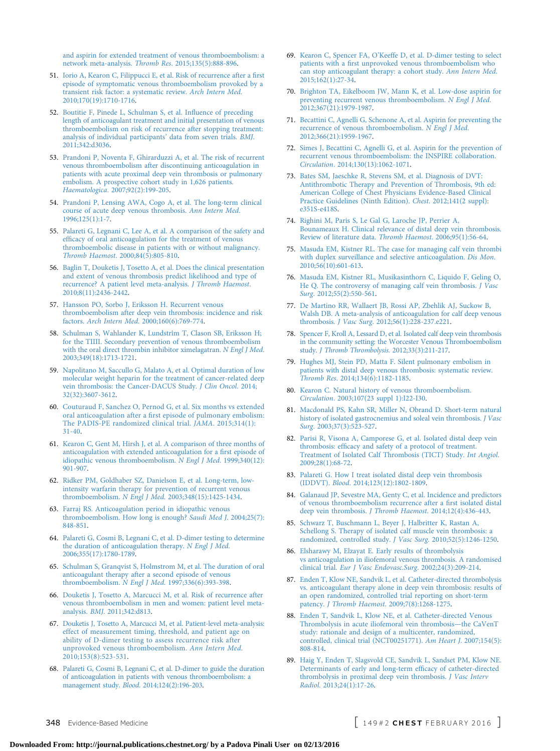<span id="page-33-0"></span>[and aspirin for extended treatment of venous thromboembolism: a](http://refhub.elsevier.com/S0012-3692(15)00335-9/sref50) [network meta-analysis.](http://refhub.elsevier.com/S0012-3692(15)00335-9/sref50) Thromb Res. 2015;135(5):888-896.

- 51. [Iorio A, Kearon C, Filippucci E, et al. Risk of recurrence after a](http://refhub.elsevier.com/S0012-3692(15)00335-9/sref51) first [episode of symptomatic venous thromboembolism provoked by a](http://refhub.elsevier.com/S0012-3692(15)00335-9/sref51) [transient risk factor: a systematic review.](http://refhub.elsevier.com/S0012-3692(15)00335-9/sref51) Arch Intern Med. [2010;170\(19\):1710-1716.](http://refhub.elsevier.com/S0012-3692(15)00335-9/sref51)
- 52. [Boutitie F, Pinede L, Schulman S, et al. In](http://refhub.elsevier.com/S0012-3692(15)00335-9/sref52)fluence of preceding [length of anticoagulant treatment and initial presentation of venous](http://refhub.elsevier.com/S0012-3692(15)00335-9/sref52) [thromboembolism on risk of recurrence after stopping treatment:](http://refhub.elsevier.com/S0012-3692(15)00335-9/sref52) [analysis of individual participants](http://refhub.elsevier.com/S0012-3692(15)00335-9/sref52)' data from seven trials. BMJ. [2011;342:d3036.](http://refhub.elsevier.com/S0012-3692(15)00335-9/sref52)
- 53. [Prandoni P, Noventa F, Ghirarduzzi A, et al. The risk of recurrent](http://refhub.elsevier.com/S0012-3692(15)00335-9/sref53) [venous thromboembolism after discontinuing anticoagulation in](http://refhub.elsevier.com/S0012-3692(15)00335-9/sref53) [patients with acute proximal deep vein thrombosis or pulmonary](http://refhub.elsevier.com/S0012-3692(15)00335-9/sref53) [embolism. A prospective cohort study in 1,626 patients.](http://refhub.elsevier.com/S0012-3692(15)00335-9/sref53) Haematologica[. 2007;92\(2\):199-205](http://refhub.elsevier.com/S0012-3692(15)00335-9/sref53).
- 54. [Prandoni P, Lensing AWA, Cogo A, et al. The long-term clinical](http://refhub.elsevier.com/S0012-3692(15)00335-9/sref54) [course of acute deep venous thrombosis.](http://refhub.elsevier.com/S0012-3692(15)00335-9/sref54) Ann Intern Med. [1996;125\(1\):1-7.](http://refhub.elsevier.com/S0012-3692(15)00335-9/sref54)
- 55. [Palareti G, Legnani C, Lee A, et al. A comparison of the safety and](http://refhub.elsevier.com/S0012-3692(15)00335-9/sref55) effi[cacy of oral anticoagulation for the treatment of venous](http://refhub.elsevier.com/S0012-3692(15)00335-9/sref55) [thromboembolic disease in patients with or without malignancy.](http://refhub.elsevier.com/S0012-3692(15)00335-9/sref55) Thromb Haemost[. 2000;84\(5\):805-810.](http://refhub.elsevier.com/S0012-3692(15)00335-9/sref55)
- 56. [Baglin T, Douketis J, Tosetto A, et al. Does the clinical presentation](http://refhub.elsevier.com/S0012-3692(15)00335-9/sref56) [and extent of venous thrombosis predict likelihood and type of](http://refhub.elsevier.com/S0012-3692(15)00335-9/sref56) [recurrence? A patient level meta-analysis.](http://refhub.elsevier.com/S0012-3692(15)00335-9/sref56) J Thromb Haemost. [2010;8\(11\):2436-2442](http://refhub.elsevier.com/S0012-3692(15)00335-9/sref56).
- 57. [Hansson PO, Sorbo J, Eriksson H. Recurrent venous](http://refhub.elsevier.com/S0012-3692(15)00335-9/sref57) [thromboembolism after deep vein thrombosis: incidence and risk](http://refhub.elsevier.com/S0012-3692(15)00335-9/sref57) factors. Arch Intern Med[. 2000;160\(6\):769-774](http://refhub.elsevier.com/S0012-3692(15)00335-9/sref57).
- 58. [Schulman S, Wahlander K, Lundstrîm T, Clason SB, Eriksson H;](http://refhub.elsevier.com/S0012-3692(15)00335-9/sref58) [for the TIIII. Secondary prevention of venous thromboembolism](http://refhub.elsevier.com/S0012-3692(15)00335-9/sref58) [with the oral direct thrombin inhibitor ximelagatran.](http://refhub.elsevier.com/S0012-3692(15)00335-9/sref58) N Engl J Med. [2003;349\(18\):1713-1721.](http://refhub.elsevier.com/S0012-3692(15)00335-9/sref58)
- 59. [Napolitano M, Saccullo G, Malato A, et al. Optimal duration of low](http://refhub.elsevier.com/S0012-3692(15)00335-9/sref59) [molecular weight heparin for the treatment of cancer-related deep](http://refhub.elsevier.com/S0012-3692(15)00335-9/sref59) [vein thrombosis: the Cancer-DACUS Study.](http://refhub.elsevier.com/S0012-3692(15)00335-9/sref59) J Clin Oncol. 2014; [32\(32\):3607-3612.](http://refhub.elsevier.com/S0012-3692(15)00335-9/sref59)
- 60. [Couturaud F, Sanchez O, Pernod](http://refhub.elsevier.com/S0012-3692(15)00335-9/sref60) G, et al. Six months vs extended oral anticoagulation after a fi[rst episode of pulmonary embolism:](http://refhub.elsevier.com/S0012-3692(15)00335-9/sref60) [The PADIS-PE randomized clinical trial.](http://refhub.elsevier.com/S0012-3692(15)00335-9/sref60) JAMA. 2015;314(1): [31-40.](http://refhub.elsevier.com/S0012-3692(15)00335-9/sref60)
- 61. [Kearon C, Gent M, Hirsh J, et al. A comparison of three months of](http://refhub.elsevier.com/S0012-3692(15)00335-9/sref61) [anticoagulation with extended anticoagulation for a](http://refhub.elsevier.com/S0012-3692(15)00335-9/sref61) first episode of [idiopathic venous thromboembolism.](http://refhub.elsevier.com/S0012-3692(15)00335-9/sref61) N Engl J Med. 1999;340(12): [901-907](http://refhub.elsevier.com/S0012-3692(15)00335-9/sref61).
- 62. [Ridker PM, Goldhaber SZ, Danielson E, et al. Long-term, low](http://refhub.elsevier.com/S0012-3692(15)00335-9/sref62)[intensity warfarin therapy for prevention of recurrent venous](http://refhub.elsevier.com/S0012-3692(15)00335-9/sref62) thromboembolism. N Engl J Med[. 2003;348\(15\):1425-1434](http://refhub.elsevier.com/S0012-3692(15)00335-9/sref62).
- 63. [Farraj RS. Anticoagulation period in idiopathic venous](http://refhub.elsevier.com/S0012-3692(15)00335-9/sref63) [thromboembolism. How long is enough?](http://refhub.elsevier.com/S0012-3692(15)00335-9/sref63) Saudi Med J. 2004;25(7): [848-851](http://refhub.elsevier.com/S0012-3692(15)00335-9/sref63).
- 64. [Palareti G, Cosmi B, Legnani C, et al. D-dimer testing to determine](http://refhub.elsevier.com/S0012-3692(15)00335-9/sref64) [the duration of anticoagulation therapy.](http://refhub.elsevier.com/S0012-3692(15)00335-9/sref64) N Engl J Med. [2006;355\(17\):1780-1789.](http://refhub.elsevier.com/S0012-3692(15)00335-9/sref64)
- 65. [Schulman S, Granqvist S, Holmstrom M, et al. The duration of oral](http://refhub.elsevier.com/S0012-3692(15)00335-9/sref65) [anticoagulant therapy after a second episode of venous](http://refhub.elsevier.com/S0012-3692(15)00335-9/sref65) thromboembolism. N Engl J Med[. 1997;336\(6\):393-398](http://refhub.elsevier.com/S0012-3692(15)00335-9/sref65).
- 66. [Douketis J, Tosetto A, Marcucci M, et al. Risk of recurrence after](http://refhub.elsevier.com/S0012-3692(15)00335-9/sref66) [venous thromboembolism in men and women: patient level meta](http://refhub.elsevier.com/S0012-3692(15)00335-9/sref66)analysis. BMJ[. 2011;342:d813](http://refhub.elsevier.com/S0012-3692(15)00335-9/sref66).
- 67. [Douketis J, Tosetto A, Marcucci M, et al. Patient-level meta-analysis:](http://refhub.elsevier.com/S0012-3692(15)00335-9/sref67) [effect of measurement timing, threshold, and patient age on](http://refhub.elsevier.com/S0012-3692(15)00335-9/sref67) [ability of D-dimer testing to assess recurrence risk after](http://refhub.elsevier.com/S0012-3692(15)00335-9/sref67) [unprovoked venous thromboembolism.](http://refhub.elsevier.com/S0012-3692(15)00335-9/sref67) Ann Intern Med. [2010;153\(8\):523-531.](http://refhub.elsevier.com/S0012-3692(15)00335-9/sref67)
- 68. [Palareti G, Cosmi B, Legnani C, et al. D-dimer to guide the duration](http://refhub.elsevier.com/S0012-3692(15)00335-9/sref68) [of anticoagulation in patients with venous thromboembolism: a](http://refhub.elsevier.com/S0012-3692(15)00335-9/sref68) management study. Blood[. 2014;124\(2\):196-203](http://refhub.elsevier.com/S0012-3692(15)00335-9/sref68).
- 69. Kearon C, Spencer FA, O'[Keeffe D, et al. D-dimer testing to select](http://refhub.elsevier.com/S0012-3692(15)00335-9/sref69) patients with a fi[rst unprovoked venous thromboembolism who](http://refhub.elsevier.com/S0012-3692(15)00335-9/sref69) [can stop anticoagulant therapy: a cohort study.](http://refhub.elsevier.com/S0012-3692(15)00335-9/sref69) Ann Intern Med. [2015;162\(1\):27-34](http://refhub.elsevier.com/S0012-3692(15)00335-9/sref69).
- 70. [Brighton TA, Eikelboom JW, Mann K, et al. Low-dose aspirin for](http://refhub.elsevier.com/S0012-3692(15)00335-9/sref70) [preventing recurrent venous thromboembolism.](http://refhub.elsevier.com/S0012-3692(15)00335-9/sref70) N Engl J Med.  $2012;367(21):1979-1987.$
- 71. [Becattini C, Agnelli G, Schenone A, et al. Aspirin for preventing the](http://refhub.elsevier.com/S0012-3692(15)00335-9/sref71) [recurrence of venous thromboembolism.](http://refhub.elsevier.com/S0012-3692(15)00335-9/sref71) N Engl J Med. [2012;366\(21\):1959-1967.](http://refhub.elsevier.com/S0012-3692(15)00335-9/sref71)
- 72. [Simes J, Becattini C, Agnelli G, et al. Aspirin for the prevention of](http://refhub.elsevier.com/S0012-3692(15)00335-9/sref72) [recurrent venous thromboembolism: the INSPIRE collaboration.](http://refhub.elsevier.com/S0012-3692(15)00335-9/sref72) Circulation[. 2014;130\(13\):1062-1071.](http://refhub.elsevier.com/S0012-3692(15)00335-9/sref72)
- 73. [Bates SM, Jaeschke R, Stevens SM, et al. Diagnosis of DVT:](http://refhub.elsevier.com/S0012-3692(15)00335-9/sref73) [Antithrombotic Therapy and Prevention of Thrombosis, 9th ed:](http://refhub.elsevier.com/S0012-3692(15)00335-9/sref73) [American College of Chest Physicians Evidence-Based Clinical](http://refhub.elsevier.com/S0012-3692(15)00335-9/sref73) [Practice Guidelines \(Ninth Edition\).](http://refhub.elsevier.com/S0012-3692(15)00335-9/sref73) Chest. 2012;141(2 suppl): [e351S-e418S](http://refhub.elsevier.com/S0012-3692(15)00335-9/sref73).
- 74. [Righini M, Paris S, Le Gal G, Laroche JP, Perrier A,](http://refhub.elsevier.com/S0012-3692(15)00335-9/sref74) [Bounameaux H. Clinical relevance of distal deep vein thrombosis.](http://refhub.elsevier.com/S0012-3692(15)00335-9/sref74) [Review of literature data.](http://refhub.elsevier.com/S0012-3692(15)00335-9/sref74) Thromb Haemost. 2006;95(1):56-64.
- 75. [Masuda EM, Kistner RL. The case for managing calf vein thrombi](http://refhub.elsevier.com/S0012-3692(15)00335-9/sref75) [with duplex surveillance and selective anticoagulation.](http://refhub.elsevier.com/S0012-3692(15)00335-9/sref75) Dis Mon. [2010;56\(10\):601-613.](http://refhub.elsevier.com/S0012-3692(15)00335-9/sref75)
- 76. [Masuda EM, Kistner RL, Musikasinthorn C, Liquido F, Geling O,](http://refhub.elsevier.com/S0012-3692(15)00335-9/sref76) [He Q. The controversy of managing calf vein thrombosis.](http://refhub.elsevier.com/S0012-3692(15)00335-9/sref76) J Vasc Surg[. 2012;55\(2\):550-561](http://refhub.elsevier.com/S0012-3692(15)00335-9/sref76).
- 77. [De Martino RR, Wallaert JB, Rossi AP, Zbehlik AJ, Suckow B,](http://refhub.elsevier.com/S0012-3692(15)00335-9/sref77) [Walsh DB. A meta-analysis of anticoagulation for calf deep venous](http://refhub.elsevier.com/S0012-3692(15)00335-9/sref77) thrombosis. J Vasc Surg[. 2012;56\(1\):228-237.e221](http://refhub.elsevier.com/S0012-3692(15)00335-9/sref77).
- 78. [Spencer F, Kroll A, Lessard D, et al. Isolated calf deep vein thrombosis](http://refhub.elsevier.com/S0012-3692(15)00335-9/sref78) [in the community setting: the Worcester Venous Thromboembolism](http://refhub.elsevier.com/S0012-3692(15)00335-9/sref78) study. [J Thromb Thrombolysis](http://refhub.elsevier.com/S0012-3692(15)00335-9/sref78). 2012;33(3):211-217.
- 79. [Hughes MJ, Stein PD, Matta F. Silent pulmonary embolism in](http://refhub.elsevier.com/S0012-3692(15)00335-9/sref79) [patients with distal deep venous thrombosis: systematic review.](http://refhub.elsevier.com/S0012-3692(15)00335-9/sref79) Thromb Res[. 2014;134\(6\):1182-1185](http://refhub.elsevier.com/S0012-3692(15)00335-9/sref79).
- 80. [Kearon C. Natural history of venous thromboembolism.](http://refhub.elsevier.com/S0012-3692(15)00335-9/sref80) Circulation[. 2003;107\(23 suppl 1\):I22-I30.](http://refhub.elsevier.com/S0012-3692(15)00335-9/sref80)
- 81. [Macdonald PS, Kahn SR, Miller N, Obrand D. Short-term natural](http://refhub.elsevier.com/S0012-3692(15)00335-9/sref81) [history of isolated gastrocnemius and soleal vein thrombosis.](http://refhub.elsevier.com/S0012-3692(15)00335-9/sref81) J Vasc Surg[. 2003;37\(3\):523-527](http://refhub.elsevier.com/S0012-3692(15)00335-9/sref81).
- 82. [Parisi R, Visona A, Camporese G, et al. Isolated distal deep vein](http://refhub.elsevier.com/S0012-3692(15)00335-9/sref82) thrombosis: effi[cacy and safety of a protocol of treatment.](http://refhub.elsevier.com/S0012-3692(15)00335-9/sref82) [Treatment of Isolated Calf Thrombosis \(TICT\) Study.](http://refhub.elsevier.com/S0012-3692(15)00335-9/sref82) Int Angiol. [2009;28\(1\):68-72.](http://refhub.elsevier.com/S0012-3692(15)00335-9/sref82)
- 83. [Palareti G. How I treat isolated distal deep vein thrombosis](http://refhub.elsevier.com/S0012-3692(15)00335-9/sref83) (IDDVT). Blood[. 2014;123\(12\):1802-1809](http://refhub.elsevier.com/S0012-3692(15)00335-9/sref83).
- 84. [Galanaud JP, Sevestre MA, Genty C, et al. Incidence and predictors](http://refhub.elsevier.com/S0012-3692(15)00335-9/sref84) [of venous thromboembolism recurrence after a](http://refhub.elsevier.com/S0012-3692(15)00335-9/sref84) first isolated distal [deep vein thrombosis.](http://refhub.elsevier.com/S0012-3692(15)00335-9/sref84) J Thromb Haemost. 2014;12(4):436-443.
- 85. [Schwarz T, Buschmann L, Beyer J, Halbritter K, Rastan A,](http://refhub.elsevier.com/S0012-3692(15)00335-9/sref85) [Schellong S. Therapy of isolated calf muscle vein thrombosis: a](http://refhub.elsevier.com/S0012-3692(15)00335-9/sref85) [randomized, controlled study.](http://refhub.elsevier.com/S0012-3692(15)00335-9/sref85) J Vasc Surg. 2010;52(5):1246-1250.
- 86. [Elsharawy M, Elzayat E. Early results of thrombolysis](http://refhub.elsevier.com/S0012-3692(15)00335-9/sref86) [vs anticoagulation in iliofemoral venous thrombosis. A randomised](http://refhub.elsevier.com/S0012-3692(15)00335-9/sref86) clinical trial. [Eur J Vasc Endovasc.Surg](http://refhub.elsevier.com/S0012-3692(15)00335-9/sref86). 2002;24(3):209-214.
- 87. [Enden T, Klow NE, Sandvik L, et al. Catheter-directed thrombolysis](http://refhub.elsevier.com/S0012-3692(15)00335-9/sref87) [vs. anticoagulant therapy alone in deep vein thrombosis: results of](http://refhub.elsevier.com/S0012-3692(15)00335-9/sref87) [an open randomized, controlled trial reporting on short-term](http://refhub.elsevier.com/S0012-3692(15)00335-9/sref87) patency. J Thromb Haemost[. 2009;7\(8\):1268-1275.](http://refhub.elsevier.com/S0012-3692(15)00335-9/sref87)
- 88. [Enden T, Sandvik L, Klow NE, et al. Catheter-directed Venous](http://refhub.elsevier.com/S0012-3692(15)00335-9/sref88) [Thrombolysis in acute iliofemoral vein thrombosis](http://refhub.elsevier.com/S0012-3692(15)00335-9/sref88)—the CaVenT [study: rationale and design of a multicenter, randomized,](http://refhub.elsevier.com/S0012-3692(15)00335-9/sref88) [controlled, clinical trial \(NCT00251771\).](http://refhub.elsevier.com/S0012-3692(15)00335-9/sref88) Am Heart J. 2007;154(5): [808-814.](http://refhub.elsevier.com/S0012-3692(15)00335-9/sref88)
- 89. [Haig Y, Enden T, Slagsvold CE, Sandvik L, Sandset PM, Klow NE.](http://refhub.elsevier.com/S0012-3692(15)00335-9/sref89) [Determinants of early and long-term ef](http://refhub.elsevier.com/S0012-3692(15)00335-9/sref89)ficacy of catheter-directed [thrombolysis in proximal deep vein thrombosis.](http://refhub.elsevier.com/S0012-3692(15)00335-9/sref89) J Vasc Interv Radiol[. 2013;24\(1\):17-26.](http://refhub.elsevier.com/S0012-3692(15)00335-9/sref89)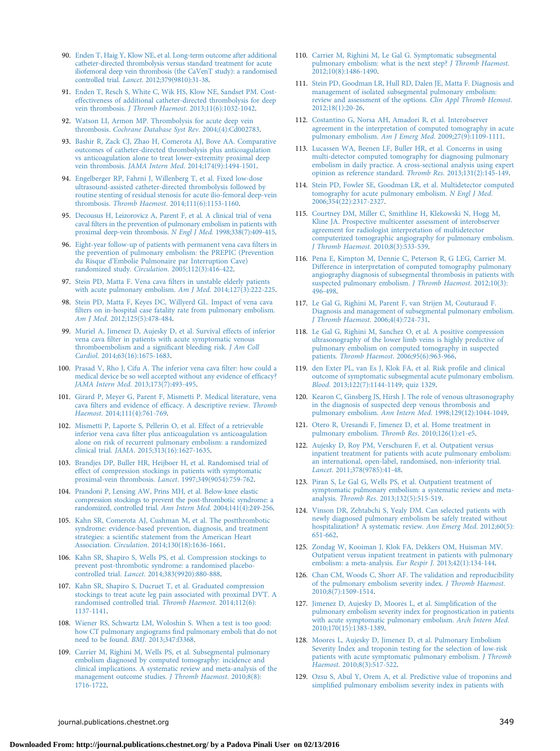- <span id="page-34-0"></span>90. [Enden T, Haig Y, Klow NE, et al. Long-term outcome after additional](http://refhub.elsevier.com/S0012-3692(15)00335-9/sref90) [catheter-directed thrombolysis versus standard treatment for acute](http://refhub.elsevier.com/S0012-3692(15)00335-9/sref90) [iliofemoral deep vein thrombosis \(the CaVenT study\): a randomised](http://refhub.elsevier.com/S0012-3692(15)00335-9/sref90) controlled trial. Lancet[. 2012;379\(9810\):31-38](http://refhub.elsevier.com/S0012-3692(15)00335-9/sref90).
- 91. [Enden T, Resch S, White C, Wik HS, Klow NE, Sandset PM. Cost](http://refhub.elsevier.com/S0012-3692(15)00335-9/sref91)[effectiveness of additional catheter-directed thrombolysis for deep](http://refhub.elsevier.com/S0012-3692(15)00335-9/sref91) vein thrombosis. J Thromb Haemost[. 2013;11\(6\):1032-1042](http://refhub.elsevier.com/S0012-3692(15)00335-9/sref91).
- 92. [Watson LI, Armon MP. Thrombolysis for acute deep vein](http://refhub.elsevier.com/S0012-3692(15)00335-9/sref92) thrombosis. [Cochrane Database Syst Rev](http://refhub.elsevier.com/S0012-3692(15)00335-9/sref92). 2004;(4):Cd002783.
- 93. [Bashir R, Zack CJ, Zhao H, Comerota AJ, Bove AA. Comparative](http://refhub.elsevier.com/S0012-3692(15)00335-9/sref93) [outcomes of catheter-directed thrombolysis plus anticoagulation](http://refhub.elsevier.com/S0012-3692(15)00335-9/sref93) [vs anticoagulation alone to treat lower-extremity proximal deep](http://refhub.elsevier.com/S0012-3692(15)00335-9/sref93) vein thrombosis. JAMA Intern Med[. 2014;174\(9\):1494-1501.](http://refhub.elsevier.com/S0012-3692(15)00335-9/sref93)
- 94. [Engelberger RP, Fahrni J, Willenberg T, et al. Fixed low-dose](http://refhub.elsevier.com/S0012-3692(15)00335-9/sref94) [ultrasound-assisted catheter-directed thrombolysis followed by](http://refhub.elsevier.com/S0012-3692(15)00335-9/sref94) [routine stenting of residual stenosis for acute ilio-femoral deep-vein](http://refhub.elsevier.com/S0012-3692(15)00335-9/sref94) thrombosis. Thromb Haemost[. 2014;111\(6\):1153-1160.](http://refhub.elsevier.com/S0012-3692(15)00335-9/sref94)
- 95. [Decousus H, Leizorovicz A, Parent F, et al. A clinical trial of vena](http://refhub.elsevier.com/S0012-3692(15)00335-9/sref95) caval fi[lters in the prevention of pulmonary embolism in patients with](http://refhub.elsevier.com/S0012-3692(15)00335-9/sref95) [proximal deep-vein thrombosis.](http://refhub.elsevier.com/S0012-3692(15)00335-9/sref95) N Engl J Med. 1998;338(7):409-415.
- 96. [Eight-year follow-up of patients with permanent vena cava](http://refhub.elsevier.com/S0012-3692(15)00335-9/sref96) filters in [the prevention of pulmonary embolism: the PREPIC \(Prevention](http://refhub.elsevier.com/S0012-3692(15)00335-9/sref96) du Risque d'[Embolie Pulmonaire par Interruption Cave\)](http://refhub.elsevier.com/S0012-3692(15)00335-9/sref96) randomized study. Circulation[. 2005;112\(3\):416-422.](http://refhub.elsevier.com/S0012-3692(15)00335-9/sref96)
- 97. Stein PD, Matta F. Vena cava fi[lters in unstable elderly patients](http://refhub.elsevier.com/S0012-3692(15)00335-9/sref97) [with acute pulmonary embolism.](http://refhub.elsevier.com/S0012-3692(15)00335-9/sref97) Am J Med.  $2014;127(3):222-225$ .
- 98. [Stein PD, Matta F, Keyes DC, Willyerd GL. Impact of vena cava](http://refhub.elsevier.com/S0012-3692(15)00335-9/sref98) fi[lters on in-hospital case fatality rate from pulmonary embolism.](http://refhub.elsevier.com/S0012-3692(15)00335-9/sref98) Am J Med[. 2012;125\(5\):478-484](http://refhub.elsevier.com/S0012-3692(15)00335-9/sref98).
- 99. [Muriel A, Jimenez D, Aujesky D, et al. Survival effects of inferior](http://refhub.elsevier.com/S0012-3692(15)00335-9/sref99) vena cava fi[lter in patients with acute symptomatic venous](http://refhub.elsevier.com/S0012-3692(15)00335-9/sref99) [thromboembolism and a signi](http://refhub.elsevier.com/S0012-3692(15)00335-9/sref99)ficant bleeding risk. J Am Coll Cardiol[. 2014;63\(16\):1675-1683](http://refhub.elsevier.com/S0012-3692(15)00335-9/sref99).
- 100. [Prasad V, Rho J, Cifu A. The inferior vena cava](http://refhub.elsevier.com/S0012-3692(15)00335-9/sref100) filter: how could a [medical device be so well accepted without any evidence of ef](http://refhub.elsevier.com/S0012-3692(15)00335-9/sref100)ficacy? JAMA Intern Med[. 2013;173\(7\):493-495.](http://refhub.elsevier.com/S0012-3692(15)00335-9/sref100)
- 101. [Girard P, Meyer G, Parent F, Mismetti P. Medical literature, vena](http://refhub.elsevier.com/S0012-3692(15)00335-9/sref101) cava filters and evidence of effi[cacy. A descriptive review.](http://refhub.elsevier.com/S0012-3692(15)00335-9/sref101) Thromb Haemost[. 2014;111\(4\):761-769.](http://refhub.elsevier.com/S0012-3692(15)00335-9/sref101)
- 102. [Mismetti P, Laporte S, Pellerin O, et al. Effect of a retrievable](http://refhub.elsevier.com/S0012-3692(15)00335-9/sref102) inferior vena cava fi[lter plus anticoagulation vs anticoagulation](http://refhub.elsevier.com/S0012-3692(15)00335-9/sref102) [alone on risk of recurrent pulmonary embolism: a randomized](http://refhub.elsevier.com/S0012-3692(15)00335-9/sref102) clinical trial. JAMA[. 2015;313\(16\):1627-1635](http://refhub.elsevier.com/S0012-3692(15)00335-9/sref102).
- 103. [Brandjes DP, Buller HR, Heijboer H, et al. Randomised trial of](http://refhub.elsevier.com/S0012-3692(15)00335-9/sref103) [effect of compression stockings in patients with symptomatic](http://refhub.elsevier.com/S0012-3692(15)00335-9/sref103) [proximal-vein thrombosis.](http://refhub.elsevier.com/S0012-3692(15)00335-9/sref103) Lancet. 1997;349(9054):759-762.
- 104. [Prandoni P, Lensing AW, Prins MH, et al. Below-knee elastic](http://refhub.elsevier.com/S0012-3692(15)00335-9/sref104) [compression stockings to prevent the post-thrombotic syndrome: a](http://refhub.elsevier.com/S0012-3692(15)00335-9/sref104) [randomized, controlled trial.](http://refhub.elsevier.com/S0012-3692(15)00335-9/sref104) Ann Intern Med. 2004;141(4):249-256.
- 105. [Kahn SR, Comerota AJ, Cushman M, et al. The postthrombotic](http://refhub.elsevier.com/S0012-3692(15)00335-9/sref105) [syndrome: evidence-based prevention, diagnosis, and treatment](http://refhub.elsevier.com/S0012-3692(15)00335-9/sref105) strategies: a scientifi[c statement from the American Heart](http://refhub.elsevier.com/S0012-3692(15)00335-9/sref105) Association. Circulation[. 2014;130\(18\):1636-1661](http://refhub.elsevier.com/S0012-3692(15)00335-9/sref105).
- 106. [Kahn SR, Shapiro S, Wells PS, et al. Compression stockings to](http://refhub.elsevier.com/S0012-3692(15)00335-9/sref106) [prevent post-thrombotic syndrome: a randomised placebo](http://refhub.elsevier.com/S0012-3692(15)00335-9/sref106)controlled trial. Lancet[. 2014;383\(9920\):880-888.](http://refhub.elsevier.com/S0012-3692(15)00335-9/sref106)
- 107. [Kahn SR, Shapiro S, Ducruet T, et al. Graduated compression](http://refhub.elsevier.com/S0012-3692(15)00335-9/sref107) [stockings to treat acute leg pain associated with proximal DVT. A](http://refhub.elsevier.com/S0012-3692(15)00335-9/sref107) [randomised controlled trial.](http://refhub.elsevier.com/S0012-3692(15)00335-9/sref107) Thromb Haemost. 2014;112(6): [1137-1141](http://refhub.elsevier.com/S0012-3692(15)00335-9/sref107).
- 108. [Wiener RS, Schwartz LM, Woloshin S. When a test is too good:](http://refhub.elsevier.com/S0012-3692(15)00335-9/sref108) how CT pulmonary angiograms fi[nd pulmonary emboli that do not](http://refhub.elsevier.com/S0012-3692(15)00335-9/sref108) [need to be found.](http://refhub.elsevier.com/S0012-3692(15)00335-9/sref108) BMJ. 2013;347:f3368.
- 109. [Carrier M, Righini M, Wells PS, et al. Subsegmental pulmonary](http://refhub.elsevier.com/S0012-3692(15)00335-9/sref109) [embolism diagnosed by computed tomography: incidence and](http://refhub.elsevier.com/S0012-3692(15)00335-9/sref109) [clinical implications. A systematic review and meta-analysis of the](http://refhub.elsevier.com/S0012-3692(15)00335-9/sref109) [management outcome studies.](http://refhub.elsevier.com/S0012-3692(15)00335-9/sref109) J Thromb Haemost. 2010;8(8): [1716-1722](http://refhub.elsevier.com/S0012-3692(15)00335-9/sref109).
- 110. [Carrier M, Righini M, Le Gal G. Symptomatic subsegmental](http://refhub.elsevier.com/S0012-3692(15)00335-9/sref110) [pulmonary embolism: what is the next step?](http://refhub.elsevier.com/S0012-3692(15)00335-9/sref110) J Thromb Haemost. [2012;10\(8\):1486-1490](http://refhub.elsevier.com/S0012-3692(15)00335-9/sref110).
- 111. [Stein PD, Goodman LR, Hull RD, Dalen JE, Matta F. Diagnosis and](http://refhub.elsevier.com/S0012-3692(15)00335-9/sref111) [management of isolated subsegmental pulmonary embolism:](http://refhub.elsevier.com/S0012-3692(15)00335-9/sref111) [review and assessment of the options.](http://refhub.elsevier.com/S0012-3692(15)00335-9/sref111) Clin Appl Thromb Hemost. [2012;18\(1\):20-26](http://refhub.elsevier.com/S0012-3692(15)00335-9/sref111).
- 112. [Costantino G, Norsa AH, Amadori R, et al. Interobserver](http://refhub.elsevier.com/S0012-3692(15)00335-9/sref112) [agreement in the interpretation of computed tomography in acute](http://refhub.elsevier.com/S0012-3692(15)00335-9/sref112) pulmonary embolism. Am J Emerg Med[. 2009;27\(9\):1109-1111.](http://refhub.elsevier.com/S0012-3692(15)00335-9/sref112)
- 113. [Lucassen WA, Beenen LF, Buller HR, et al. Concerns in using](http://refhub.elsevier.com/S0012-3692(15)00335-9/sref113) [multi-detector computed tomography for diagnosing pulmonary](http://refhub.elsevier.com/S0012-3692(15)00335-9/sref113) [embolism in daily practice. A cross-sectional analysis using expert](http://refhub.elsevier.com/S0012-3692(15)00335-9/sref113) [opinion as reference standard.](http://refhub.elsevier.com/S0012-3692(15)00335-9/sref113) Thromb Res. 2013;131(2):145-149.
- 114. [Stein PD, Fowler SE, Goodman LR, et al. Multidetector computed](http://refhub.elsevier.com/S0012-3692(15)00335-9/sref114) [tomography for acute pulmonary embolism.](http://refhub.elsevier.com/S0012-3692(15)00335-9/sref114) N Engl J Med. [2006;354\(22\):2317-2327](http://refhub.elsevier.com/S0012-3692(15)00335-9/sref114).
- 115. [Courtney DM, Miller C, Smithline H, Klekowski N, Hogg M,](http://refhub.elsevier.com/S0012-3692(15)00335-9/sref115) [Kline JA. Prospective multicenter assessment of interobserver](http://refhub.elsevier.com/S0012-3692(15)00335-9/sref115) [agreement for radiologist interpretation of multidetector](http://refhub.elsevier.com/S0012-3692(15)00335-9/sref115) [computerized tomographic angiography for pulmonary embolism.](http://refhub.elsevier.com/S0012-3692(15)00335-9/sref115) J Thromb Haemost[. 2010;8\(3\):533-539.](http://refhub.elsevier.com/S0012-3692(15)00335-9/sref115)
- 116. [Pena E, Kimpton M, Dennie C, Peterson R, G LEG, Carrier M.](http://refhub.elsevier.com/S0012-3692(15)00335-9/sref116) [Difference in interpretation of computed tomography pulmonary](http://refhub.elsevier.com/S0012-3692(15)00335-9/sref116) [angiography diagnosis of subsegmental thrombosis in patients with](http://refhub.elsevier.com/S0012-3692(15)00335-9/sref116) [suspected pulmonary embolism.](http://refhub.elsevier.com/S0012-3692(15)00335-9/sref116) *J Thromb Haemost*. 2012;10(3): [496-498](http://refhub.elsevier.com/S0012-3692(15)00335-9/sref116).
- 117. [Le Gal G, Righini M, Parent F, van Strijen M, Couturaud F.](http://refhub.elsevier.com/S0012-3692(15)00335-9/sref117) [Diagnosis and management of subsegmental pulmonary embolism.](http://refhub.elsevier.com/S0012-3692(15)00335-9/sref117) J Thromb Haemost[. 2006;4\(4\):724-731.](http://refhub.elsevier.com/S0012-3692(15)00335-9/sref117)
- 118. [Le Gal G, Righini M, Sanchez O, et al. A positive compression](http://refhub.elsevier.com/S0012-3692(15)00335-9/sref118) [ultrasonography of the lower limb veins is highly predictive of](http://refhub.elsevier.com/S0012-3692(15)00335-9/sref118) [pulmonary embolism on computed tomography in suspected](http://refhub.elsevier.com/S0012-3692(15)00335-9/sref118) patients. Thromb Haemost[. 2006;95\(6\):963-966.](http://refhub.elsevier.com/S0012-3692(15)00335-9/sref118)
- 119. [den Exter PL, van Es J, Klok FA, et al. Risk pro](http://refhub.elsevier.com/S0012-3692(15)00335-9/sref119)file and clinical [outcome of symptomatic subsegmental acute pulmonary embolism.](http://refhub.elsevier.com/S0012-3692(15)00335-9/sref119) Blood[. 2013;122\(7\):1144-1149; quiz 1329](http://refhub.elsevier.com/S0012-3692(15)00335-9/sref119).
- 120. [Kearon C, Ginsberg JS, Hirsh J. The role of venous ultrasonography](http://refhub.elsevier.com/S0012-3692(15)00335-9/sref120) [in the diagnosis of suspected deep venous thrombosis and](http://refhub.elsevier.com/S0012-3692(15)00335-9/sref120) pulmonary embolism. Ann Intern Med[. 1998;129\(12\):1044-1049.](http://refhub.elsevier.com/S0012-3692(15)00335-9/sref120)
- 121. [Otero R, Uresandi F, Jimenez D, et al. Home treatment in](http://refhub.elsevier.com/S0012-3692(15)00335-9/sref121) [pulmonary embolism.](http://refhub.elsevier.com/S0012-3692(15)00335-9/sref121) Thromb Res. 2010;126(1):e1-e5.
- 122. [Aujesky D, Roy PM, Verschuren F, et al. Outpatient versus](http://refhub.elsevier.com/S0012-3692(15)00335-9/sref122) [inpatient treatment for patients with acute pulmonary embolism:](http://refhub.elsevier.com/S0012-3692(15)00335-9/sref122) [an international, open-label, randomised, non-inferiority trial.](http://refhub.elsevier.com/S0012-3692(15)00335-9/sref122) Lancet[. 2011;378\(9785\):41-48.](http://refhub.elsevier.com/S0012-3692(15)00335-9/sref122)
- 123. [Piran S, Le Gal G, Wells PS, et al. Outpatient treatment of](http://refhub.elsevier.com/S0012-3692(15)00335-9/sref123) [symptomatic pulmonary embolism: a systematic review and meta](http://refhub.elsevier.com/S0012-3692(15)00335-9/sref123)analysis. Thromb Res[. 2013;132\(5\):515-519](http://refhub.elsevier.com/S0012-3692(15)00335-9/sref123).
- 124. [Vinson DR, Zehtabchi S, Yealy DM. Can selected patients with](http://refhub.elsevier.com/S0012-3692(15)00335-9/sref124) [newly diagnosed pulmonary embolism be safely treated without](http://refhub.elsevier.com/S0012-3692(15)00335-9/sref124) [hospitalization? A systematic review.](http://refhub.elsevier.com/S0012-3692(15)00335-9/sref124) Ann Emerg Med. 2012;60(5): [651-662](http://refhub.elsevier.com/S0012-3692(15)00335-9/sref124).
- 125. [Zondag W, Kooiman J, Klok FA, Dekkers OM, Huisman MV.](http://refhub.elsevier.com/S0012-3692(15)00335-9/sref125) [Outpatient versus inpatient treatment in patients with pulmonary](http://refhub.elsevier.com/S0012-3692(15)00335-9/sref125) [embolism: a meta-analysis.](http://refhub.elsevier.com/S0012-3692(15)00335-9/sref125) Eur Respir J. 2013;42(1):134-144.
- 126. [Chan CM, Woods C, Shorr AF. The validation and reproducibility](http://refhub.elsevier.com/S0012-3692(15)00335-9/sref126) [of the pulmonary embolism severity index.](http://refhub.elsevier.com/S0012-3692(15)00335-9/sref126) J Thromb Haemost. [2010;8\(7\):1509-1514](http://refhub.elsevier.com/S0012-3692(15)00335-9/sref126).
- 127. [Jimenez D, Aujesky D, Moores L, et al. Simpli](http://refhub.elsevier.com/S0012-3692(15)00335-9/sref127)fication of the [pulmonary embolism severity index for prognostication in patients](http://refhub.elsevier.com/S0012-3692(15)00335-9/sref127) [with acute symptomatic pulmonary embolism.](http://refhub.elsevier.com/S0012-3692(15)00335-9/sref127) Arch Intern Med. [2010;170\(15\):1383-1389](http://refhub.elsevier.com/S0012-3692(15)00335-9/sref127).
- 128. [Moores L, Aujesky D, Jimenez D, et al. Pulmonary Embolism](http://refhub.elsevier.com/S0012-3692(15)00335-9/sref128) [Severity Index and troponin testing for the selection of low-risk](http://refhub.elsevier.com/S0012-3692(15)00335-9/sref128) [patients with acute symptomatic pulmonary embolism.](http://refhub.elsevier.com/S0012-3692(15)00335-9/sref128) J Thromb Haemost[. 2010;8\(3\):517-522](http://refhub.elsevier.com/S0012-3692(15)00335-9/sref128).
- 129. [Ozsu S, Abul Y, Orem A, et al. Predictive value of troponins and](http://refhub.elsevier.com/S0012-3692(15)00335-9/sref129) simplifi[ed pulmonary embolism severity index in patients with](http://refhub.elsevier.com/S0012-3692(15)00335-9/sref129)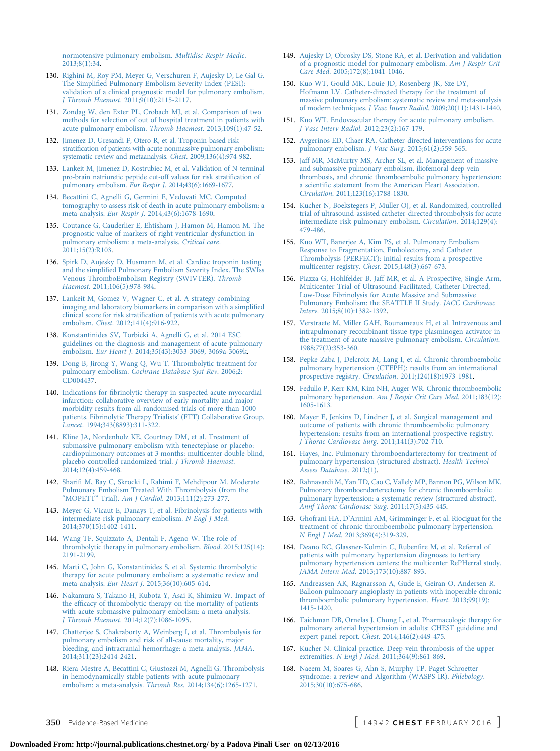<span id="page-35-0"></span>[normotensive pulmonary embolism.](http://refhub.elsevier.com/S0012-3692(15)00335-9/sref129) Multidisc Respir Medic. [2013;8\(1\):34.](http://refhub.elsevier.com/S0012-3692(15)00335-9/sref129)

- 130. [Righini M, Roy PM, Meyer G, Verschuren F, Aujesky D, Le Gal G.](http://refhub.elsevier.com/S0012-3692(15)00335-9/sref130) The Simplifi[ed Pulmonary Embolism Severity Index \(PESI\):](http://refhub.elsevier.com/S0012-3692(15)00335-9/sref130) [validation of a clinical prognostic model for pulmonary embolism.](http://refhub.elsevier.com/S0012-3692(15)00335-9/sref130) J Thromb Haemost[. 2011;9\(10\):2115-2117.](http://refhub.elsevier.com/S0012-3692(15)00335-9/sref130)
- 131. [Zondag W, den Exter PL, Crobach MJ, et al. Comparison of two](http://refhub.elsevier.com/S0012-3692(15)00335-9/sref131) [methods for selection of out of hospital treatment in patients with](http://refhub.elsevier.com/S0012-3692(15)00335-9/sref131) [acute pulmonary embolism.](http://refhub.elsevier.com/S0012-3692(15)00335-9/sref131) Thromb Haemost. 2013;109(1):47-52.
- 132. [Jimenez D, Uresandi F, Otero R, et al. Troponin-based risk](http://refhub.elsevier.com/S0012-3692(15)00335-9/sref132) stratifi[cation of patients with acute nonmassive pulmonary embolism:](http://refhub.elsevier.com/S0012-3692(15)00335-9/sref132) [systematic review and metaanalysis.](http://refhub.elsevier.com/S0012-3692(15)00335-9/sref132) Chest. 2009;136(4):974-982.
- 133. [Lankeit M, Jimenez D, Kostrubiec M, et al. Validation of N-terminal](http://refhub.elsevier.com/S0012-3692(15)00335-9/sref133) [pro-brain natriuretic peptide cut-off values for risk strati](http://refhub.elsevier.com/S0012-3692(15)00335-9/sref133)fication of pulmonary embolism. Eur Respir J[. 2014;43\(6\):1669-1677](http://refhub.elsevier.com/S0012-3692(15)00335-9/sref133).
- 134. [Becattini C, Agnelli G, Germini F, Vedovati MC. Computed](http://refhub.elsevier.com/S0012-3692(15)00335-9/sref134) [tomography to assess risk of death in acute pulmonary embolism: a](http://refhub.elsevier.com/S0012-3692(15)00335-9/sref134) meta-analysis. Eur Respir J[. 2014;43\(6\):1678-1690](http://refhub.elsevier.com/S0012-3692(15)00335-9/sref134).
- 135. [Coutance G, Cauderlier E, Ehtisham J, Hamon M, Hamon M. The](http://refhub.elsevier.com/S0012-3692(15)00335-9/sref135) [prognostic value of markers of right ventricular dysfunction in](http://refhub.elsevier.com/S0012-3692(15)00335-9/sref135) [pulmonary embolism: a meta-analysis.](http://refhub.elsevier.com/S0012-3692(15)00335-9/sref135) Critical care.  $2011:15(2):R103.$
- 136. [Spirk D, Aujesky D, Husmann M, et al. Cardiac troponin testing](http://refhub.elsevier.com/S0012-3692(15)00335-9/sref136) and the simplifi[ed Pulmonary Embolism Severity Index. The SWIss](http://refhub.elsevier.com/S0012-3692(15)00335-9/sref136) [Venous ThromboEmbolism Registry \(SWIVTER\).](http://refhub.elsevier.com/S0012-3692(15)00335-9/sref136) Thromb Haemost[. 2011;106\(5\):978-984.](http://refhub.elsevier.com/S0012-3692(15)00335-9/sref136)
- 137. [Lankeit M, Gomez V, Wagner C, et al. A strategy combining](http://refhub.elsevier.com/S0012-3692(15)00335-9/sref137) [imaging and laboratory biomarkers in comparison with a simpli](http://refhub.elsevier.com/S0012-3692(15)00335-9/sref137)fied clinical score for risk stratifi[cation of patients with acute pulmonary](http://refhub.elsevier.com/S0012-3692(15)00335-9/sref137) embolism. Chest[. 2012;141\(4\):916-922](http://refhub.elsevier.com/S0012-3692(15)00335-9/sref137).
- 138. [Konstantinides SV, Torbicki A, Agnelli G, et al. 2014 ESC](http://refhub.elsevier.com/S0012-3692(15)00335-9/sref138) [guidelines on the diagnosis and management of acute pulmonary](http://refhub.elsevier.com/S0012-3692(15)00335-9/sref138) embolism. Eur Heart J[. 2014;35\(43\):3033-3069, 3069a-3069k.](http://refhub.elsevier.com/S0012-3692(15)00335-9/sref138)
- 139. [Dong B, Jirong Y, Wang Q, Wu T. Thrombolytic treatment for](http://refhub.elsevier.com/S0012-3692(15)00335-9/sref139) pulmonary embolism. [Cochrane Database Syst Rev](http://refhub.elsevier.com/S0012-3692(15)00335-9/sref139). 2006;2: [CD004437](http://refhub.elsevier.com/S0012-3692(15)00335-9/sref139).
- 140. Indications for fi[brinolytic therapy in suspected acute myocardial](http://refhub.elsevier.com/S0012-3692(15)00335-9/sref140) [infarction: collaborative overview of early mortality and major](http://refhub.elsevier.com/S0012-3692(15)00335-9/sref140) [morbidity results from all randomised trials of more than 1000](http://refhub.elsevier.com/S0012-3692(15)00335-9/sref140) [patients. Fibrinolytic Therapy Trialists](http://refhub.elsevier.com/S0012-3692(15)00335-9/sref140)' (FTT) Collaborative Group. Lancet[. 1994;343\(8893\):311-322](http://refhub.elsevier.com/S0012-3692(15)00335-9/sref140).
- 141. [Kline JA, Nordenholz KE, Courtney DM, et al. Treatment of](http://refhub.elsevier.com/S0012-3692(15)00335-9/sref141) [submassive pulmonary embolism with tenecteplase or placebo:](http://refhub.elsevier.com/S0012-3692(15)00335-9/sref141) [cardiopulmonary outcomes at 3 months: multicenter double-blind,](http://refhub.elsevier.com/S0012-3692(15)00335-9/sref141) [placebo-controlled randomized trial.](http://refhub.elsevier.com/S0012-3692(15)00335-9/sref141) J Thromb Haemost. [2014;12\(4\):459-468.](http://refhub.elsevier.com/S0012-3692(15)00335-9/sref141)
- 142. Sharifi [M, Bay C, Skrocki L, Rahimi F, Mehdipour M. Moderate](http://refhub.elsevier.com/S0012-3692(15)00335-9/sref142) [Pulmonary Embolism Treated With Thrombolysis \(from the](http://refhub.elsevier.com/S0012-3692(15)00335-9/sref142) "MOPETT" Trial). Am J Cardiol[. 2013;111\(2\):273-277](http://refhub.elsevier.com/S0012-3692(15)00335-9/sref142).
- 143. [Meyer G, Vicaut E, Danays T, et al. Fibrinolysis for patients with](http://refhub.elsevier.com/S0012-3692(15)00335-9/sref143) [intermediate-risk pulmonary embolism.](http://refhub.elsevier.com/S0012-3692(15)00335-9/sref143) N Engl J Med. [2014;370\(15\):1402-1411.](http://refhub.elsevier.com/S0012-3692(15)00335-9/sref143)
- 144. [Wang TF, Squizzato A, Dentali F, Ageno W. The role of](http://refhub.elsevier.com/S0012-3692(15)00335-9/sref144) [thrombolytic therapy in pulmonary embolism.](http://refhub.elsevier.com/S0012-3692(15)00335-9/sref144) Blood. 2015;125(14): [2191-2199.](http://refhub.elsevier.com/S0012-3692(15)00335-9/sref144)
- 145. [Marti C, John G, Konstantinides S, et al. Systemic thrombolytic](http://refhub.elsevier.com/S0012-3692(15)00335-9/sref145) [therapy for acute pulmonary embolism: a systematic review and](http://refhub.elsevier.com/S0012-3692(15)00335-9/sref145) meta-analysis. Eur Heart J[. 2015;36\(10\):605-614](http://refhub.elsevier.com/S0012-3692(15)00335-9/sref145).
- 146. [Nakamura S, Takano H, Kubota Y, Asai K, Shimizu W. Impact of](http://refhub.elsevier.com/S0012-3692(15)00335-9/sref146) the effi[cacy of thrombolytic therapy on the mortality of patients](http://refhub.elsevier.com/S0012-3692(15)00335-9/sref146) [with acute submassive pulmonary embolism: a meta-analysis.](http://refhub.elsevier.com/S0012-3692(15)00335-9/sref146) J Thromb Haemost[. 2014;12\(7\):1086-1095.](http://refhub.elsevier.com/S0012-3692(15)00335-9/sref146)
- 147. [Chatterjee S, Chakraborty A, Weinberg I, et al. Thrombolysis for](http://refhub.elsevier.com/S0012-3692(15)00335-9/sref147) [pulmonary embolism and risk of all-cause mortality, major](http://refhub.elsevier.com/S0012-3692(15)00335-9/sref147) [bleeding, and intracranial hemorrhage: a meta-analysis.](http://refhub.elsevier.com/S0012-3692(15)00335-9/sref147) JAMA. [2014;311\(23\):2414-2421.](http://refhub.elsevier.com/S0012-3692(15)00335-9/sref147)
- 148. [Riera-Mestre A, Becattini C, Giustozzi M, Agnelli G. Thrombolysis](http://refhub.elsevier.com/S0012-3692(15)00335-9/sref148) [in hemodynamically stable patients with acute pulmonary](http://refhub.elsevier.com/S0012-3692(15)00335-9/sref148) [embolism: a meta-analysis.](http://refhub.elsevier.com/S0012-3692(15)00335-9/sref148) Thromb Res. 2014;134(6):1265-1271.
- 149. [Aujesky D, Obrosky DS, Stone RA, et al. Derivation and validation](http://refhub.elsevier.com/S0012-3692(15)00335-9/sref149) [of a prognostic model for pulmonary embolism.](http://refhub.elsevier.com/S0012-3692(15)00335-9/sref149) Am J Respir Crit Care Med[. 2005;172\(8\):1041-1046.](http://refhub.elsevier.com/S0012-3692(15)00335-9/sref149)
- 150. [Kuo WT, Gould MK, Louie JD, Rosenberg JK, Sze DY,](http://refhub.elsevier.com/S0012-3692(15)00335-9/sref150) [Hofmann LV. Catheter-directed therapy for the treatment of](http://refhub.elsevier.com/S0012-3692(15)00335-9/sref150) [massive pulmonary embolism: systematic review and meta-analysis](http://refhub.elsevier.com/S0012-3692(15)00335-9/sref150) of modern techniques. J Vasc Interv Radiol[. 2009;20\(11\):1431-1440.](http://refhub.elsevier.com/S0012-3692(15)00335-9/sref150)
- 151. [Kuo WT. Endovascular therapy for acute pulmonary embolism.](http://refhub.elsevier.com/S0012-3692(15)00335-9/sref151) J Vasc Interv Radiol[. 2012;23\(2\):167-179.](http://refhub.elsevier.com/S0012-3692(15)00335-9/sref151)
- 152. [Avgerinos ED, Chaer RA. Catheter-directed interventions for acute](http://refhub.elsevier.com/S0012-3692(15)00335-9/sref152) [pulmonary embolism.](http://refhub.elsevier.com/S0012-3692(15)00335-9/sref152) J Vasc Surg. 2015;61(2):559-565.
- 153. [Jaff MR, McMurtry MS, Archer SL, et al. Management of massive](http://refhub.elsevier.com/S0012-3692(15)00335-9/sref153) [and submassive pulmonary embolism, iliofemoral deep vein](http://refhub.elsevier.com/S0012-3692(15)00335-9/sref153) [thrombosis, and chronic thromboembolic pulmonary hypertension:](http://refhub.elsevier.com/S0012-3692(15)00335-9/sref153) a scientifi[c statement from the American Heart Association.](http://refhub.elsevier.com/S0012-3692(15)00335-9/sref153) Circulation[. 2011;123\(16\):1788-1830.](http://refhub.elsevier.com/S0012-3692(15)00335-9/sref153)
- 154. [Kucher N, Boekstegers P, Muller OJ, et al. Randomized, controlled](http://refhub.elsevier.com/S0012-3692(15)00335-9/sref154) [trial of ultrasound-assisted catheter-directed thrombolysis for acute](http://refhub.elsevier.com/S0012-3692(15)00335-9/sref154) [intermediate-risk pulmonary embolism.](http://refhub.elsevier.com/S0012-3692(15)00335-9/sref154) Circulation. 2014;129(4): [479-486](http://refhub.elsevier.com/S0012-3692(15)00335-9/sref154).
- 155. [Kuo WT, Banerjee A, Kim PS, et al. Pulmonary Embolism](http://refhub.elsevier.com/S0012-3692(15)00335-9/sref155) [Response to Fragmentation, Embolectomy, and Catheter](http://refhub.elsevier.com/S0012-3692(15)00335-9/sref155) [Thrombolysis \(PERFECT\): initial results from a prospective](http://refhub.elsevier.com/S0012-3692(15)00335-9/sref155) multicenter registry. Chest[. 2015;148\(3\):667-673](http://refhub.elsevier.com/S0012-3692(15)00335-9/sref155).
- 156. [Piazza G, Hohlfelder B, Jaff MR, et al. A Prospective, Single-Arm,](http://refhub.elsevier.com/S0012-3692(15)00335-9/sref156) [Multicenter Trial of Ultrasound-Facilitated, Catheter-Directed,](http://refhub.elsevier.com/S0012-3692(15)00335-9/sref156) [Low-Dose Fibrinolysis for Acute Massive and Submassive](http://refhub.elsevier.com/S0012-3692(15)00335-9/sref156) [Pulmonary Embolism: the SEATTLE II Study.](http://refhub.elsevier.com/S0012-3692(15)00335-9/sref156) JACC Cardiovasc Interv[. 2015;8\(10\):1382-1392.](http://refhub.elsevier.com/S0012-3692(15)00335-9/sref156)
- 157. [Verstraete M, Miller GAH, Bounameaux H, et al. Intravenous and](http://refhub.elsevier.com/S0012-3692(15)00335-9/sref157) [intrapulmonary recombinant tissue-type plasminogen activator in](http://refhub.elsevier.com/S0012-3692(15)00335-9/sref157) [the treatment of acute massive pulmonary embolism.](http://refhub.elsevier.com/S0012-3692(15)00335-9/sref157) Circulation. [1988;77\(2\):353-360.](http://refhub.elsevier.com/S0012-3692(15)00335-9/sref157)
- 158. [Pepke-Zaba J, Delcroix M, Lang I, et al. Chronic thromboembolic](http://refhub.elsevier.com/S0012-3692(15)00335-9/sref158) [pulmonary hypertension \(CTEPH\): results from an international](http://refhub.elsevier.com/S0012-3692(15)00335-9/sref158) prospective registry. Circulation[. 2011;124\(18\):1973-1981](http://refhub.elsevier.com/S0012-3692(15)00335-9/sref158).
- 159. [Fedullo P, Kerr KM, Kim NH, Auger WR. Chronic thromboembolic](http://refhub.elsevier.com/S0012-3692(15)00335-9/sref159) pulmonary hypertension. [Am J Respir Crit Care Med](http://refhub.elsevier.com/S0012-3692(15)00335-9/sref159). 2011;183(12): [1605-1613.](http://refhub.elsevier.com/S0012-3692(15)00335-9/sref159)
- 160. [Mayer E, Jenkins D, Lindner J, et al. Surgical management and](http://refhub.elsevier.com/S0012-3692(15)00335-9/sref160) [outcome of patients with chronic thromboembolic pulmonary](http://refhub.elsevier.com/S0012-3692(15)00335-9/sref160) [hypertension: results from an international prospective registry.](http://refhub.elsevier.com/S0012-3692(15)00335-9/sref160) [J Thorac Cardiovasc Surg](http://refhub.elsevier.com/S0012-3692(15)00335-9/sref160). 2011;141(3):702-710.
- 161. [Hayes, Inc. Pulmonary thromboendarterectomy for treatment of](http://refhub.elsevier.com/S0012-3692(15)00335-9/sref161) [pulmonary hypertension \(structured abstract\).](http://refhub.elsevier.com/S0012-3692(15)00335-9/sref161) Health Technol [Assess Database](http://refhub.elsevier.com/S0012-3692(15)00335-9/sref161). 2012;(1).
- 162. [Rahnavardi M, Yan TD, Cao C, Vallely MP, Bannon PG, Wilson MK.](http://refhub.elsevier.com/S0012-3692(15)00335-9/sref162) [Pulmonary thromboendarterectomy for chronic thromboembolic](http://refhub.elsevier.com/S0012-3692(15)00335-9/sref162) [pulmonary hypertension: a systematic review \(structured abstract\).](http://refhub.elsevier.com/S0012-3692(15)00335-9/sref162) [Annf Thorac Cardiovasc Surg](http://refhub.elsevier.com/S0012-3692(15)00335-9/sref162). 2011;17(5):435-445.
- 163. Ghofrani HA, D'[Armini AM, Grimminger F, et al. Riociguat for the](http://refhub.elsevier.com/S0012-3692(15)00335-9/sref163) [treatment of chronic thromboembolic pulmonary hypertension.](http://refhub.elsevier.com/S0012-3692(15)00335-9/sref163) N Engl J Med[. 2013;369\(4\):319-329](http://refhub.elsevier.com/S0012-3692(15)00335-9/sref163).
- 164. [Deano RC, Glassner-Kolmin C, Ruben](http://refhub.elsevier.com/S0012-3692(15)00335-9/sref164)fire M, et al. Referral of [patients with pulmonary hypertension diagnoses to tertiary](http://refhub.elsevier.com/S0012-3692(15)00335-9/sref164) [pulmonary hypertension centers: the multicenter RePHerral study.](http://refhub.elsevier.com/S0012-3692(15)00335-9/sref164) JAMA Intern Med[. 2013;173\(10\):887-893.](http://refhub.elsevier.com/S0012-3692(15)00335-9/sref164)
- 165. [Andreassen AK, Ragnarsson A, Gude E, Geiran O, Andersen R.](http://refhub.elsevier.com/S0012-3692(15)00335-9/sref165) [Balloon pulmonary angioplasty in patients with inoperable chronic](http://refhub.elsevier.com/S0012-3692(15)00335-9/sref165) [thromboembolic pulmonary hypertension.](http://refhub.elsevier.com/S0012-3692(15)00335-9/sref165) Heart. 2013;99(19): [1415-1420.](http://refhub.elsevier.com/S0012-3692(15)00335-9/sref165)
- 166. [Taichman DB, Ornelas J, Chung L, et al. Pharmacologic therapy for](http://refhub.elsevier.com/S0012-3692(15)00335-9/sref166) [pulmonary arterial hypertension in adults: CHEST guideline and](http://refhub.elsevier.com/S0012-3692(15)00335-9/sref166) expert panel report. Chest[. 2014;146\(2\):449-475.](http://refhub.elsevier.com/S0012-3692(15)00335-9/sref166)
- 167. [Kucher N. Clinical practice. Deep-vein thrombosis of the upper](http://refhub.elsevier.com/S0012-3692(15)00335-9/sref167) extremities. N Engl J Med[. 2011;364\(9\):861-869.](http://refhub.elsevier.com/S0012-3692(15)00335-9/sref167)
- 168. [Naeem M, Soares G, Ahn S, Murphy TP. Paget-Schroetter](http://refhub.elsevier.com/S0012-3692(15)00335-9/sref168) [syndrome: a review and Algorithm \(WASPS-IR\).](http://refhub.elsevier.com/S0012-3692(15)00335-9/sref168) Phlebology. [2015;30\(10\):675-686.](http://refhub.elsevier.com/S0012-3692(15)00335-9/sref168)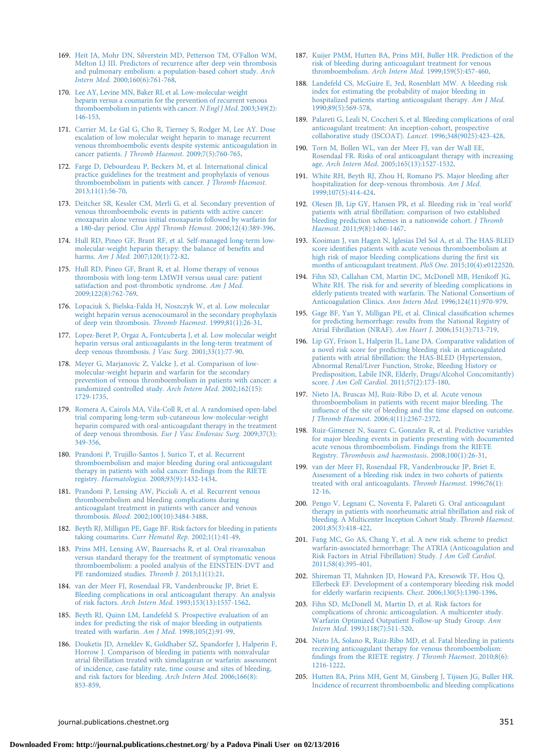- <span id="page-36-0"></span>169. [Heit JA, Mohr DN, Silverstein MD, Petterson TM, O](http://refhub.elsevier.com/S0012-3692(15)00335-9/sref169)'Fallon WM, [Melton LJ III. Predictors of recurrence after deep vein thrombosis](http://refhub.elsevier.com/S0012-3692(15)00335-9/sref169) [and pulmonary embolism: a population-based cohort study.](http://refhub.elsevier.com/S0012-3692(15)00335-9/sref169) Arch Intern Med[. 2000;160\(6\):761-768.](http://refhub.elsevier.com/S0012-3692(15)00335-9/sref169)
- 170. [Lee AY, Levine MN, Baker RI, et al. Low-molecular-weight](http://refhub.elsevier.com/S0012-3692(15)00335-9/sref170) [heparin versus a coumarin for the prevention of recurrent venous](http://refhub.elsevier.com/S0012-3692(15)00335-9/sref170) [thromboembolism in patients with cancer.](http://refhub.elsevier.com/S0012-3692(15)00335-9/sref170) N Engl J Med. 2003;349(2): [146-153](http://refhub.elsevier.com/S0012-3692(15)00335-9/sref170).
- 171. [Carrier M, Le Gal G, Cho R, Tierney S, Rodger M, Lee AY. Dose](http://refhub.elsevier.com/S0012-3692(15)00335-9/sref171) [escalation of low molecular weight heparin to manage recurrent](http://refhub.elsevier.com/S0012-3692(15)00335-9/sref171) [venous thromboembolic events despite systemic anticoagulation in](http://refhub.elsevier.com/S0012-3692(15)00335-9/sref171) cancer patients. J Thromb Haemost[. 2009;7\(5\):760-765.](http://refhub.elsevier.com/S0012-3692(15)00335-9/sref171)
- 172. [Farge D, Debourdeau P, Beckers M, et al. International clinical](http://refhub.elsevier.com/S0012-3692(15)00335-9/sref172) [practice guidelines for the treatment and prophylaxis of venous](http://refhub.elsevier.com/S0012-3692(15)00335-9/sref172) [thromboembolism in patients with cancer.](http://refhub.elsevier.com/S0012-3692(15)00335-9/sref172) J Thromb Haemost. [2013;11\(1\):56-70](http://refhub.elsevier.com/S0012-3692(15)00335-9/sref172).
- 173. [Deitcher SR, Kessler CM, Merli G, et al. Secondary prevention of](http://refhub.elsevier.com/S0012-3692(15)00335-9/sref173) [venous thromboembolic events in patients with active cancer:](http://refhub.elsevier.com/S0012-3692(15)00335-9/sref173) [enoxaparin alone versus initial enoxaparin followed by warfarin for](http://refhub.elsevier.com/S0012-3692(15)00335-9/sref173) a 180-day period. [Clin Appl Thromb Hemost](http://refhub.elsevier.com/S0012-3692(15)00335-9/sref173). 2006;12(4):389-396.
- 174. [Hull RD, Pineo GF, Brant RF, et al. Self-managed long-term low](http://refhub.elsevier.com/S0012-3692(15)00335-9/sref174)[molecular-weight heparin therapy: the balance of bene](http://refhub.elsevier.com/S0012-3692(15)00335-9/sref174)fits and harms. Am J Med[. 2007;120\(1\):72-82](http://refhub.elsevier.com/S0012-3692(15)00335-9/sref174).
- 175. [Hull RD, Pineo GF, Brant R, et al. Home therapy of venous](http://refhub.elsevier.com/S0012-3692(15)00335-9/sref175) [thrombosis with long-term LMWH versus usual care: patient](http://refhub.elsevier.com/S0012-3692(15)00335-9/sref175) [satisfaction and post-thrombotic syndrome.](http://refhub.elsevier.com/S0012-3692(15)00335-9/sref175) Am J Med. [2009;122\(8\):762-769](http://refhub.elsevier.com/S0012-3692(15)00335-9/sref175).
- 176. [Lopaciuk S, Bielska-Falda H, Noszczyk W, et al. Low molecular](http://refhub.elsevier.com/S0012-3692(15)00335-9/sref176) [weight heparin versus acenocoumarol in the secondary prophylaxis](http://refhub.elsevier.com/S0012-3692(15)00335-9/sref176) [of deep vein thrombosis.](http://refhub.elsevier.com/S0012-3692(15)00335-9/sref176) Thromb Haemost. 1999;81(1):26-31.
- 177. [Lopez-Beret P, Orgaz A, Fontcuberta J, et al. Low molecular weight](http://refhub.elsevier.com/S0012-3692(15)00335-9/sref177) [heparin versus oral anticoagulants in the long-term treatment of](http://refhub.elsevier.com/S0012-3692(15)00335-9/sref177) [deep venous thrombosis.](http://refhub.elsevier.com/S0012-3692(15)00335-9/sref177) J Vasc Surg. 2001;33(1):77-90.
- 178. [Meyer G, Marjanovic Z, Valcke J, et al. Comparison of low](http://refhub.elsevier.com/S0012-3692(15)00335-9/sref178)[molecular-weight heparin and warfarin for the secondary](http://refhub.elsevier.com/S0012-3692(15)00335-9/sref178) [prevention of venous thromboembolism in patients with cancer: a](http://refhub.elsevier.com/S0012-3692(15)00335-9/sref178) [randomized controlled study.](http://refhub.elsevier.com/S0012-3692(15)00335-9/sref178) Arch Intern Med. 2002;162(15): [1729-1735](http://refhub.elsevier.com/S0012-3692(15)00335-9/sref178).
- 179. [Romera A, Cairols MA, Vila-Coll R, et al. A randomised open-label](http://refhub.elsevier.com/S0012-3692(15)00335-9/sref179) [trial comparing long-term sub-cutaneous low-molecular-weight](http://refhub.elsevier.com/S0012-3692(15)00335-9/sref179) [heparin compared with oral-anticoagulant therapy in the treatment](http://refhub.elsevier.com/S0012-3692(15)00335-9/sref179) [of deep venous thrombosis.](http://refhub.elsevier.com/S0012-3692(15)00335-9/sref179) Eur J Vasc Endovasc Surg. 2009;37(3): [349-356.](http://refhub.elsevier.com/S0012-3692(15)00335-9/sref179)
- 180. [Prandoni P, Trujillo-Santos J, Surico T, et al. Recurrent](http://refhub.elsevier.com/S0012-3692(15)00335-9/sref180) [thromboembolism and major bleeding during oral anticoagulant](http://refhub.elsevier.com/S0012-3692(15)00335-9/sref180) [therapy in patients with solid cancer:](http://refhub.elsevier.com/S0012-3692(15)00335-9/sref180) findings from the RIETE registry. Haematologica[. 2008;93\(9\):1432-1434](http://refhub.elsevier.com/S0012-3692(15)00335-9/sref180).
- 181. [Prandoni P, Lensing AW, Piccioli A, et al. Recurrent venous](http://refhub.elsevier.com/S0012-3692(15)00335-9/sref181) [thromboembolism and bleeding complications during](http://refhub.elsevier.com/S0012-3692(15)00335-9/sref181) [anticoagulant treatment in patients with cancer and venous](http://refhub.elsevier.com/S0012-3692(15)00335-9/sref181) thrombosis. Blood[. 2002;100\(10\):3484-3488](http://refhub.elsevier.com/S0012-3692(15)00335-9/sref181).
- 182. [Beyth RJ, Milligan PE, Gage BF. Risk factors for bleeding in patients](http://refhub.elsevier.com/S0012-3692(15)00335-9/sref182) taking coumarins. [Curr Hematol Rep](http://refhub.elsevier.com/S0012-3692(15)00335-9/sref182). 2002;1(1):41-49.
- 183. [Prins MH, Lensing AW, Bauersachs R, et al. Oral rivaroxaban](http://refhub.elsevier.com/S0012-3692(15)00335-9/sref183) [versus standard therapy for the treatment of symptomatic venous](http://refhub.elsevier.com/S0012-3692(15)00335-9/sref183) [thromboembolism: a pooled analysis of the EINSTEIN-DVT and](http://refhub.elsevier.com/S0012-3692(15)00335-9/sref183) [PE randomized studies.](http://refhub.elsevier.com/S0012-3692(15)00335-9/sref183) Thromb J. 2013;11(1):21.
- 184. [van der Meer FJ, Rosendaal FR, Vandenbroucke JP, Briet E.](http://refhub.elsevier.com/S0012-3692(15)00335-9/sref184) [Bleeding complications in oral anticoagulant therapy. An analysis](http://refhub.elsevier.com/S0012-3692(15)00335-9/sref184) of risk factors. Arch Intern Med[. 1993;153\(13\):1557-1562.](http://refhub.elsevier.com/S0012-3692(15)00335-9/sref184)
- 185. [Beyth RJ, Quinn LM, Landefeld S. Prospective evaluation of an](http://refhub.elsevier.com/S0012-3692(15)00335-9/sref185) [index for predicting the risk of major bleeding in outpatients](http://refhub.elsevier.com/S0012-3692(15)00335-9/sref185) [treated with warfarin.](http://refhub.elsevier.com/S0012-3692(15)00335-9/sref185) Am J Med. 1998;105(2):91-99.
- 186. [Douketis JD, Arneklev K, Goldhaber SZ, Spandorfer J, Halperin F,](http://refhub.elsevier.com/S0012-3692(15)00335-9/sref186) [Horrow J. Comparison of bleeding in patients with nonvalvular](http://refhub.elsevier.com/S0012-3692(15)00335-9/sref186) atrial fi[brillation treated with ximelagatran or warfarin: assessment](http://refhub.elsevier.com/S0012-3692(15)00335-9/sref186) [of incidence, case-fatality rate, time course and sites of bleeding,](http://refhub.elsevier.com/S0012-3692(15)00335-9/sref186) [and risk factors for bleeding.](http://refhub.elsevier.com/S0012-3692(15)00335-9/sref186) Arch Intern Med. 2006;166(8): [853-859.](http://refhub.elsevier.com/S0012-3692(15)00335-9/sref186)
- 187. [Kuijer PMM, Hutten BA, Prins MH, Buller HR. Prediction of the](http://refhub.elsevier.com/S0012-3692(15)00335-9/sref187) [risk of bleeding during anticoagulant treatment for venous](http://refhub.elsevier.com/S0012-3692(15)00335-9/sref187) thromboembolism. Arch Intern Med[. 1999;159\(5\):457-460.](http://refhub.elsevier.com/S0012-3692(15)00335-9/sref187)
- 188. [Landefeld CS, McGuire E, 3rd, Rosenblatt MW. A bleeding risk](http://refhub.elsevier.com/S0012-3692(15)00335-9/sref188) [index for estimating the probability of major bleeding in](http://refhub.elsevier.com/S0012-3692(15)00335-9/sref188) [hospitalized patients starting anticoagulant therapy.](http://refhub.elsevier.com/S0012-3692(15)00335-9/sref188) Am J Med. [1990;89\(5\):569-578.](http://refhub.elsevier.com/S0012-3692(15)00335-9/sref188)
- 189. [Palareti G, Leali N, Coccheri S, et al. Bleeding complications of oral](http://refhub.elsevier.com/S0012-3692(15)00335-9/sref189) [anticoagulant treatment: An inception-cohort, prospective](http://refhub.elsevier.com/S0012-3692(15)00335-9/sref189) [collaborative study \(ISCOAT\).](http://refhub.elsevier.com/S0012-3692(15)00335-9/sref189) Lancet. 1996;348(9025):423-428.
- 190. [Torn M, Bollen WL, van der Meer FJ, van der Wall EE,](http://refhub.elsevier.com/S0012-3692(15)00335-9/sref190) [Rosendaal FR. Risks of oral anticoagulant therapy with increasing](http://refhub.elsevier.com/S0012-3692(15)00335-9/sref190) age. Arch Intern Med[. 2005;165\(13\):1527-1532.](http://refhub.elsevier.com/S0012-3692(15)00335-9/sref190)
- 191. [White RH, Beyth RJ, Zhou H, Romano PS. Major bleeding after](http://refhub.elsevier.com/S0012-3692(15)00335-9/sref191) [hospitalization for deep-venous thrombosis.](http://refhub.elsevier.com/S0012-3692(15)00335-9/sref191) Am J Med. [1999;107\(5\):414-424](http://refhub.elsevier.com/S0012-3692(15)00335-9/sref191).
- 192. [Olesen JB, Lip GY, Hansen PR, et al. Bleeding risk in](http://refhub.elsevier.com/S0012-3692(15)00335-9/sref192) 'real world' patients with atrial fi[brillation: comparison of two established](http://refhub.elsevier.com/S0012-3692(15)00335-9/sref192) [bleeding prediction schemes in a nationwide cohort.](http://refhub.elsevier.com/S0012-3692(15)00335-9/sref192) *J Thromb* Haemost[. 2011;9\(8\):1460-1467.](http://refhub.elsevier.com/S0012-3692(15)00335-9/sref192)
- 193. [Kooiman J, van Hagen N, Iglesias Del Sol A, et al. The HAS-BLED](http://refhub.elsevier.com/S0012-3692(15)00335-9/sref193) score identifi[es patients with acute venous thromboembolism at](http://refhub.elsevier.com/S0012-3692(15)00335-9/sref193) [high risk of major bleeding complications during the](http://refhub.elsevier.com/S0012-3692(15)00335-9/sref193) first six [months of anticoagulant treatment.](http://refhub.elsevier.com/S0012-3692(15)00335-9/sref193) PloS One. 2015;10(4):e0122520.
- 194. [Fihn SD, Callahan CM, Martin DC, McDonell MB, Henikoff JG,](http://refhub.elsevier.com/S0012-3692(15)00335-9/sref194) [White RH. The risk for and severity of bleeding complications in](http://refhub.elsevier.com/S0012-3692(15)00335-9/sref194) [elderly patients treated with warfarin. The National Consortium of](http://refhub.elsevier.com/S0012-3692(15)00335-9/sref194) [Anticoagulation Clinics.](http://refhub.elsevier.com/S0012-3692(15)00335-9/sref194) Ann Intern Med. 1996;124(11):970-979.
- 195. [Gage BF, Yan Y, Milligan PE, et al. Clinical classi](http://refhub.elsevier.com/S0012-3692(15)00335-9/sref195)fication schemes [for predicting hemorrhage: results from the National Registry of](http://refhub.elsevier.com/S0012-3692(15)00335-9/sref195) [Atrial Fibrillation \(NRAF\).](http://refhub.elsevier.com/S0012-3692(15)00335-9/sref195) Am Heart J. 2006;151(3):713-719.
- 196. [Lip GY, Frison L, Halperin JL, Lane DA. Comparative validation of](http://refhub.elsevier.com/S0012-3692(15)00335-9/sref196) [a novel risk score for predicting bleeding risk in anticoagulated](http://refhub.elsevier.com/S0012-3692(15)00335-9/sref196) patients with atrial fi[brillation: the HAS-BLED \(Hypertension,](http://refhub.elsevier.com/S0012-3692(15)00335-9/sref196) [Abnormal Renal/Liver Function, Stroke, Bleeding History or](http://refhub.elsevier.com/S0012-3692(15)00335-9/sref196) [Predisposition, Labile INR, Elderly, Drugs/Alcohol Concomitantly\)](http://refhub.elsevier.com/S0012-3692(15)00335-9/sref196) score. J Am Coll Cardiol[. 2011;57\(2\):173-180](http://refhub.elsevier.com/S0012-3692(15)00335-9/sref196).
- 197. [Nieto JA, Bruscas MJ, Ruiz-Ribo D, et al. Acute venous](http://refhub.elsevier.com/S0012-3692(15)00335-9/sref197) [thromboembolism in patients with recent major bleeding. The](http://refhub.elsevier.com/S0012-3692(15)00335-9/sref197) infl[uence of the site of bleeding and the time elapsed on outcome.](http://refhub.elsevier.com/S0012-3692(15)00335-9/sref197) J Thromb Haemost[. 2006;4\(11\):2367-2372.](http://refhub.elsevier.com/S0012-3692(15)00335-9/sref197)
- 198. [Ruiz-Gimenez N, Suarez C, Gonzalez R, et al. Predictive variables](http://refhub.elsevier.com/S0012-3692(15)00335-9/sref198) [for major bleeding events in patients presenting with documented](http://refhub.elsevier.com/S0012-3692(15)00335-9/sref198) [acute venous thromboembolism. Findings from the RIETE](http://refhub.elsevier.com/S0012-3692(15)00335-9/sref198) Registry. [Thrombosis and haemostasis](http://refhub.elsevier.com/S0012-3692(15)00335-9/sref198). 2008;100(1):26-31.
- 199. [van der Meer FJ, Rosendaal FR, Vandenbroucke JP, Briet E.](http://refhub.elsevier.com/S0012-3692(15)00335-9/sref199) [Assessment of a bleeding risk index in two cohorts of patients](http://refhub.elsevier.com/S0012-3692(15)00335-9/sref199) [treated with oral anticoagulants.](http://refhub.elsevier.com/S0012-3692(15)00335-9/sref199) Thromb Haemost. 1996;76(1): [12-16.](http://refhub.elsevier.com/S0012-3692(15)00335-9/sref199)
- 200. [Pengo V, Legnani C, Noventa F, Palareti G. Oral anticoagulant](http://refhub.elsevier.com/S0012-3692(15)00335-9/sref200) [therapy in patients with nonrheumatic atrial](http://refhub.elsevier.com/S0012-3692(15)00335-9/sref200) fibrillation and risk of [bleeding. A Multicenter Inception Cohort Study.](http://refhub.elsevier.com/S0012-3692(15)00335-9/sref200) Thromb Haemost. [2001;85\(3\):418-422.](http://refhub.elsevier.com/S0012-3692(15)00335-9/sref200)
- 201. [Fang MC, Go AS, Chang Y, et al. A new risk scheme to predict](http://refhub.elsevier.com/S0012-3692(15)00335-9/sref201) [warfarin-associated hemorrhage: The ATRIA \(Anticoagulation and](http://refhub.elsevier.com/S0012-3692(15)00335-9/sref201) [Risk Factors in Atrial Fibrillation\) Study.](http://refhub.elsevier.com/S0012-3692(15)00335-9/sref201) J Am Coll Cardiol. [2011;58\(4\):395-401.](http://refhub.elsevier.com/S0012-3692(15)00335-9/sref201)
- 202. [Shireman TI, Mahnken JD, Howard PA, Kresowik TF, Hou Q,](http://refhub.elsevier.com/S0012-3692(15)00335-9/sref202) [Ellerbeck EF. Development of a contemporary bleeding risk model](http://refhub.elsevier.com/S0012-3692(15)00335-9/sref202) [for elderly warfarin recipients.](http://refhub.elsevier.com/S0012-3692(15)00335-9/sref202) Chest. 2006;130(5):1390-1396.
- 203. [Fihn SD, McDonell M, Martin D, et al. Risk factors for](http://refhub.elsevier.com/S0012-3692(15)00335-9/sref203) [complications of chronic anticoagulation. A multicenter study.](http://refhub.elsevier.com/S0012-3692(15)00335-9/sref203) [Warfarin Optimized Outpatient Follow-up Study Group.](http://refhub.elsevier.com/S0012-3692(15)00335-9/sref203) Ann Intern Med[. 1993;118\(7\):511-520.](http://refhub.elsevier.com/S0012-3692(15)00335-9/sref203)
- 204. [Nieto JA, Solano R, Ruiz-Ribo MD, et al. Fatal bleeding in patients](http://refhub.elsevier.com/S0012-3692(15)00335-9/sref204) [receiving anticoagulant therapy for venous thromboembolism:](http://refhub.elsevier.com/S0012-3692(15)00335-9/sref204) fi[ndings from the RIETE registry.](http://refhub.elsevier.com/S0012-3692(15)00335-9/sref204) J Thromb Haemost. 2010;8(6): [1216-1222](http://refhub.elsevier.com/S0012-3692(15)00335-9/sref204).
- 205. [Hutten BA, Prins MH, Gent M, Ginsberg J, Tijssen JG, Buller HR.](http://refhub.elsevier.com/S0012-3692(15)00335-9/sref205) [Incidence of recurrent thromboembolic and bleeding complications](http://refhub.elsevier.com/S0012-3692(15)00335-9/sref205)